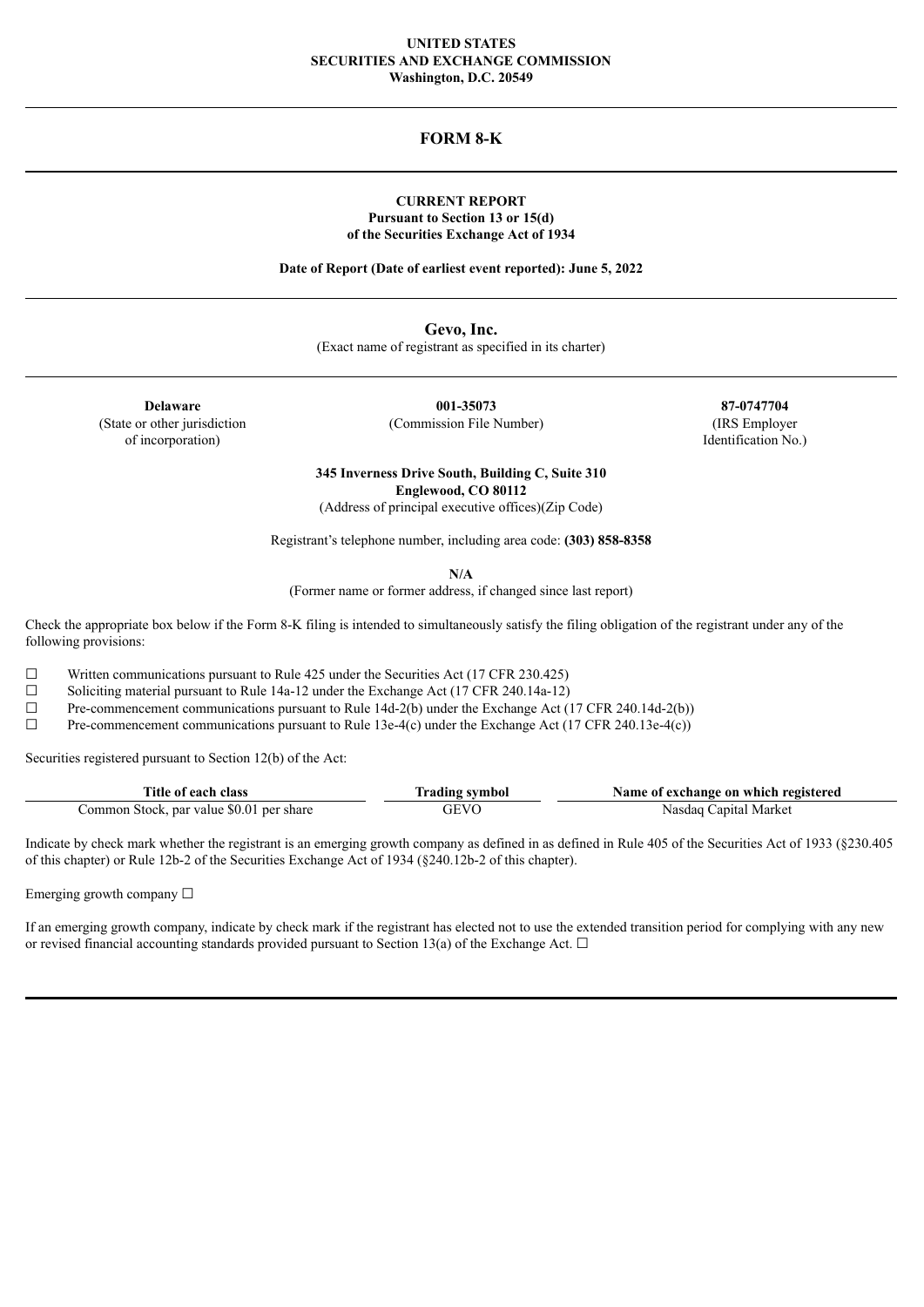# **UNITED STATES SECURITIES AND EXCHANGE COMMISSION Washington, D.C. 20549**

# **FORM 8-K**

# **CURRENT REPORT Pursuant to Section 13 or 15(d) of the Securities Exchange Act of 1934**

**Date of Report (Date of earliest event reported): June 5, 2022**

**Gevo, Inc.** (Exact name of registrant as specified in its charter)

**Delaware 001-35073 87-0747704** of incorporation) Identification No.)

(State or other jurisdiction (Commission File Number) (IRS Employer

**345 Inverness Drive South, Building C, Suite 310 Englewood, CO 80112**

(Address of principal executive offices)(Zip Code)

Registrant's telephone number, including area code: **(303) 858-8358**

**N/A**

(Former name or former address, if changed since last report)

Check the appropriate box below if the Form 8-K filing is intended to simultaneously satisfy the filing obligation of the registrant under any of the following provisions:

 $\Box$  Written communications pursuant to Rule 425 under the Securities Act (17 CFR 230.425)

 $\Box$  Soliciting material pursuant to Rule 14a-12 under the Exchange Act (17 CFR 240.14a-12)

 $\Box$  Pre-commencement communications pursuant to Rule 14d-2(b) under the Exchange Act (17 CFR 240.14d-2(b))<br>Pre-commencement communications pursuant to Rule 13e-4(c) under the Exchange Act (17 CFR 240.13e-4(c))

Pre-commencement communications pursuant to Rule 13e-4(c) under the Exchange Act (17 CFR 240.13e-4(c))

Securities registered pursuant to Section 12(b) of the Act:

| Title of each class                      | <b>frading symbol</b> | Name of exchange on which registered |
|------------------------------------------|-----------------------|--------------------------------------|
| Common Stock, par value \$0.01 per share | GEVO                  | Nasdaq Capital Market                |

Indicate by check mark whether the registrant is an emerging growth company as defined in as defined in Rule 405 of the Securities Act of 1933 (§230.405 of this chapter) or Rule 12b-2 of the Securities Exchange Act of 1934 (§240.12b-2 of this chapter).

Emerging growth company  $\Box$ 

If an emerging growth company, indicate by check mark if the registrant has elected not to use the extended transition period for complying with any new or revised financial accounting standards provided pursuant to Section 13(a) of the Exchange Act.  $\Box$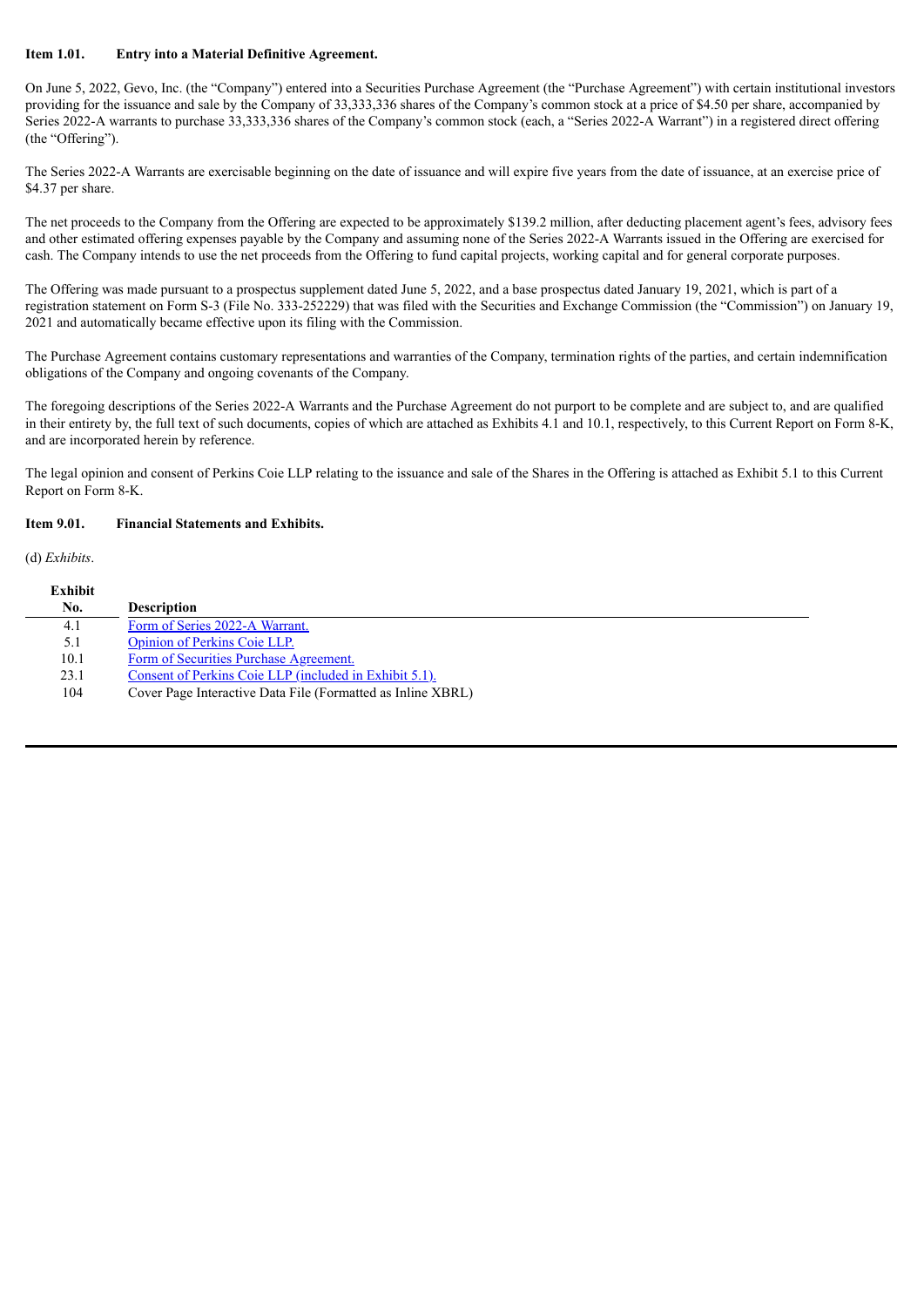# **Item 1.01. Entry into a Material Definitive Agreement.**

On June 5, 2022, Gevo, Inc. (the "Company") entered into a Securities Purchase Agreement (the "Purchase Agreement") with certain institutional investors providing for the issuance and sale by the Company of 33,333,336 shares of the Company's common stock at a price of \$4.50 per share, accompanied by Series 2022-A warrants to purchase 33,333,336 shares of the Company's common stock (each, a "Series 2022-A Warrant") in a registered direct offering (the "Offering").

The Series 2022-A Warrants are exercisable beginning on the date of issuance and will expire five years from the date of issuance, at an exercise price of \$4.37 per share.

The net proceeds to the Company from the Offering are expected to be approximately \$139.2 million, after deducting placement agent's fees, advisory fees and other estimated offering expenses payable by the Company and assuming none of the Series 2022-A Warrants issued in the Offering are exercised for cash. The Company intends to use the net proceeds from the Offering to fund capital projects, working capital and for general corporate purposes.

The Offering was made pursuant to a prospectus supplement dated June 5, 2022, and a base prospectus dated January 19, 2021, which is part of a registration statement on Form S-3 (File No. 333-252229) that was filed with the Securities and Exchange Commission (the "Commission") on January 19, 2021 and automatically became effective upon its filing with the Commission.

The Purchase Agreement contains customary representations and warranties of the Company, termination rights of the parties, and certain indemnification obligations of the Company and ongoing covenants of the Company.

The foregoing descriptions of the Series 2022-A Warrants and the Purchase Agreement do not purport to be complete and are subject to, and are qualified in their entirety by, the full text of such documents, copies of which are attached as Exhibits 4.1 and 10.1, respectively, to this Current Report on Form 8-K, and are incorporated herein by reference.

The legal opinion and consent of Perkins Coie LLP relating to the issuance and sale of the Shares in the Offering is attached as Exhibit 5.1 to this Current Report on Form 8-K.

# **Item 9.01. Financial Statements and Exhibits.**

(d) *Exhibits*.

| Exhibit<br>No. | <b>Description</b>                                          |
|----------------|-------------------------------------------------------------|
| 4.1            | Form of Series 2022-A Warrant.                              |
| 5.1            | <b>Opinion of Perkins Coje LLP.</b>                         |
| 10.1           | Form of Securities Purchase Agreement.                      |
| 23.1           | Consent of Perkins Coie LLP (included in Exhibit 5.1).      |
| 104            | Cover Page Interactive Data File (Formatted as Inline XBRL) |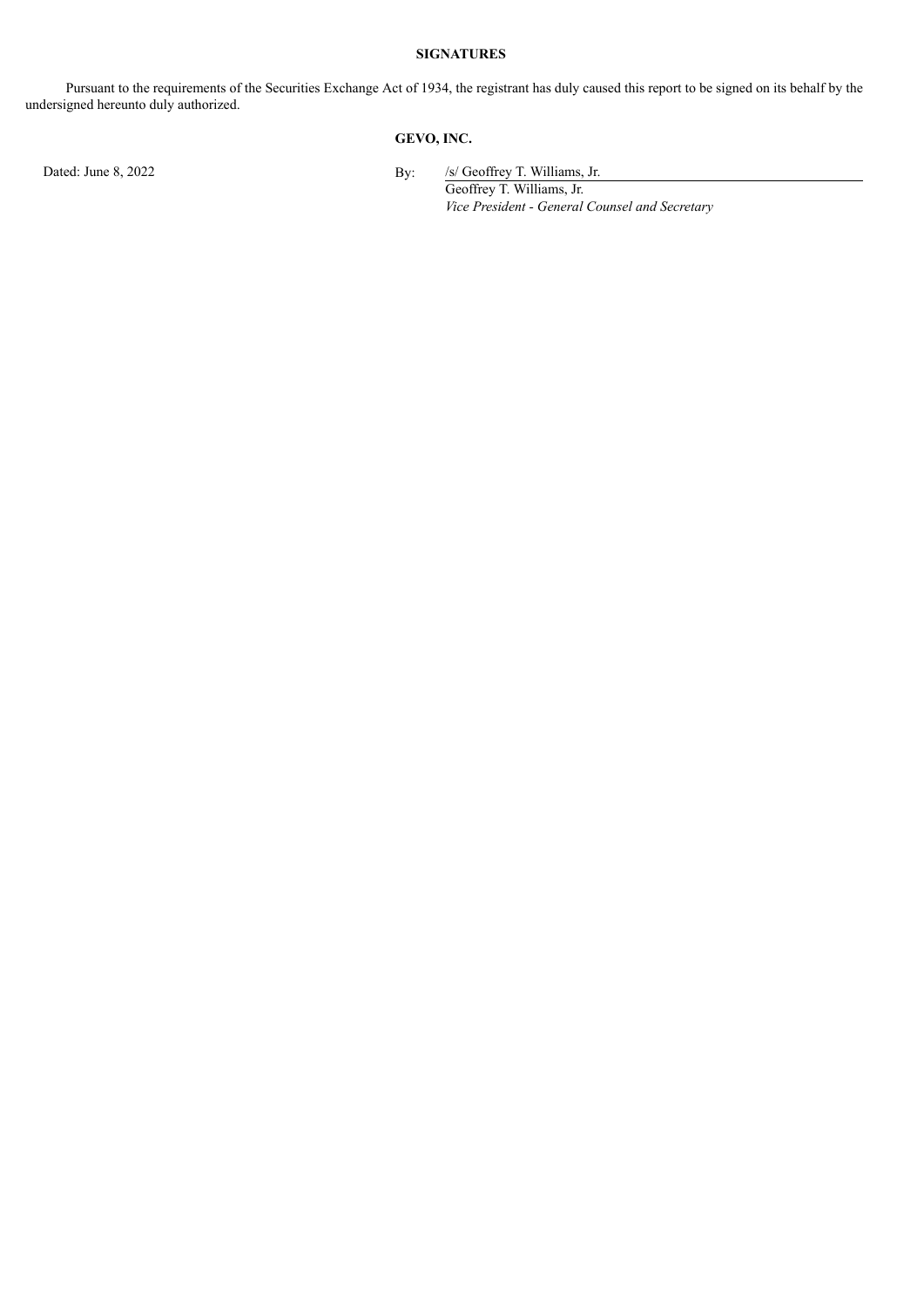# **SIGNATURES**

Pursuant to the requirements of the Securities Exchange Act of 1934, the registrant has duly caused this report to be signed on its behalf by the undersigned hereunto duly authorized.

# **GEVO, INC.**

Dated: June 8, 2022 By: /s/ Geoffrey T. Williams, Jr.

Geoffrey T. Williams, Jr. *Vice President - General Counsel and Secretary*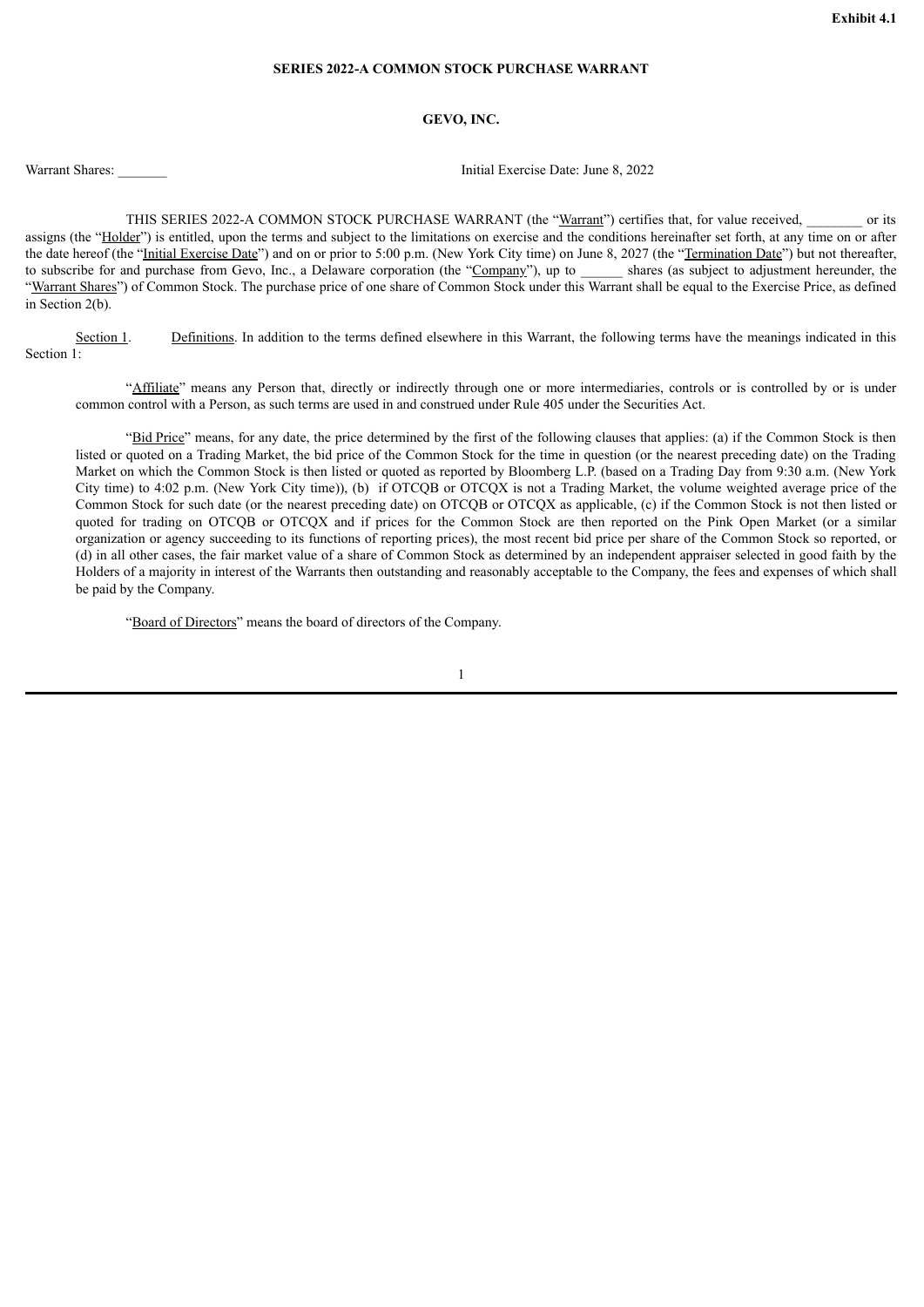# **SERIES 2022-A COMMON STOCK PURCHASE WARRANT**

# **GEVO, INC.**

<span id="page-3-0"></span>

Warrant Shares: **Warrant Shares: Warrant Shares: Warrant Shares: June 8, 2022** 

THIS SERIES 2022-A COMMON STOCK PURCHASE WARRANT (the "Warrant") certifies that, for value received, \_\_\_\_\_\_\_ or its assigns (the "Holder") is entitled, upon the terms and subject to the limitations on exercise and the conditions hereinafter set forth, at any time on or after the date hereof (the "Initial Exercise Date") and on or prior to 5:00 p.m. (New York City time) on June 8, 2027 (the "Termination Date") but not thereafter, to subscribe for and purchase from Gevo, Inc., a Delaware corporation (the "Company"), up to \_\_\_\_\_\_ shares (as subject to adjustment hereunder, the "Warrant Shares") of Common Stock. The purchase price of one share of Common Stock under this Warrant shall be equal to the Exercise Price, as defined in Section 2(b).

Section 1. Definitions. In addition to the terms defined elsewhere in this Warrant, the following terms have the meanings indicated in this Section 1:

"Affiliate" means any Person that, directly or indirectly through one or more intermediaries, controls or is controlled by or is under common control with a Person, as such terms are used in and construed under Rule 405 under the Securities Act.

"Bid Price" means, for any date, the price determined by the first of the following clauses that applies: (a) if the Common Stock is then listed or quoted on a Trading Market, the bid price of the Common Stock for the time in question (or the nearest preceding date) on the Trading Market on which the Common Stock is then listed or quoted as reported by Bloomberg L.P. (based on a Trading Day from 9:30 a.m. (New York) City time) to 4:02 p.m. (New York City time)), (b) if OTCQB or OTCQX is not a Trading Market, the volume weighted average price of the Common Stock for such date (or the nearest preceding date) on OTCQB or OTCQX as applicable, (c) if the Common Stock is not then listed or quoted for trading on OTCQB or OTCQX and if prices for the Common Stock are then reported on the Pink Open Market (or a similar organization or agency succeeding to its functions of reporting prices), the most recent bid price per share of the Common Stock so reported, or (d) in all other cases, the fair market value of a share of Common Stock as determined by an independent appraiser selected in good faith by the Holders of a majority in interest of the Warrants then outstanding and reasonably acceptable to the Company, the fees and expenses of which shall be paid by the Company.

"Board of Directors" means the board of directors of the Company.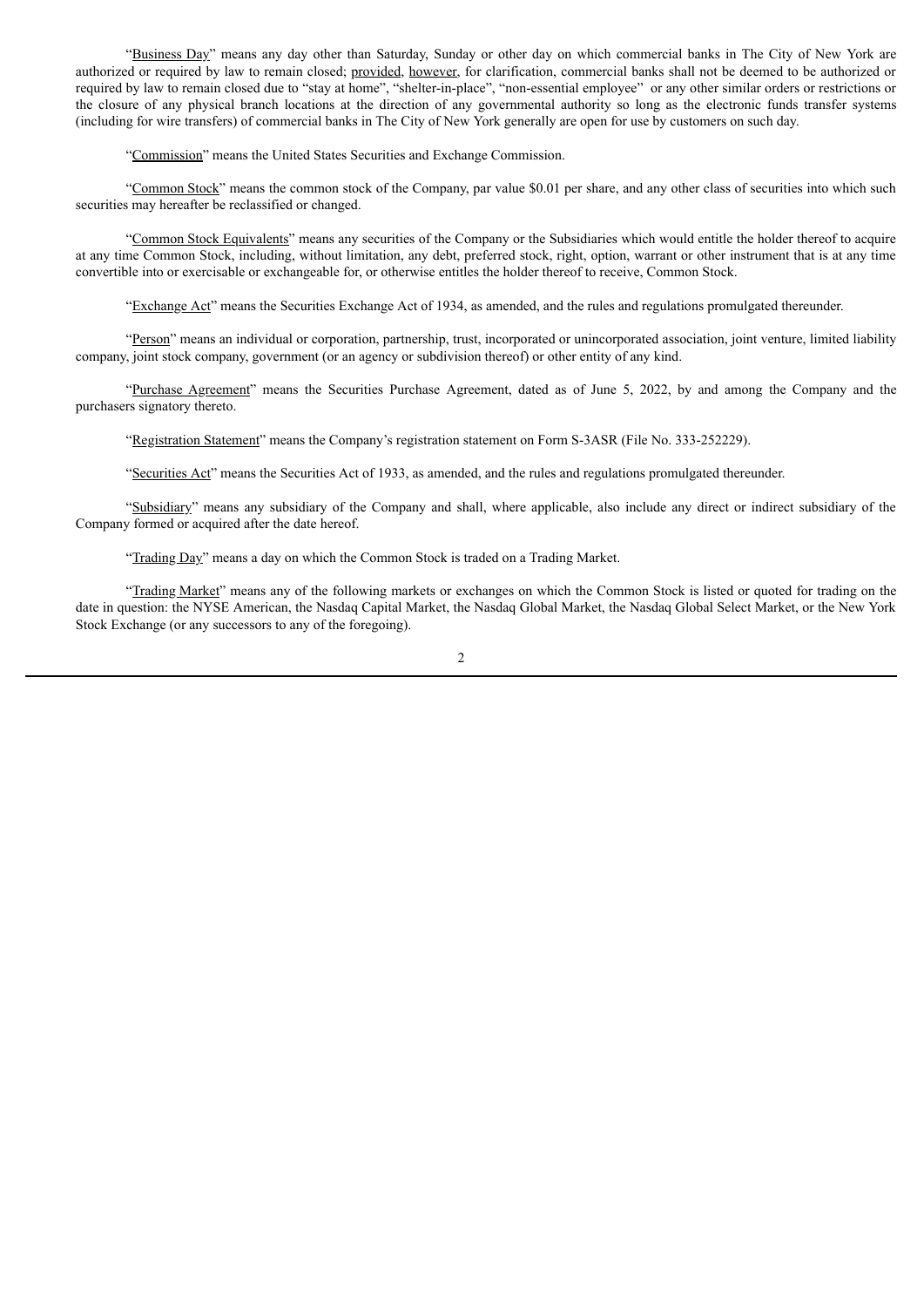"Business Day" means any day other than Saturday, Sunday or other day on which commercial banks in The City of New York are authorized or required by law to remain closed; provided, however, for clarification, commercial banks shall not be deemed to be authorized or required by law to remain closed due to "stay at home", "shelter-in-place", "non-essential employee" or any other similar orders or restrictions or the closure of any physical branch locations at the direction of any governmental authority so long as the electronic funds transfer systems (including for wire transfers) of commercial banks in The City of New York generally are open for use by customers on such day.

"Commission" means the United States Securities and Exchange Commission.

"Common Stock" means the common stock of the Company, par value \$0.01 per share, and any other class of securities into which such securities may hereafter be reclassified or changed.

"Common Stock Equivalents" means any securities of the Company or the Subsidiaries which would entitle the holder thereof to acquire at any time Common Stock, including, without limitation, any debt, preferred stock, right, option, warrant or other instrument that is at any time convertible into or exercisable or exchangeable for, or otherwise entitles the holder thereof to receive, Common Stock.

"Exchange Act" means the Securities Exchange Act of 1934, as amended, and the rules and regulations promulgated thereunder.

"Person" means an individual or corporation, partnership, trust, incorporated or unincorporated association, joint venture, limited liability company, joint stock company, government (or an agency or subdivision thereof) or other entity of any kind.

"Purchase Agreement" means the Securities Purchase Agreement, dated as of June 5, 2022, by and among the Company and the purchasers signatory thereto.

"Registration Statement" means the Company's registration statement on Form S-3ASR (File No. 333-252229).

"Securities Act" means the Securities Act of 1933, as amended, and the rules and regulations promulgated thereunder.

"Subsidiary" means any subsidiary of the Company and shall, where applicable, also include any direct or indirect subsidiary of the Company formed or acquired after the date hereof.

"Trading Day" means a day on which the Common Stock is traded on a Trading Market.

"Trading Market" means any of the following markets or exchanges on which the Common Stock is listed or quoted for trading on the date in question: the NYSE American, the Nasdaq Capital Market, the Nasdaq Global Market, the Nasdaq Global Select Market, or the New York Stock Exchange (or any successors to any of the foregoing).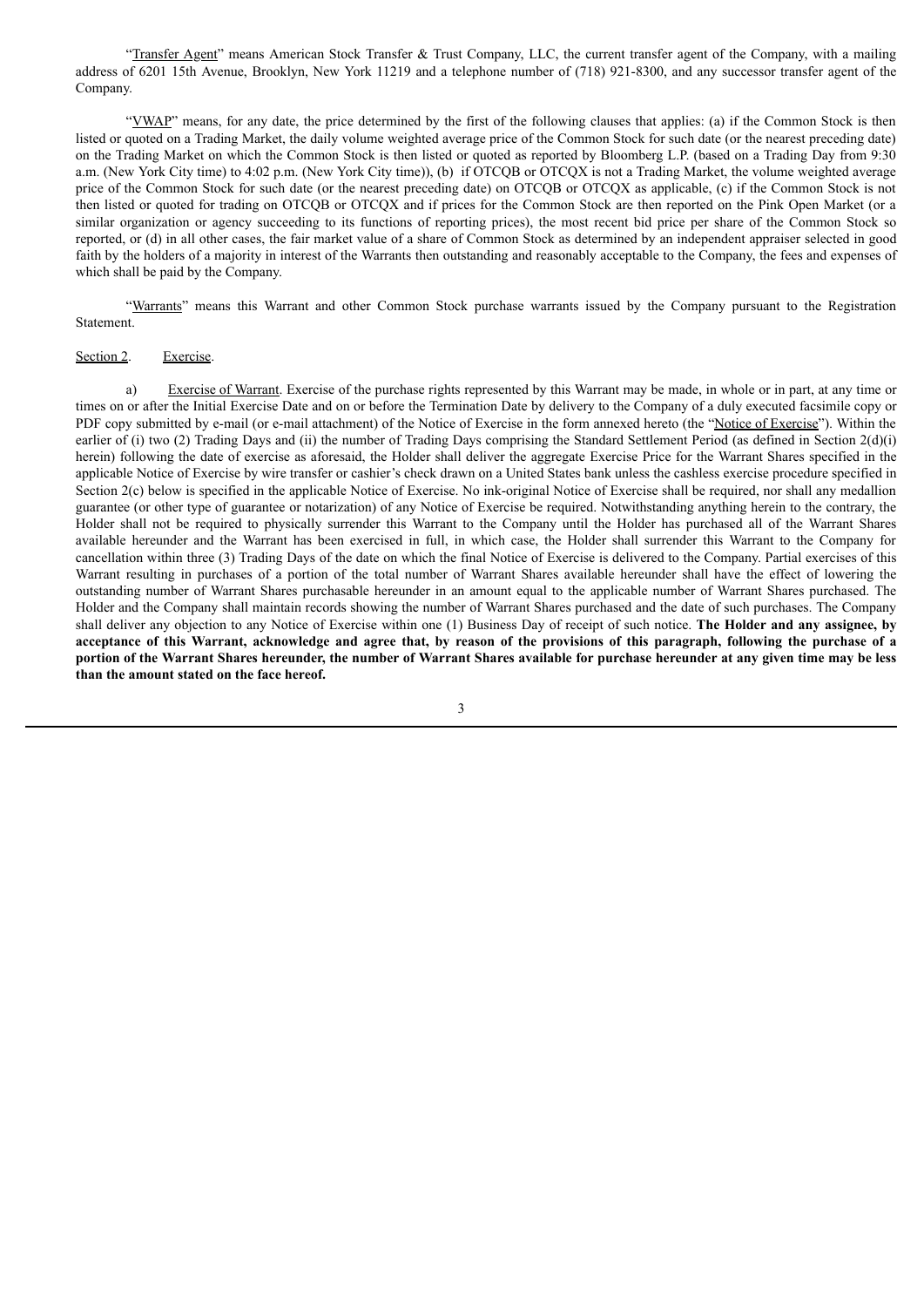"Transfer Agent" means American Stock Transfer & Trust Company, LLC, the current transfer agent of the Company, with a mailing address of 6201 15th Avenue, Brooklyn, New York 11219 and a telephone number of (718) 921-8300, and any successor transfer agent of the Company.

"YWAP" means, for any date, the price determined by the first of the following clauses that applies: (a) if the Common Stock is then listed or quoted on a Trading Market, the daily volume weighted average price of the Common Stock for such date (or the nearest preceding date) on the Trading Market on which the Common Stock is then listed or quoted as reported by Bloomberg L.P. (based on a Trading Day from 9:30 a.m. (New York City time) to 4:02 p.m. (New York City time)), (b) if OTCQB or OTCQX is not a Trading Market, the volume weighted average price of the Common Stock for such date (or the nearest preceding date) on OTCQB or OTCQX as applicable, (c) if the Common Stock is not then listed or quoted for trading on OTCQB or OTCQX and if prices for the Common Stock are then reported on the Pink Open Market (or a similar organization or agency succeeding to its functions of reporting prices), the most recent bid price per share of the Common Stock so reported, or (d) in all other cases, the fair market value of a share of Common Stock as determined by an independent appraiser selected in good faith by the holders of a majority in interest of the Warrants then outstanding and reasonably acceptable to the Company, the fees and expenses of which shall be paid by the Company.

"Warrants" means this Warrant and other Common Stock purchase warrants issued by the Company pursuant to the Registration Statement.

#### Section 2. Exercise.

a) Exercise of Warrant. Exercise of the purchase rights represented by this Warrant may be made, in whole or in part, at any time or times on or after the Initial Exercise Date and on or before the Termination Date by delivery to the Company of a duly executed facsimile copy or PDF copy submitted by e-mail (or e-mail attachment) of the Notice of Exercise in the form annexed hereto (the "Notice of Exercise"). Within the earlier of (i) two (2) Trading Days and (ii) the number of Trading Days comprising the Standard Settlement Period (as defined in Section 2(d)(i) herein) following the date of exercise as aforesaid, the Holder shall deliver the aggregate Exercise Price for the Warrant Shares specified in the applicable Notice of Exercise by wire transfer or cashier's check drawn on a United States bank unless the cashless exercise procedure specified in Section 2(c) below is specified in the applicable Notice of Exercise. No ink-original Notice of Exercise shall be required, nor shall any medallion guarantee (or other type of guarantee or notarization) of any Notice of Exercise be required. Notwithstanding anything herein to the contrary, the Holder shall not be required to physically surrender this Warrant to the Company until the Holder has purchased all of the Warrant Shares available hereunder and the Warrant has been exercised in full, in which case, the Holder shall surrender this Warrant to the Company for cancellation within three (3) Trading Days of the date on which the final Notice of Exercise is delivered to the Company. Partial exercises of this Warrant resulting in purchases of a portion of the total number of Warrant Shares available hereunder shall have the effect of lowering the outstanding number of Warrant Shares purchasable hereunder in an amount equal to the applicable number of Warrant Shares purchased. The Holder and the Company shall maintain records showing the number of Warrant Shares purchased and the date of such purchases. The Company shall deliver any objection to any Notice of Exercise within one (1) Business Day of receipt of such notice. **The Holder and any assignee, by** acceptance of this Warrant, acknowledge and agree that, by reason of the provisions of this paragraph, following the purchase of a portion of the Warrant Shares hereunder, the number of Warrant Shares available for purchase hereunder at any given time may be less **than the amount stated on the face hereof.**

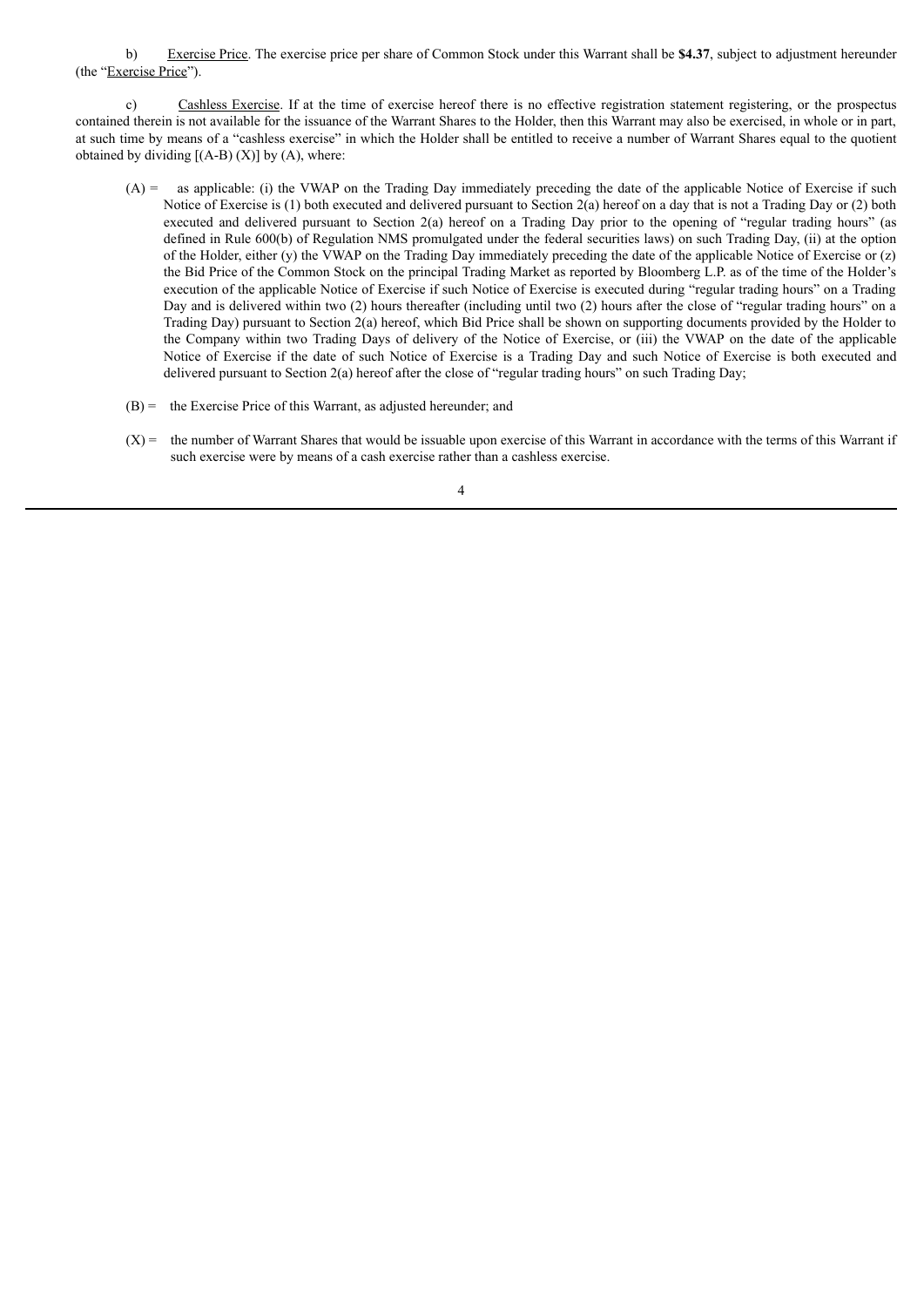b) Exercise Price. The exercise price per share of Common Stock under this Warrant shall be **\$4.37**, subject to adjustment hereunder (the "Exercise Price").

c) Cashless Exercise. If at the time of exercise hereof there is no effective registration statement registering, or the prospectus contained therein is not available for the issuance of the Warrant Shares to the Holder, then this Warrant may also be exercised, in whole or in part, at such time by means of a "cashless exercise" in which the Holder shall be entitled to receive a number of Warrant Shares equal to the quotient obtained by dividing  $[(A-B) (X)]$  by  $(A)$ , where:

- (A) = as applicable: (i) the VWAP on the Trading Day immediately preceding the date of the applicable Notice of Exercise if such Notice of Exercise is (1) both executed and delivered pursuant to Section 2(a) hereof on a day that is not a Trading Day or (2) both executed and delivered pursuant to Section 2(a) hereof on a Trading Day prior to the opening of "regular trading hours" (as defined in Rule 600(b) of Regulation NMS promulgated under the federal securities laws) on such Trading Day, (ii) at the option of the Holder, either (y) the VWAP on the Trading Day immediately preceding the date of the applicable Notice of Exercise or (z) the Bid Price of the Common Stock on the principal Trading Market as reported by Bloomberg L.P. as of the time of the Holder's execution of the applicable Notice of Exercise if such Notice of Exercise is executed during "regular trading hours" on a Trading Day and is delivered within two (2) hours thereafter (including until two (2) hours after the close of "regular trading hours" on a Trading Day) pursuant to Section 2(a) hereof, which Bid Price shall be shown on supporting documents provided by the Holder to the Company within two Trading Days of delivery of the Notice of Exercise, or (iii) the VWAP on the date of the applicable Notice of Exercise if the date of such Notice of Exercise is a Trading Day and such Notice of Exercise is both executed and delivered pursuant to Section 2(a) hereof after the close of "regular trading hours" on such Trading Day;
- (B) = the Exercise Price of this Warrant, as adjusted hereunder; and
- $(X)$  = the number of Warrant Shares that would be issuable upon exercise of this Warrant in accordance with the terms of this Warrant if such exercise were by means of a cash exercise rather than a cashless exercise.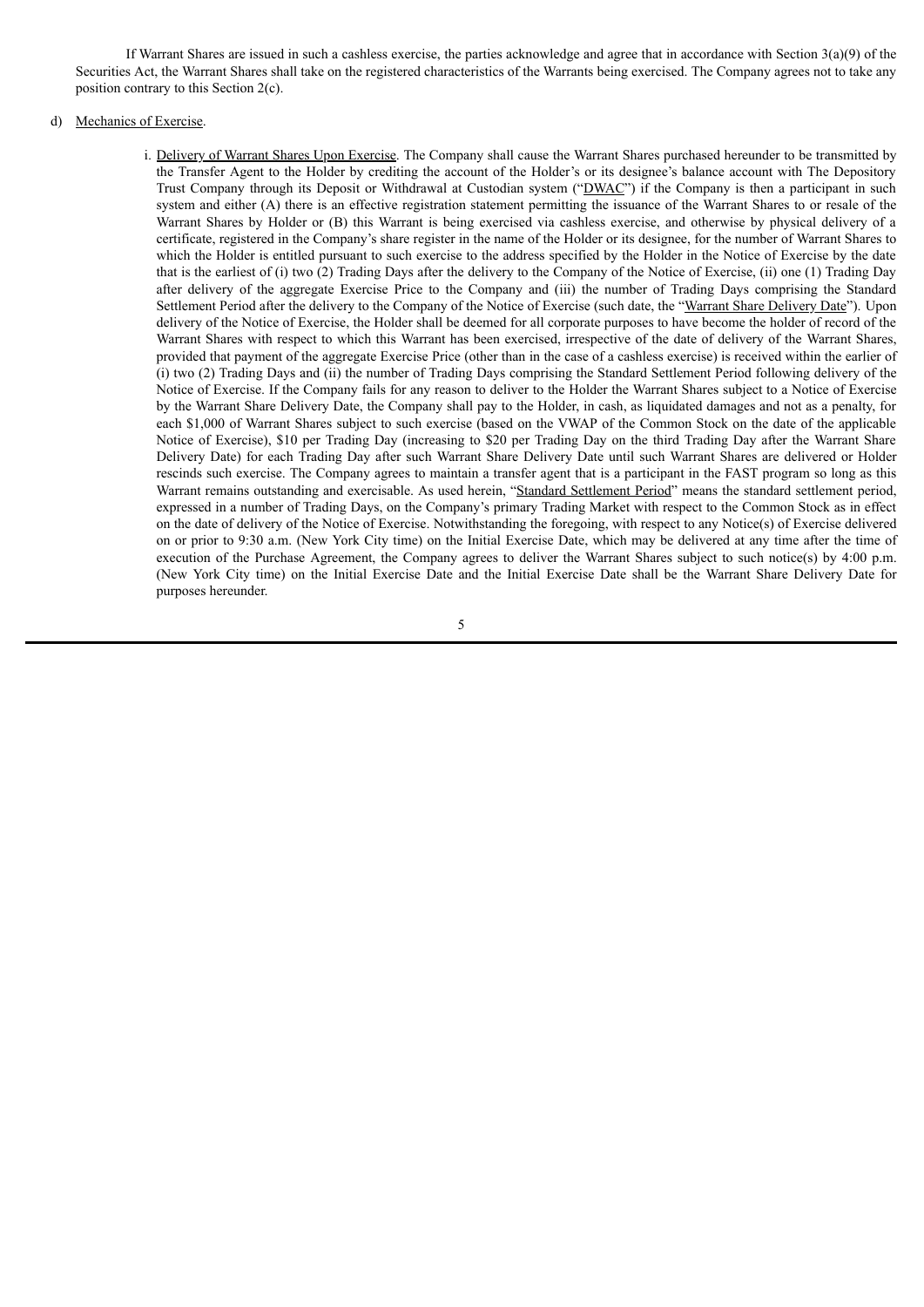If Warrant Shares are issued in such a cashless exercise, the parties acknowledge and agree that in accordance with Section  $3(a)(9)$  of the Securities Act, the Warrant Shares shall take on the registered characteristics of the Warrants being exercised. The Company agrees not to take any position contrary to this Section 2(c).

# d) Mechanics of Exercise.

i. Delivery of Warrant Shares Upon Exercise. The Company shall cause the Warrant Shares purchased hereunder to be transmitted by the Transfer Agent to the Holder by crediting the account of the Holder's or its designee's balance account with The Depository Trust Company through its Deposit or Withdrawal at Custodian system ("DWAC") if the Company is then a participant in such system and either (A) there is an effective registration statement permitting the issuance of the Warrant Shares to or resale of the Warrant Shares by Holder or (B) this Warrant is being exercised via cashless exercise, and otherwise by physical delivery of a certificate, registered in the Company's share register in the name of the Holder or its designee, for the number of Warrant Shares to which the Holder is entitled pursuant to such exercise to the address specified by the Holder in the Notice of Exercise by the date that is the earliest of (i) two (2) Trading Days after the delivery to the Company of the Notice of Exercise, (ii) one (1) Trading Day after delivery of the aggregate Exercise Price to the Company and (iii) the number of Trading Days comprising the Standard Settlement Period after the delivery to the Company of the Notice of Exercise (such date, the "Warrant Share Delivery Date"). Upon delivery of the Notice of Exercise, the Holder shall be deemed for all corporate purposes to have become the holder of record of the Warrant Shares with respect to which this Warrant has been exercised, irrespective of the date of delivery of the Warrant Shares, provided that payment of the aggregate Exercise Price (other than in the case of a cashless exercise) is received within the earlier of (i) two (2) Trading Days and (ii) the number of Trading Days comprising the Standard Settlement Period following delivery of the Notice of Exercise. If the Company fails for any reason to deliver to the Holder the Warrant Shares subject to a Notice of Exercise by the Warrant Share Delivery Date, the Company shall pay to the Holder, in cash, as liquidated damages and not as a penalty, for each \$1,000 of Warrant Shares subject to such exercise (based on the VWAP of the Common Stock on the date of the applicable Notice of Exercise), \$10 per Trading Day (increasing to \$20 per Trading Day on the third Trading Day after the Warrant Share Delivery Date) for each Trading Day after such Warrant Share Delivery Date until such Warrant Shares are delivered or Holder rescinds such exercise. The Company agrees to maintain a transfer agent that is a participant in the FAST program so long as this Warrant remains outstanding and exercisable. As used herein, "Standard Settlement Period" means the standard settlement period, expressed in a number of Trading Days, on the Company's primary Trading Market with respect to the Common Stock as in effect on the date of delivery of the Notice of Exercise. Notwithstanding the foregoing, with respect to any Notice(s) of Exercise delivered on or prior to 9:30 a.m. (New York City time) on the Initial Exercise Date, which may be delivered at any time after the time of execution of the Purchase Agreement, the Company agrees to deliver the Warrant Shares subject to such notice(s) by 4:00 p.m. (New York City time) on the Initial Exercise Date and the Initial Exercise Date shall be the Warrant Share Delivery Date for purposes hereunder.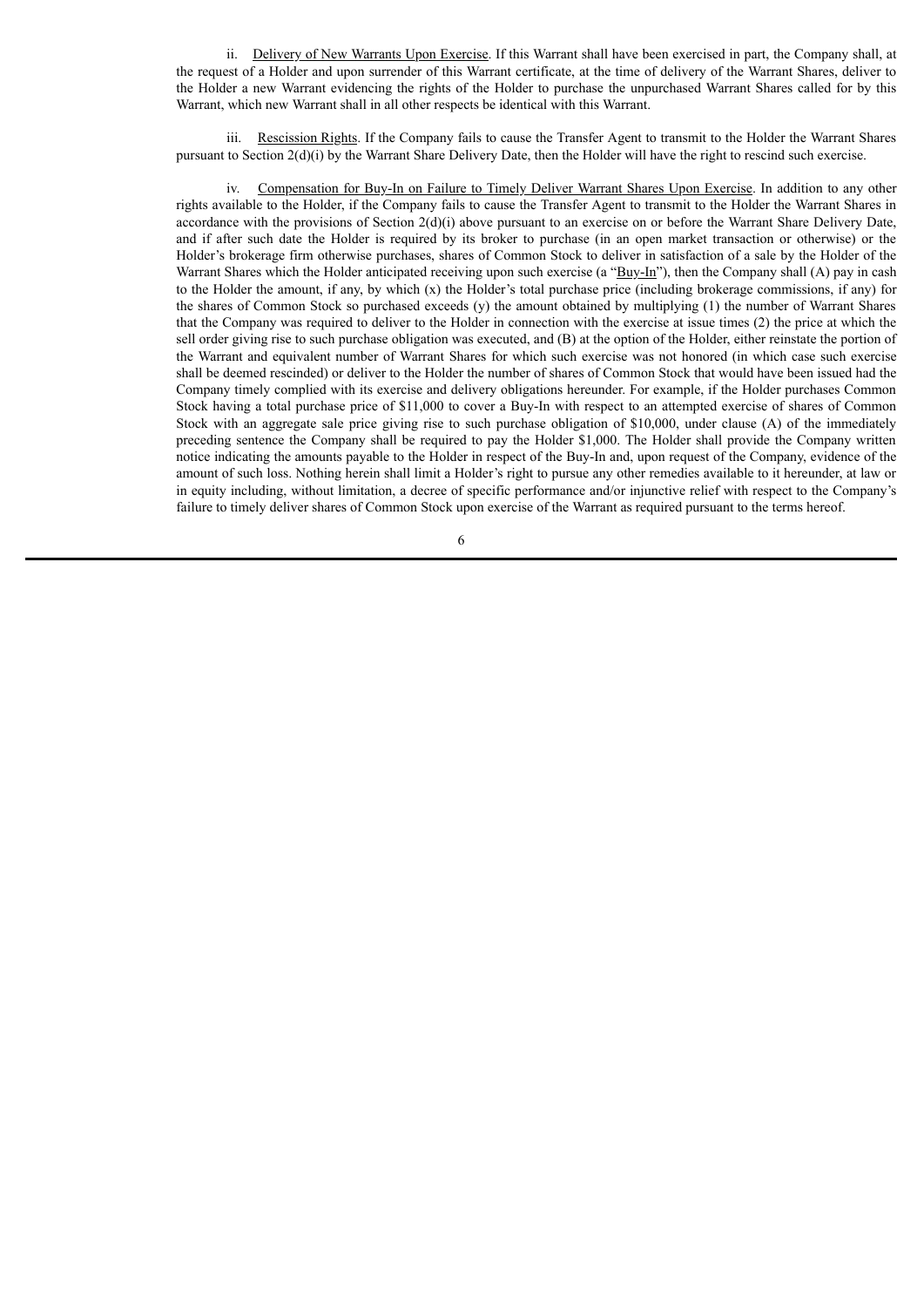ii. Delivery of New Warrants Upon Exercise. If this Warrant shall have been exercised in part, the Company shall, at the request of a Holder and upon surrender of this Warrant certificate, at the time of delivery of the Warrant Shares, deliver to the Holder a new Warrant evidencing the rights of the Holder to purchase the unpurchased Warrant Shares called for by this Warrant, which new Warrant shall in all other respects be identical with this Warrant.

Rescission Rights. If the Company fails to cause the Transfer Agent to transmit to the Holder the Warrant Shares pursuant to Section  $2(d)(i)$  by the Warrant Share Delivery Date, then the Holder will have the right to rescind such exercise.

iv. Compensation for Buy-In on Failure to Timely Deliver Warrant Shares Upon Exercise. In addition to any other rights available to the Holder, if the Company fails to cause the Transfer Agent to transmit to the Holder the Warrant Shares in accordance with the provisions of Section  $2(d)(i)$  above pursuant to an exercise on or before the Warrant Share Delivery Date, and if after such date the Holder is required by its broker to purchase (in an open market transaction or otherwise) or the Holder's brokerage firm otherwise purchases, shares of Common Stock to deliver in satisfaction of a sale by the Holder of the Warrant Shares which the Holder anticipated receiving upon such exercise (a " $\frac{Byy-In}}$ "), then the Company shall (A) pay in cash to the Holder the amount, if any, by which  $(x)$  the Holder's total purchase price (including brokerage commissions, if any) for the shares of Common Stock so purchased exceeds (y) the amount obtained by multiplying (1) the number of Warrant Shares that the Company was required to deliver to the Holder in connection with the exercise at issue times (2) the price at which the sell order giving rise to such purchase obligation was executed, and (B) at the option of the Holder, either reinstate the portion of the Warrant and equivalent number of Warrant Shares for which such exercise was not honored (in which case such exercise shall be deemed rescinded) or deliver to the Holder the number of shares of Common Stock that would have been issued had the Company timely complied with its exercise and delivery obligations hereunder. For example, if the Holder purchases Common Stock having a total purchase price of \$11,000 to cover a Buy-In with respect to an attempted exercise of shares of Common Stock with an aggregate sale price giving rise to such purchase obligation of \$10,000, under clause (A) of the immediately preceding sentence the Company shall be required to pay the Holder \$1,000. The Holder shall provide the Company written notice indicating the amounts payable to the Holder in respect of the Buy-In and, upon request of the Company, evidence of the amount of such loss. Nothing herein shall limit a Holder's right to pursue any other remedies available to it hereunder, at law or in equity including, without limitation, a decree of specific performance and/or injunctive relief with respect to the Company's failure to timely deliver shares of Common Stock upon exercise of the Warrant as required pursuant to the terms hereof.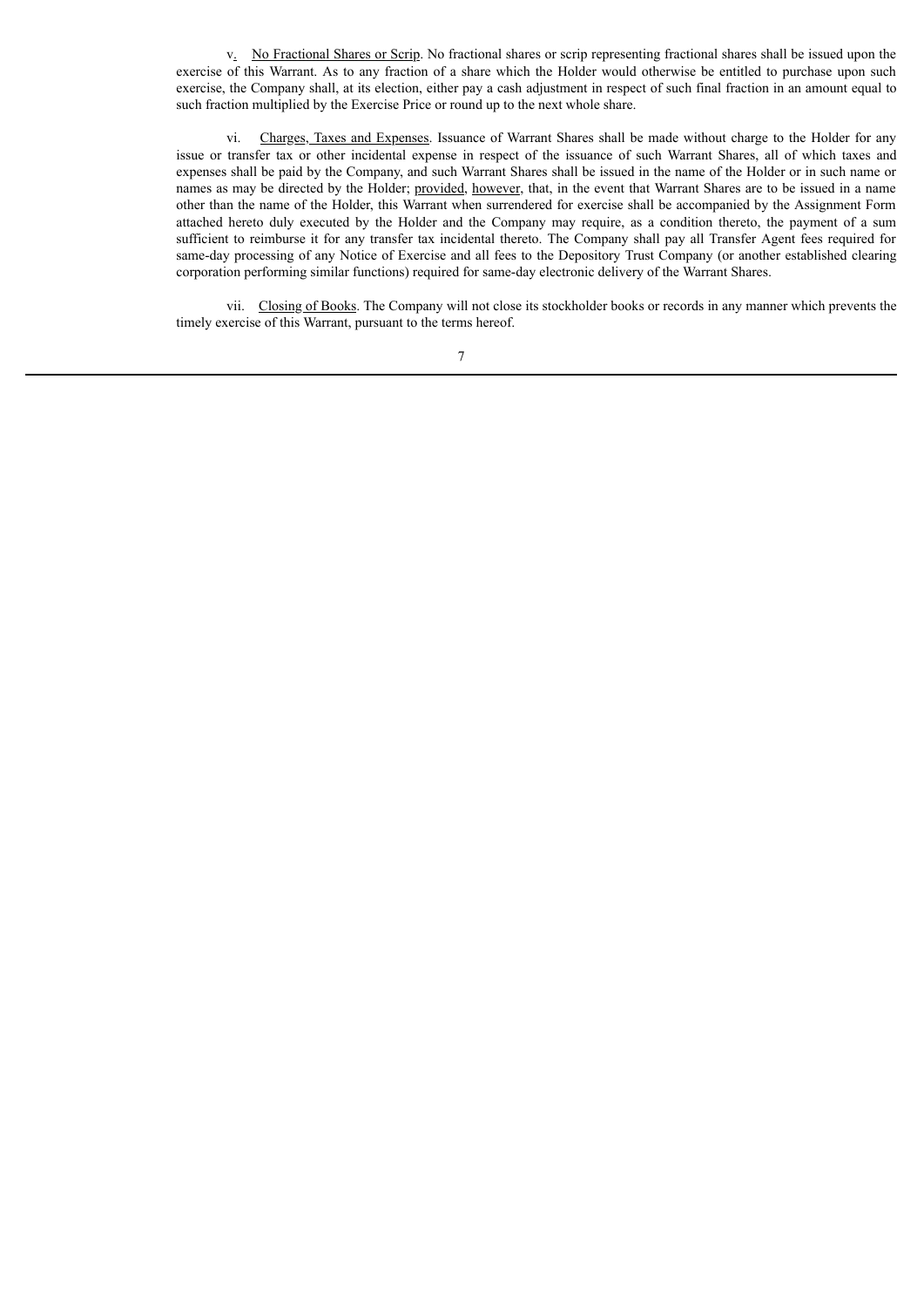v. No Fractional Shares or Scrip. No fractional shares or scrip representing fractional shares shall be issued upon the exercise of this Warrant. As to any fraction of a share which the Holder would otherwise be entitled to purchase upon such exercise, the Company shall, at its election, either pay a cash adjustment in respect of such final fraction in an amount equal to such fraction multiplied by the Exercise Price or round up to the next whole share.

vi. Charges, Taxes and Expenses. Issuance of Warrant Shares shall be made without charge to the Holder for any issue or transfer tax or other incidental expense in respect of the issuance of such Warrant Shares, all of which taxes and expenses shall be paid by the Company, and such Warrant Shares shall be issued in the name of the Holder or in such name or names as may be directed by the Holder; provided, however, that, in the event that Warrant Shares are to be issued in a name other than the name of the Holder, this Warrant when surrendered for exercise shall be accompanied by the Assignment Form attached hereto duly executed by the Holder and the Company may require, as a condition thereto, the payment of a sum sufficient to reimburse it for any transfer tax incidental thereto. The Company shall pay all Transfer Agent fees required for same-day processing of any Notice of Exercise and all fees to the Depository Trust Company (or another established clearing corporation performing similar functions) required for same-day electronic delivery of the Warrant Shares.

vii. Closing of Books. The Company will not close its stockholder books or records in any manner which prevents the timely exercise of this Warrant, pursuant to the terms hereof.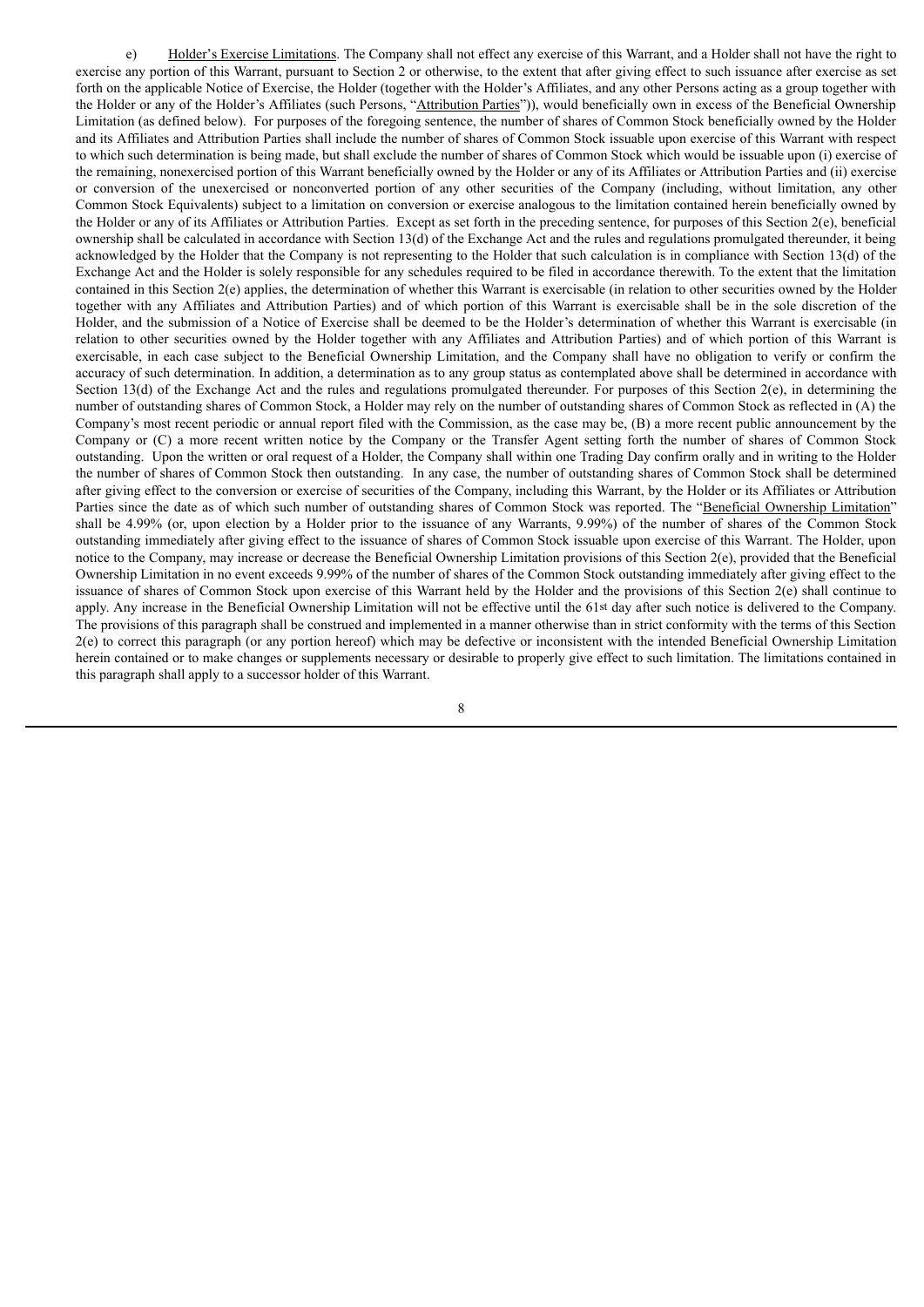e) Holder's Exercise Limitations. The Company shall not effect any exercise of this Warrant, and a Holder shall not have the right to exercise any portion of this Warrant, pursuant to Section 2 or otherwise, to the extent that after giving effect to such issuance after exercise as set forth on the applicable Notice of Exercise, the Holder (together with the Holder's Affiliates, and any other Persons acting as a group together with the Holder or any of the Holder's Affiliates (such Persons, "Attribution Parties")), would beneficially own in excess of the Beneficial Ownership Limitation (as defined below). For purposes of the foregoing sentence, the number of shares of Common Stock beneficially owned by the Holder and its Affiliates and Attribution Parties shall include the number of shares of Common Stock issuable upon exercise of this Warrant with respect to which such determination is being made, but shall exclude the number of shares of Common Stock which would be issuable upon (i) exercise of the remaining, nonexercised portion of this Warrant beneficially owned by the Holder or any of its Affiliates or Attribution Parties and (ii) exercise or conversion of the unexercised or nonconverted portion of any other securities of the Company (including, without limitation, any other Common Stock Equivalents) subject to a limitation on conversion or exercise analogous to the limitation contained herein beneficially owned by the Holder or any of its Affiliates or Attribution Parties. Except as set forth in the preceding sentence, for purposes of this Section 2(e), beneficial ownership shall be calculated in accordance with Section 13(d) of the Exchange Act and the rules and regulations promulgated thereunder, it being acknowledged by the Holder that the Company is not representing to the Holder that such calculation is in compliance with Section 13(d) of the Exchange Act and the Holder is solely responsible for any schedules required to be filed in accordance therewith. To the extent that the limitation contained in this Section 2(e) applies, the determination of whether this Warrant is exercisable (in relation to other securities owned by the Holder together with any Affiliates and Attribution Parties) and of which portion of this Warrant is exercisable shall be in the sole discretion of the Holder, and the submission of a Notice of Exercise shall be deemed to be the Holder's determination of whether this Warrant is exercisable (in relation to other securities owned by the Holder together with any Affiliates and Attribution Parties) and of which portion of this Warrant is exercisable, in each case subject to the Beneficial Ownership Limitation, and the Company shall have no obligation to verify or confirm the accuracy of such determination. In addition, a determination as to any group status as contemplated above shall be determined in accordance with Section 13(d) of the Exchange Act and the rules and regulations promulgated thereunder. For purposes of this Section 2(e), in determining the number of outstanding shares of Common Stock, a Holder may rely on the number of outstanding shares of Common Stock as reflected in (A) the Company's most recent periodic or annual report filed with the Commission, as the case may be, (B) a more recent public announcement by the Company or (C) a more recent written notice by the Company or the Transfer Agent setting forth the number of shares of Common Stock outstanding. Upon the written or oral request of a Holder, the Company shall within one Trading Day confirm orally and in writing to the Holder the number of shares of Common Stock then outstanding. In any case, the number of outstanding shares of Common Stock shall be determined after giving effect to the conversion or exercise of securities of the Company, including this Warrant, by the Holder or its Affiliates or Attribution Parties since the date as of which such number of outstanding shares of Common Stock was reported. The "Beneficial Ownership Limitation" shall be 4.99% (or, upon election by a Holder prior to the issuance of any Warrants, 9.99%) of the number of shares of the Common Stock outstanding immediately after giving effect to the issuance of shares of Common Stock issuable upon exercise of this Warrant. The Holder, upon notice to the Company, may increase or decrease the Beneficial Ownership Limitation provisions of this Section 2(e), provided that the Beneficial Ownership Limitation in no event exceeds 9.99% of the number of shares of the Common Stock outstanding immediately after giving effect to the issuance of shares of Common Stock upon exercise of this Warrant held by the Holder and the provisions of this Section 2(e) shall continue to apply. Any increase in the Beneficial Ownership Limitation will not be effective until the 61st day after such notice is delivered to the Company. The provisions of this paragraph shall be construed and implemented in a manner otherwise than in strict conformity with the terms of this Section 2(e) to correct this paragraph (or any portion hereof) which may be defective or inconsistent with the intended Beneficial Ownership Limitation herein contained or to make changes or supplements necessary or desirable to properly give effect to such limitation. The limitations contained in this paragraph shall apply to a successor holder of this Warrant.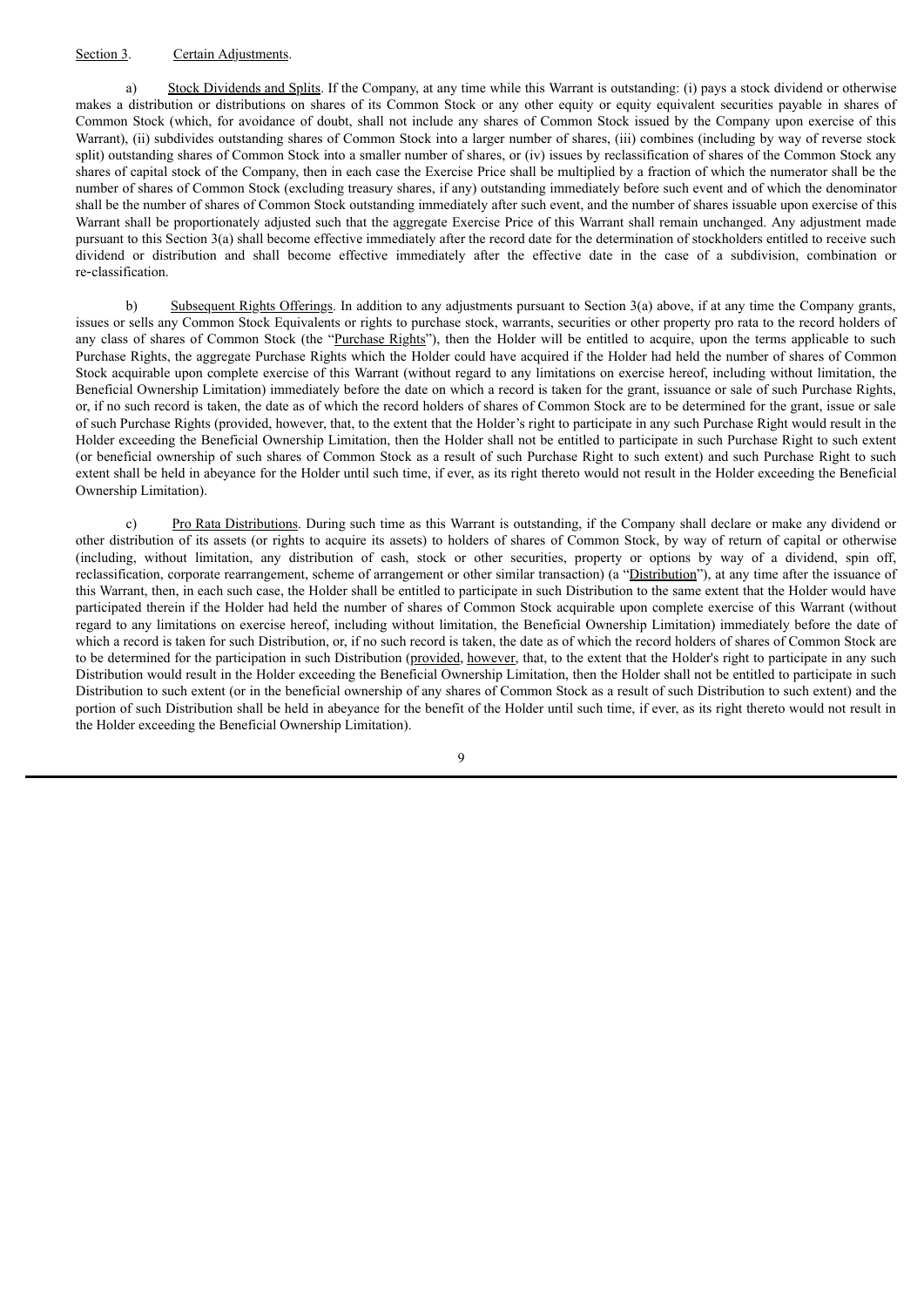# Section 3. Certain Adjustments.

a) Stock Dividends and Splits. If the Company, at any time while this Warrant is outstanding: (i) pays a stock dividend or otherwise makes a distribution or distributions on shares of its Common Stock or any other equity or equity equivalent securities payable in shares of Common Stock (which, for avoidance of doubt, shall not include any shares of Common Stock issued by the Company upon exercise of this Warrant), (ii) subdivides outstanding shares of Common Stock into a larger number of shares, (iii) combines (including by way of reverse stock split) outstanding shares of Common Stock into a smaller number of shares, or (iv) issues by reclassification of shares of the Common Stock any shares of capital stock of the Company, then in each case the Exercise Price shall be multiplied by a fraction of which the numerator shall be the number of shares of Common Stock (excluding treasury shares, if any) outstanding immediately before such event and of which the denominator shall be the number of shares of Common Stock outstanding immediately after such event, and the number of shares issuable upon exercise of this Warrant shall be proportionately adjusted such that the aggregate Exercise Price of this Warrant shall remain unchanged. Any adjustment made pursuant to this Section 3(a) shall become effective immediately after the record date for the determination of stockholders entitled to receive such dividend or distribution and shall become effective immediately after the effective date in the case of a subdivision, combination or re‑classification.

b) Subsequent Rights Offerings. In addition to any adjustments pursuant to Section 3(a) above, if at any time the Company grants, issues or sells any Common Stock Equivalents or rights to purchase stock, warrants, securities or other property pro rata to the record holders of any class of shares of Common Stock (the "Purchase Rights"), then the Holder will be entitled to acquire, upon the terms applicable to such Purchase Rights, the aggregate Purchase Rights which the Holder could have acquired if the Holder had held the number of shares of Common Stock acquirable upon complete exercise of this Warrant (without regard to any limitations on exercise hereof, including without limitation, the Beneficial Ownership Limitation) immediately before the date on which a record is taken for the grant, issuance or sale of such Purchase Rights, or, if no such record is taken, the date as of which the record holders of shares of Common Stock are to be determined for the grant, issue or sale of such Purchase Rights (provided, however, that, to the extent that the Holder's right to participate in any such Purchase Right would result in the Holder exceeding the Beneficial Ownership Limitation, then the Holder shall not be entitled to participate in such Purchase Right to such extent (or beneficial ownership of such shares of Common Stock as a result of such Purchase Right to such extent) and such Purchase Right to such extent shall be held in abeyance for the Holder until such time, if ever, as its right thereto would not result in the Holder exceeding the Beneficial Ownership Limitation).

c) Pro Rata Distributions. During such time as this Warrant is outstanding, if the Company shall declare or make any dividend or other distribution of its assets (or rights to acquire its assets) to holders of shares of Common Stock, by way of return of capital or otherwise (including, without limitation, any distribution of cash, stock or other securities, property or options by way of a dividend, spin off, reclassification, corporate rearrangement, scheme of arrangement or other similar transaction) (a "Distribution"), at any time after the issuance of this Warrant, then, in each such case, the Holder shall be entitled to participate in such Distribution to the same extent that the Holder would have participated therein if the Holder had held the number of shares of Common Stock acquirable upon complete exercise of this Warrant (without regard to any limitations on exercise hereof, including without limitation, the Beneficial Ownership Limitation) immediately before the date of which a record is taken for such Distribution, or, if no such record is taken, the date as of which the record holders of shares of Common Stock are to be determined for the participation in such Distribution (provided, however, that, to the extent that the Holder's right to participate in any such Distribution would result in the Holder exceeding the Beneficial Ownership Limitation, then the Holder shall not be entitled to participate in such Distribution to such extent (or in the beneficial ownership of any shares of Common Stock as a result of such Distribution to such extent) and the portion of such Distribution shall be held in abeyance for the benefit of the Holder until such time, if ever, as its right thereto would not result in the Holder exceeding the Beneficial Ownership Limitation).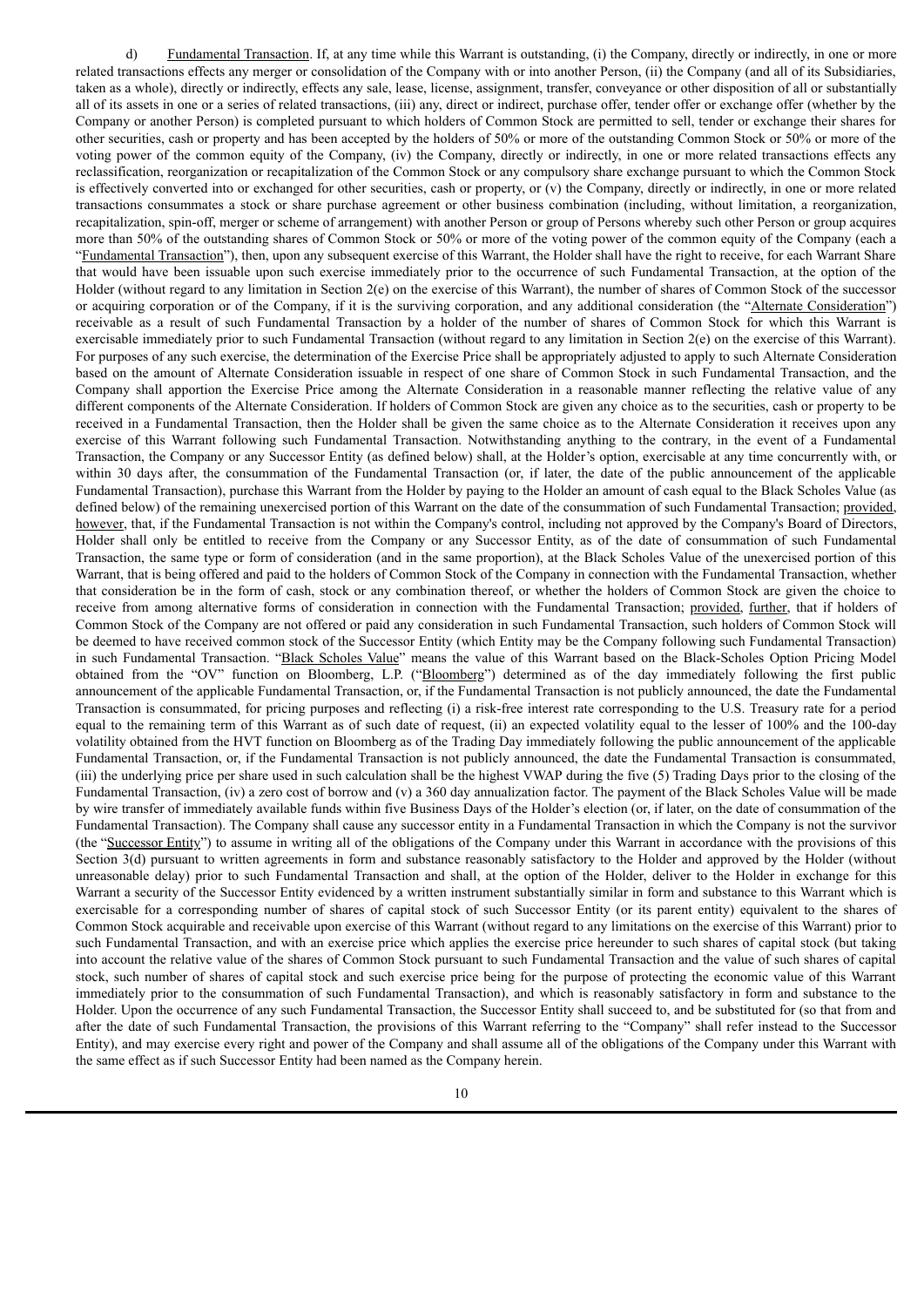d) Fundamental Transaction. If, at any time while this Warrant is outstanding, (i) the Company, directly or indirectly, in one or more related transactions effects any merger or consolidation of the Company with or into another Person, (ii) the Company (and all of its Subsidiaries, taken as a whole), directly or indirectly, effects any sale, lease, license, assignment, transfer, conveyance or other disposition of all or substantially all of its assets in one or a series of related transactions, (iii) any, direct or indirect, purchase offer, tender offer or exchange offer (whether by the Company or another Person) is completed pursuant to which holders of Common Stock are permitted to sell, tender or exchange their shares for other securities, cash or property and has been accepted by the holders of 50% or more of the outstanding Common Stock or 50% or more of the voting power of the common equity of the Company, (iv) the Company, directly or indirectly, in one or more related transactions effects any reclassification, reorganization or recapitalization of the Common Stock or any compulsory share exchange pursuant to which the Common Stock is effectively converted into or exchanged for other securities, cash or property, or (v) the Company, directly or indirectly, in one or more related transactions consummates a stock or share purchase agreement or other business combination (including, without limitation, a reorganization, recapitalization, spin-off, merger or scheme of arrangement) with another Person or group of Persons whereby such other Person or group acquires more than 50% of the outstanding shares of Common Stock or 50% or more of the voting power of the common equity of the Company (each a "Fundamental Transaction"), then, upon any subsequent exercise of this Warrant, the Holder shall have the right to receive, for each Warrant Share that would have been issuable upon such exercise immediately prior to the occurrence of such Fundamental Transaction, at the option of the Holder (without regard to any limitation in Section 2(e) on the exercise of this Warrant), the number of shares of Common Stock of the successor or acquiring corporation or of the Company, if it is the surviving corporation, and any additional consideration (the "Alternate Consideration") receivable as a result of such Fundamental Transaction by a holder of the number of shares of Common Stock for which this Warrant is exercisable immediately prior to such Fundamental Transaction (without regard to any limitation in Section 2(e) on the exercise of this Warrant). For purposes of any such exercise, the determination of the Exercise Price shall be appropriately adjusted to apply to such Alternate Consideration based on the amount of Alternate Consideration issuable in respect of one share of Common Stock in such Fundamental Transaction, and the Company shall apportion the Exercise Price among the Alternate Consideration in a reasonable manner reflecting the relative value of any different components of the Alternate Consideration. If holders of Common Stock are given any choice as to the securities, cash or property to be received in a Fundamental Transaction, then the Holder shall be given the same choice as to the Alternate Consideration it receives upon any exercise of this Warrant following such Fundamental Transaction. Notwithstanding anything to the contrary, in the event of a Fundamental Transaction, the Company or any Successor Entity (as defined below) shall, at the Holder's option, exercisable at any time concurrently with, or within 30 days after, the consummation of the Fundamental Transaction (or, if later, the date of the public announcement of the applicable Fundamental Transaction), purchase this Warrant from the Holder by paying to the Holder an amount of cash equal to the Black Scholes Value (as defined below) of the remaining unexercised portion of this Warrant on the date of the consummation of such Fundamental Transaction; provided, however, that, if the Fundamental Transaction is not within the Company's control, including not approved by the Company's Board of Directors, Holder shall only be entitled to receive from the Company or any Successor Entity, as of the date of consummation of such Fundamental Transaction, the same type or form of consideration (and in the same proportion), at the Black Scholes Value of the unexercised portion of this Warrant, that is being offered and paid to the holders of Common Stock of the Company in connection with the Fundamental Transaction, whether that consideration be in the form of cash, stock or any combination thereof, or whether the holders of Common Stock are given the choice to receive from among alternative forms of consideration in connection with the Fundamental Transaction; provided, further, that if holders of Common Stock of the Company are not offered or paid any consideration in such Fundamental Transaction, such holders of Common Stock will be deemed to have received common stock of the Successor Entity (which Entity may be the Company following such Fundamental Transaction) in such Fundamental Transaction. "Black Scholes Value" means the value of this Warrant based on the Black-Scholes Option Pricing Model obtained from the "OV" function on Bloomberg, L.P. ("Bloomberg") determined as of the day immediately following the first public announcement of the applicable Fundamental Transaction, or, if the Fundamental Transaction is not publicly announced, the date the Fundamental Transaction is consummated, for pricing purposes and reflecting (i) a risk-free interest rate corresponding to the U.S. Treasury rate for a period equal to the remaining term of this Warrant as of such date of request, (ii) an expected volatility equal to the lesser of 100% and the 100-day volatility obtained from the HVT function on Bloomberg as of the Trading Day immediately following the public announcement of the applicable Fundamental Transaction, or, if the Fundamental Transaction is not publicly announced, the date the Fundamental Transaction is consummated, (iii) the underlying price per share used in such calculation shall be the highest VWAP during the five (5) Trading Days prior to the closing of the Fundamental Transaction, (iv) a zero cost of borrow and (v) a 360 day annualization factor. The payment of the Black Scholes Value will be made by wire transfer of immediately available funds within five Business Days of the Holder's election (or, if later, on the date of consummation of the Fundamental Transaction). The Company shall cause any successor entity in a Fundamental Transaction in which the Company is not the survivor (the "Successor Entity") to assume in writing all of the obligations of the Company under this Warrant in accordance with the provisions of this Section 3(d) pursuant to written agreements in form and substance reasonably satisfactory to the Holder and approved by the Holder (without unreasonable delay) prior to such Fundamental Transaction and shall, at the option of the Holder, deliver to the Holder in exchange for this Warrant a security of the Successor Entity evidenced by a written instrument substantially similar in form and substance to this Warrant which is exercisable for a corresponding number of shares of capital stock of such Successor Entity (or its parent entity) equivalent to the shares of Common Stock acquirable and receivable upon exercise of this Warrant (without regard to any limitations on the exercise of this Warrant) prior to such Fundamental Transaction, and with an exercise price which applies the exercise price hereunder to such shares of capital stock (but taking into account the relative value of the shares of Common Stock pursuant to such Fundamental Transaction and the value of such shares of capital stock, such number of shares of capital stock and such exercise price being for the purpose of protecting the economic value of this Warrant immediately prior to the consummation of such Fundamental Transaction), and which is reasonably satisfactory in form and substance to the Holder. Upon the occurrence of any such Fundamental Transaction, the Successor Entity shall succeed to, and be substituted for (so that from and after the date of such Fundamental Transaction, the provisions of this Warrant referring to the "Company" shall refer instead to the Successor Entity), and may exercise every right and power of the Company and shall assume all of the obligations of the Company under this Warrant with the same effect as if such Successor Entity had been named as the Company herein.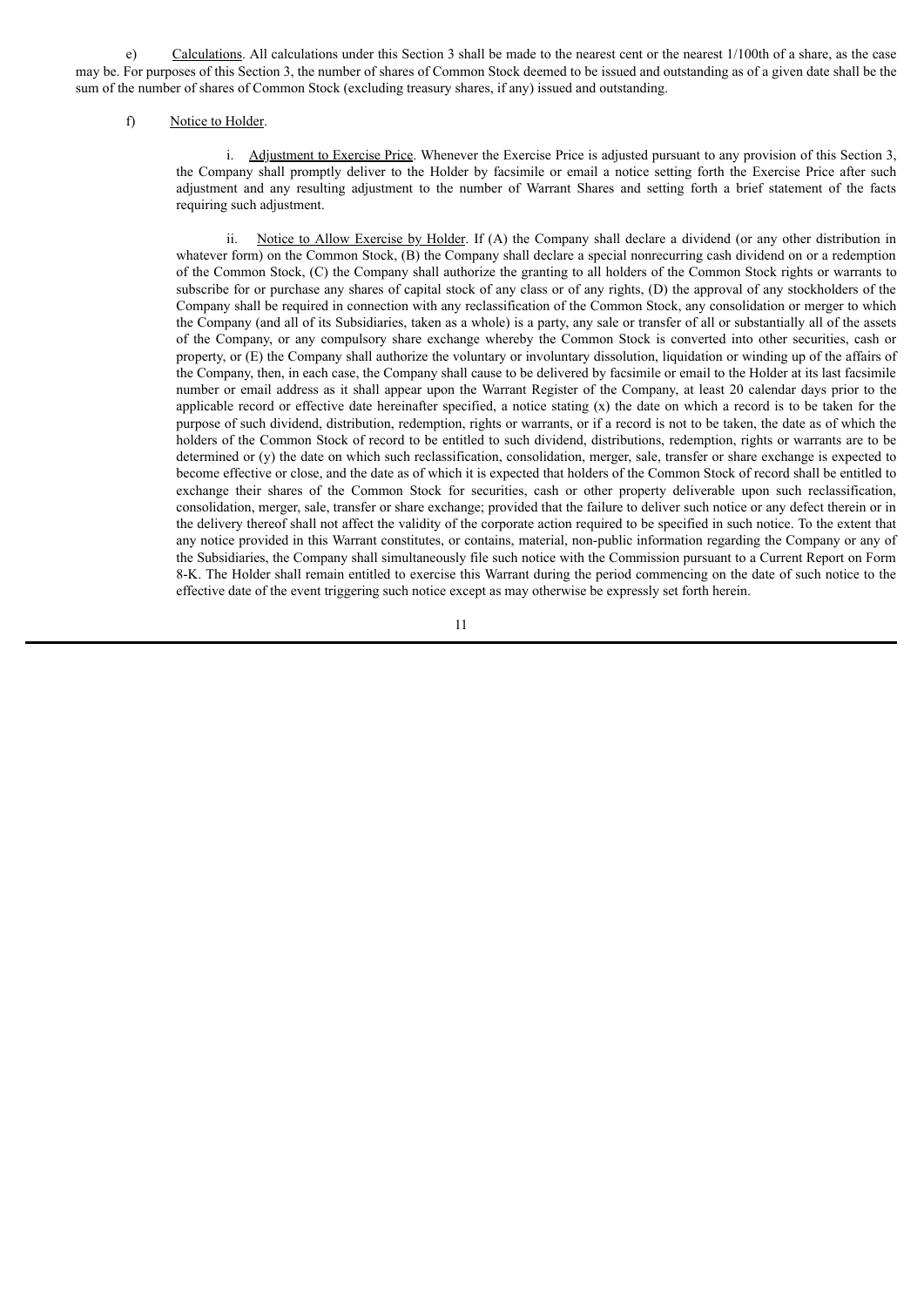e) Calculations. All calculations under this Section 3 shall be made to the nearest cent or the nearest 1/100th of a share, as the case may be. For purposes of this Section 3, the number of shares of Common Stock deemed to be issued and outstanding as of a given date shall be the sum of the number of shares of Common Stock (excluding treasury shares, if any) issued and outstanding.

#### f) Notice to Holder.

i. Adjustment to Exercise Price. Whenever the Exercise Price is adjusted pursuant to any provision of this Section 3, the Company shall promptly deliver to the Holder by facsimile or email a notice setting forth the Exercise Price after such adjustment and any resulting adjustment to the number of Warrant Shares and setting forth a brief statement of the facts requiring such adjustment.

ii. Notice to Allow Exercise by Holder. If (A) the Company shall declare a dividend (or any other distribution in whatever form) on the Common Stock, (B) the Company shall declare a special nonrecurring cash dividend on or a redemption of the Common Stock, (C) the Company shall authorize the granting to all holders of the Common Stock rights or warrants to subscribe for or purchase any shares of capital stock of any class or of any rights, (D) the approval of any stockholders of the Company shall be required in connection with any reclassification of the Common Stock, any consolidation or merger to which the Company (and all of its Subsidiaries, taken as a whole) is a party, any sale or transfer of all or substantially all of the assets of the Company, or any compulsory share exchange whereby the Common Stock is converted into other securities, cash or property, or (E) the Company shall authorize the voluntary or involuntary dissolution, liquidation or winding up of the affairs of the Company, then, in each case, the Company shall cause to be delivered by facsimile or email to the Holder at its last facsimile number or email address as it shall appear upon the Warrant Register of the Company, at least 20 calendar days prior to the applicable record or effective date hereinafter specified, a notice stating (x) the date on which a record is to be taken for the purpose of such dividend, distribution, redemption, rights or warrants, or if a record is not to be taken, the date as of which the holders of the Common Stock of record to be entitled to such dividend, distributions, redemption, rights or warrants are to be determined or (y) the date on which such reclassification, consolidation, merger, sale, transfer or share exchange is expected to become effective or close, and the date as of which it is expected that holders of the Common Stock of record shall be entitled to exchange their shares of the Common Stock for securities, cash or other property deliverable upon such reclassification, consolidation, merger, sale, transfer or share exchange; provided that the failure to deliver such notice or any defect therein or in the delivery thereof shall not affect the validity of the corporate action required to be specified in such notice. To the extent that any notice provided in this Warrant constitutes, or contains, material, non-public information regarding the Company or any of the Subsidiaries, the Company shall simultaneously file such notice with the Commission pursuant to a Current Report on Form 8-K. The Holder shall remain entitled to exercise this Warrant during the period commencing on the date of such notice to the effective date of the event triggering such notice except as may otherwise be expressly set forth herein.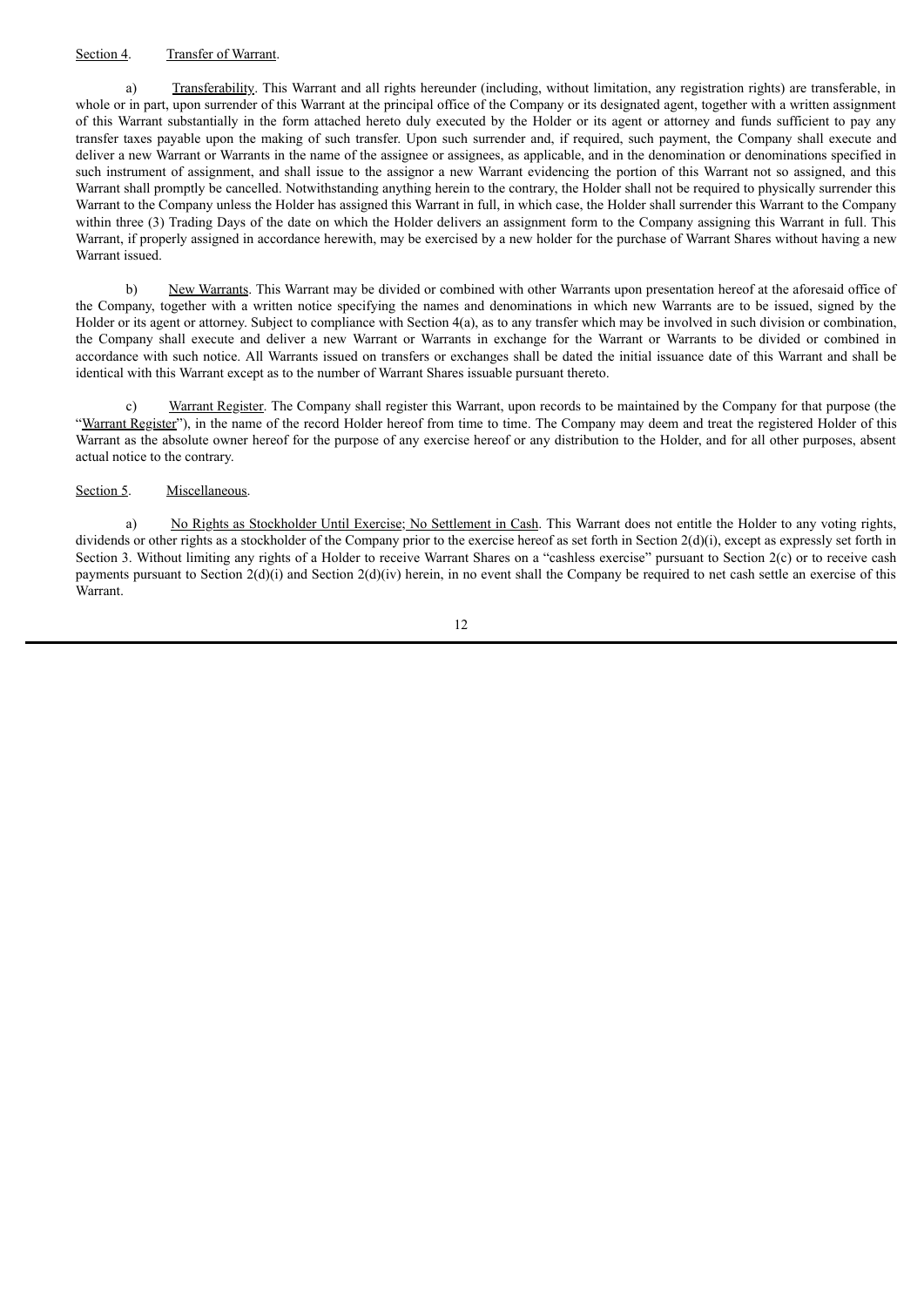# Section 4. Transfer of Warrant.

a) Transferability. This Warrant and all rights hereunder (including, without limitation, any registration rights) are transferable, in whole or in part, upon surrender of this Warrant at the principal office of the Company or its designated agent, together with a written assignment of this Warrant substantially in the form attached hereto duly executed by the Holder or its agent or attorney and funds sufficient to pay any transfer taxes payable upon the making of such transfer. Upon such surrender and, if required, such payment, the Company shall execute and deliver a new Warrant or Warrants in the name of the assignee or assignees, as applicable, and in the denomination or denominations specified in such instrument of assignment, and shall issue to the assignor a new Warrant evidencing the portion of this Warrant not so assigned, and this Warrant shall promptly be cancelled. Notwithstanding anything herein to the contrary, the Holder shall not be required to physically surrender this Warrant to the Company unless the Holder has assigned this Warrant in full, in which case, the Holder shall surrender this Warrant to the Company within three (3) Trading Days of the date on which the Holder delivers an assignment form to the Company assigning this Warrant in full. This Warrant, if properly assigned in accordance herewith, may be exercised by a new holder for the purchase of Warrant Shares without having a new Warrant issued.

b) New Warrants. This Warrant may be divided or combined with other Warrants upon presentation hereof at the aforesaid office of the Company, together with a written notice specifying the names and denominations in which new Warrants are to be issued, signed by the Holder or its agent or attorney. Subject to compliance with Section 4(a), as to any transfer which may be involved in such division or combination, the Company shall execute and deliver a new Warrant or Warrants in exchange for the Warrant or Warrants to be divided or combined in accordance with such notice. All Warrants issued on transfers or exchanges shall be dated the initial issuance date of this Warrant and shall be identical with this Warrant except as to the number of Warrant Shares issuable pursuant thereto.

c) Warrant Register. The Company shall register this Warrant, upon records to be maintained by the Company for that purpose (the "Warrant Register"), in the name of the record Holder hereof from time to time. The Company may deem and treat the registered Holder of this Warrant as the absolute owner hereof for the purpose of any exercise hereof or any distribution to the Holder, and for all other purposes, absent actual notice to the contrary.

# Section 5. Miscellaneous.

a) No Rights as Stockholder Until Exercise; No Settlement in Cash. This Warrant does not entitle the Holder to any voting rights, dividends or other rights as a stockholder of the Company prior to the exercise hereof as set forth in Section  $2(d)(i)$ , except as expressly set forth in Section 3. Without limiting any rights of a Holder to receive Warrant Shares on a "cashless exercise" pursuant to Section 2(c) or to receive cash payments pursuant to Section  $2(d)(i)$  and Section  $2(d)(iv)$  herein, in no event shall the Company be required to net cash settle an exercise of this Warrant.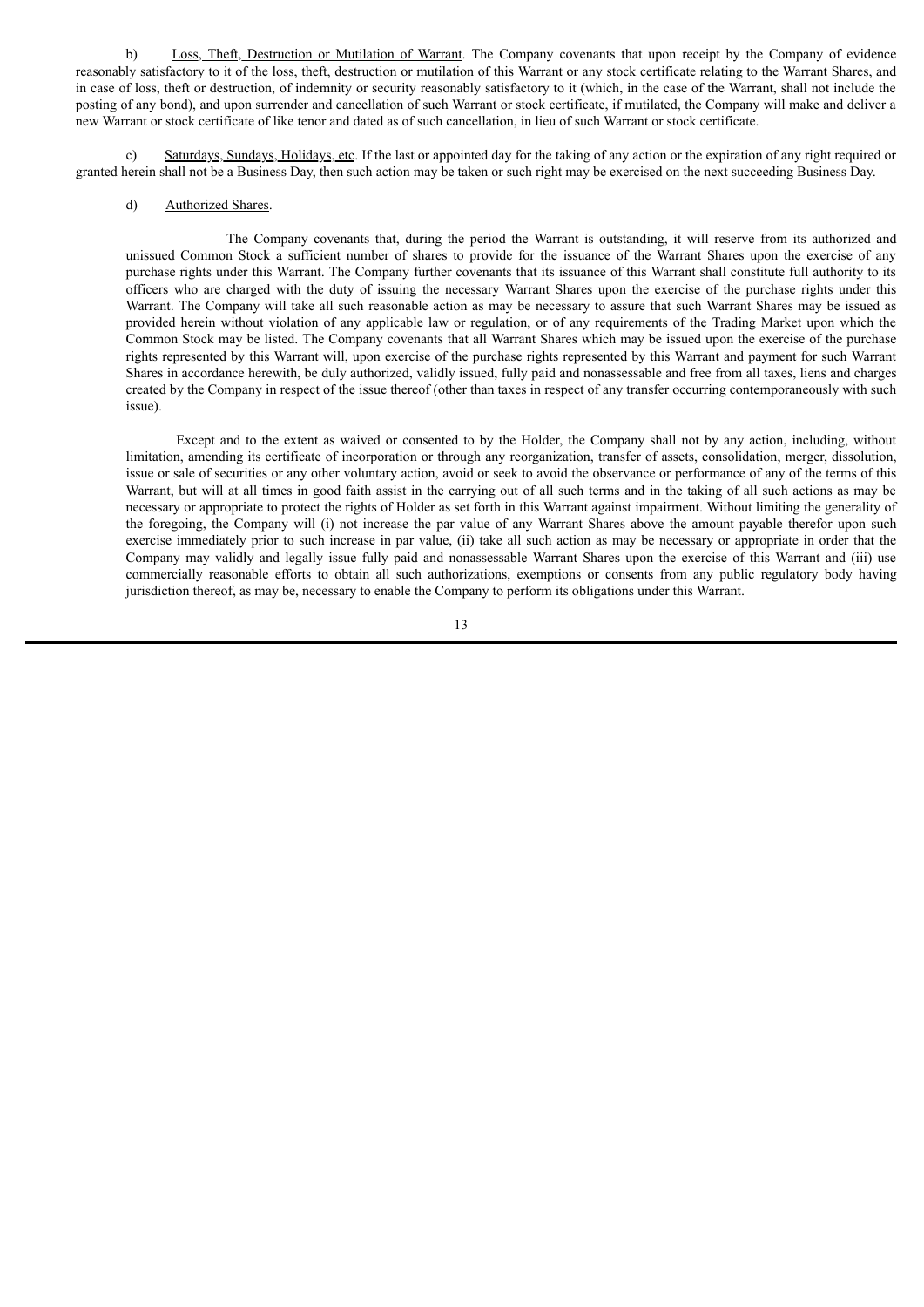b) Loss, Theft, Destruction or Mutilation of Warrant. The Company covenants that upon receipt by the Company of evidence reasonably satisfactory to it of the loss, theft, destruction or mutilation of this Warrant or any stock certificate relating to the Warrant Shares, and in case of loss, theft or destruction, of indemnity or security reasonably satisfactory to it (which, in the case of the Warrant, shall not include the posting of any bond), and upon surrender and cancellation of such Warrant or stock certificate, if mutilated, the Company will make and deliver a new Warrant or stock certificate of like tenor and dated as of such cancellation, in lieu of such Warrant or stock certificate.

c) Saturdays, Sundays, Holidays, etc. If the last or appointed day for the taking of any action or the expiration of any right required or granted herein shall not be a Business Day, then such action may be taken or such right may be exercised on the next succeeding Business Day.

#### d) Authorized Shares.

The Company covenants that, during the period the Warrant is outstanding, it will reserve from its authorized and unissued Common Stock a sufficient number of shares to provide for the issuance of the Warrant Shares upon the exercise of any purchase rights under this Warrant. The Company further covenants that its issuance of this Warrant shall constitute full authority to its officers who are charged with the duty of issuing the necessary Warrant Shares upon the exercise of the purchase rights under this Warrant. The Company will take all such reasonable action as may be necessary to assure that such Warrant Shares may be issued as provided herein without violation of any applicable law or regulation, or of any requirements of the Trading Market upon which the Common Stock may be listed. The Company covenants that all Warrant Shares which may be issued upon the exercise of the purchase rights represented by this Warrant will, upon exercise of the purchase rights represented by this Warrant and payment for such Warrant Shares in accordance herewith, be duly authorized, validly issued, fully paid and nonassessable and free from all taxes, liens and charges created by the Company in respect of the issue thereof (other than taxes in respect of any transfer occurring contemporaneously with such issue).

Except and to the extent as waived or consented to by the Holder, the Company shall not by any action, including, without limitation, amending its certificate of incorporation or through any reorganization, transfer of assets, consolidation, merger, dissolution, issue or sale of securities or any other voluntary action, avoid or seek to avoid the observance or performance of any of the terms of this Warrant, but will at all times in good faith assist in the carrying out of all such terms and in the taking of all such actions as may be necessary or appropriate to protect the rights of Holder as set forth in this Warrant against impairment. Without limiting the generality of the foregoing, the Company will (i) not increase the par value of any Warrant Shares above the amount payable therefor upon such exercise immediately prior to such increase in par value, (ii) take all such action as may be necessary or appropriate in order that the Company may validly and legally issue fully paid and nonassessable Warrant Shares upon the exercise of this Warrant and (iii) use commercially reasonable efforts to obtain all such authorizations, exemptions or consents from any public regulatory body having jurisdiction thereof, as may be, necessary to enable the Company to perform its obligations under this Warrant.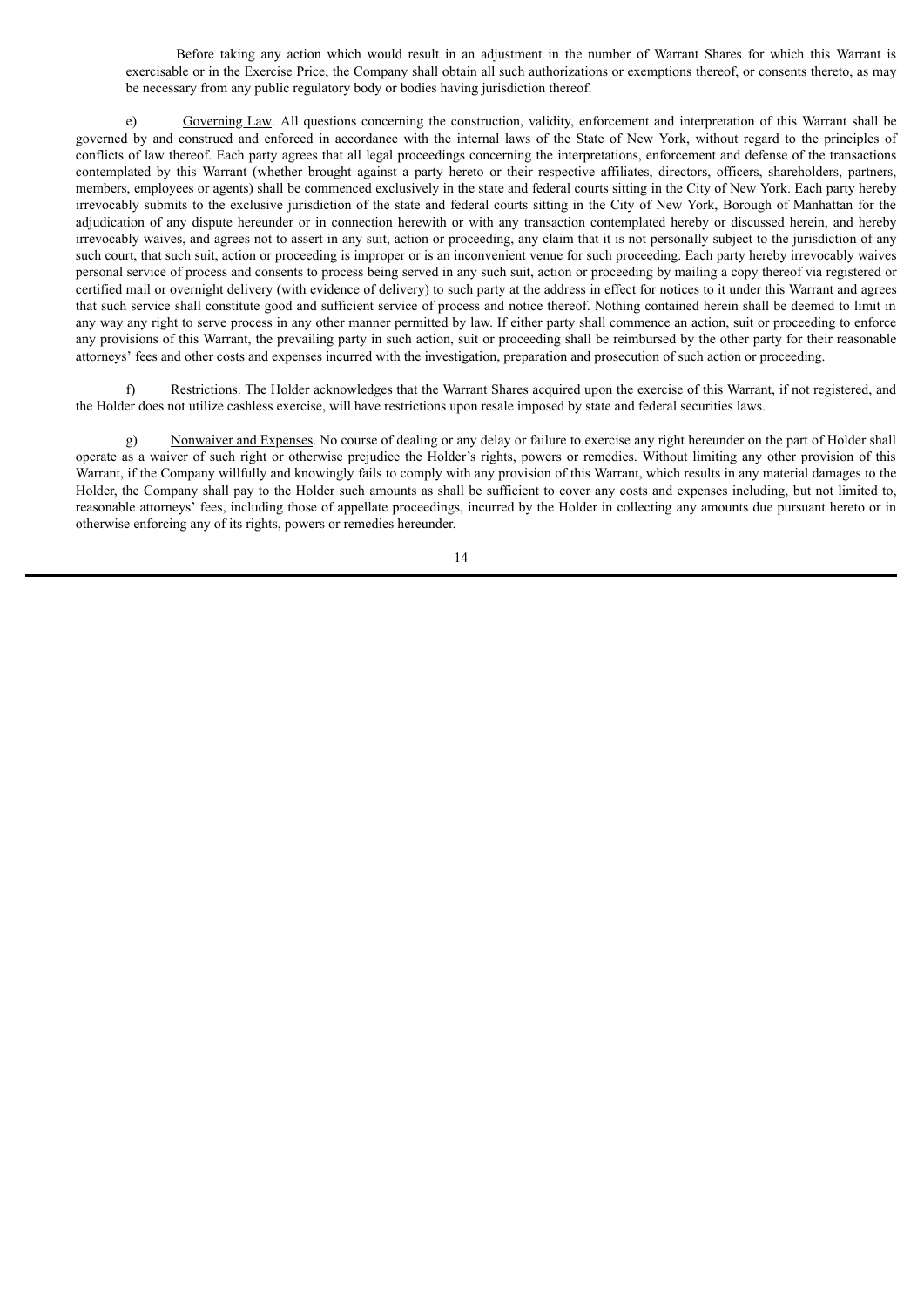Before taking any action which would result in an adjustment in the number of Warrant Shares for which this Warrant is exercisable or in the Exercise Price, the Company shall obtain all such authorizations or exemptions thereof, or consents thereto, as may be necessary from any public regulatory body or bodies having jurisdiction thereof.

e) Governing Law. All questions concerning the construction, validity, enforcement and interpretation of this Warrant shall be governed by and construed and enforced in accordance with the internal laws of the State of New York, without regard to the principles of conflicts of law thereof. Each party agrees that all legal proceedings concerning the interpretations, enforcement and defense of the transactions contemplated by this Warrant (whether brought against a party hereto or their respective affiliates, directors, officers, shareholders, partners, members, employees or agents) shall be commenced exclusively in the state and federal courts sitting in the City of New York. Each party hereby irrevocably submits to the exclusive jurisdiction of the state and federal courts sitting in the City of New York, Borough of Manhattan for the adjudication of any dispute hereunder or in connection herewith or with any transaction contemplated hereby or discussed herein, and hereby irrevocably waives, and agrees not to assert in any suit, action or proceeding, any claim that it is not personally subject to the jurisdiction of any such court, that such suit, action or proceeding is improper or is an inconvenient venue for such proceeding. Each party hereby irrevocably waives personal service of process and consents to process being served in any such suit, action or proceeding by mailing a copy thereof via registered or certified mail or overnight delivery (with evidence of delivery) to such party at the address in effect for notices to it under this Warrant and agrees that such service shall constitute good and sufficient service of process and notice thereof. Nothing contained herein shall be deemed to limit in any way any right to serve process in any other manner permitted by law. If either party shall commence an action, suit or proceeding to enforce any provisions of this Warrant, the prevailing party in such action, suit or proceeding shall be reimbursed by the other party for their reasonable attorneys' fees and other costs and expenses incurred with the investigation, preparation and prosecution of such action or proceeding.

f) Restrictions. The Holder acknowledges that the Warrant Shares acquired upon the exercise of this Warrant, if not registered, and the Holder does not utilize cashless exercise, will have restrictions upon resale imposed by state and federal securities laws.

g) Nonwaiver and Expenses. No course of dealing or any delay or failure to exercise any right hereunder on the part of Holder shall operate as a waiver of such right or otherwise prejudice the Holder's rights, powers or remedies. Without limiting any other provision of this Warrant, if the Company willfully and knowingly fails to comply with any provision of this Warrant, which results in any material damages to the Holder, the Company shall pay to the Holder such amounts as shall be sufficient to cover any costs and expenses including, but not limited to, reasonable attorneys' fees, including those of appellate proceedings, incurred by the Holder in collecting any amounts due pursuant hereto or in otherwise enforcing any of its rights, powers or remedies hereunder.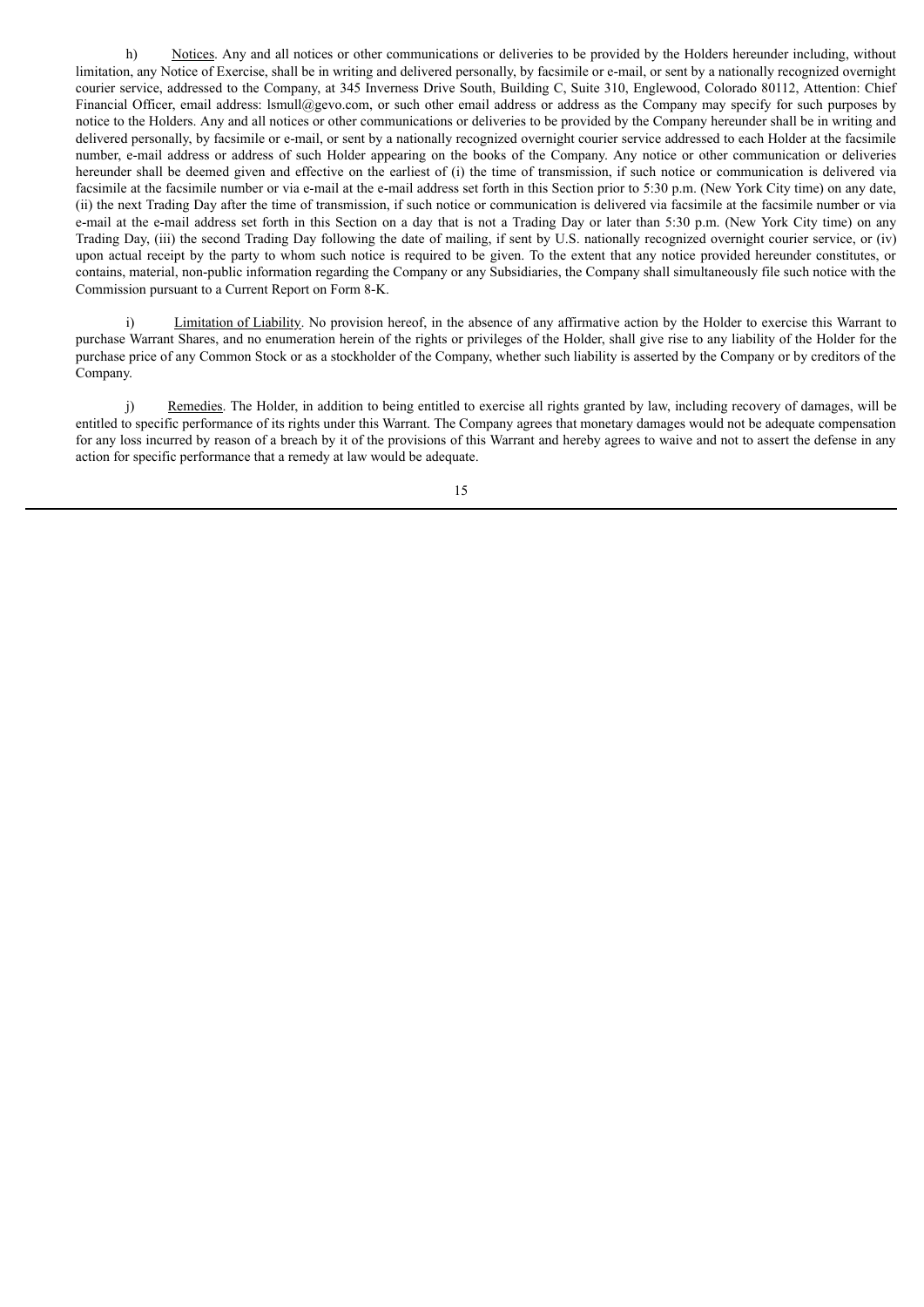h) Notices. Any and all notices or other communications or deliveries to be provided by the Holders hereunder including, without limitation, any Notice of Exercise, shall be in writing and delivered personally, by facsimile or e-mail, or sent by a nationally recognized overnight courier service, addressed to the Company, at 345 Inverness Drive South, Building C, Suite 310, Englewood, Colorado 80112, Attention: Chief Financial Officer, email address: Ismull@gevo.com, or such other email address or address as the Company may specify for such purposes by notice to the Holders. Any and all notices or other communications or deliveries to be provided by the Company hereunder shall be in writing and delivered personally, by facsimile or e-mail, or sent by a nationally recognized overnight courier service addressed to each Holder at the facsimile number, e-mail address or address of such Holder appearing on the books of the Company. Any notice or other communication or deliveries hereunder shall be deemed given and effective on the earliest of (i) the time of transmission, if such notice or communication is delivered via facsimile at the facsimile number or via e-mail at the e-mail address set forth in this Section prior to 5:30 p.m. (New York City time) on any date, (ii) the next Trading Day after the time of transmission, if such notice or communication is delivered via facsimile at the facsimile number or via e-mail at the e-mail address set forth in this Section on a day that is not a Trading Day or later than 5:30 p.m. (New York City time) on any Trading Day, (iii) the second Trading Day following the date of mailing, if sent by U.S. nationally recognized overnight courier service, or (iv) upon actual receipt by the party to whom such notice is required to be given. To the extent that any notice provided hereunder constitutes, or contains, material, non-public information regarding the Company or any Subsidiaries, the Company shall simultaneously file such notice with the Commission pursuant to a Current Report on Form 8-K.

i) Limitation of Liability. No provision hereof, in the absence of any affirmative action by the Holder to exercise this Warrant to purchase Warrant Shares, and no enumeration herein of the rights or privileges of the Holder, shall give rise to any liability of the Holder for the purchase price of any Common Stock or as a stockholder of the Company, whether such liability is asserted by the Company or by creditors of the Company.

j) Remedies. The Holder, in addition to being entitled to exercise all rights granted by law, including recovery of damages, will be entitled to specific performance of its rights under this Warrant. The Company agrees that monetary damages would not be adequate compensation for any loss incurred by reason of a breach by it of the provisions of this Warrant and hereby agrees to waive and not to assert the defense in any action for specific performance that a remedy at law would be adequate.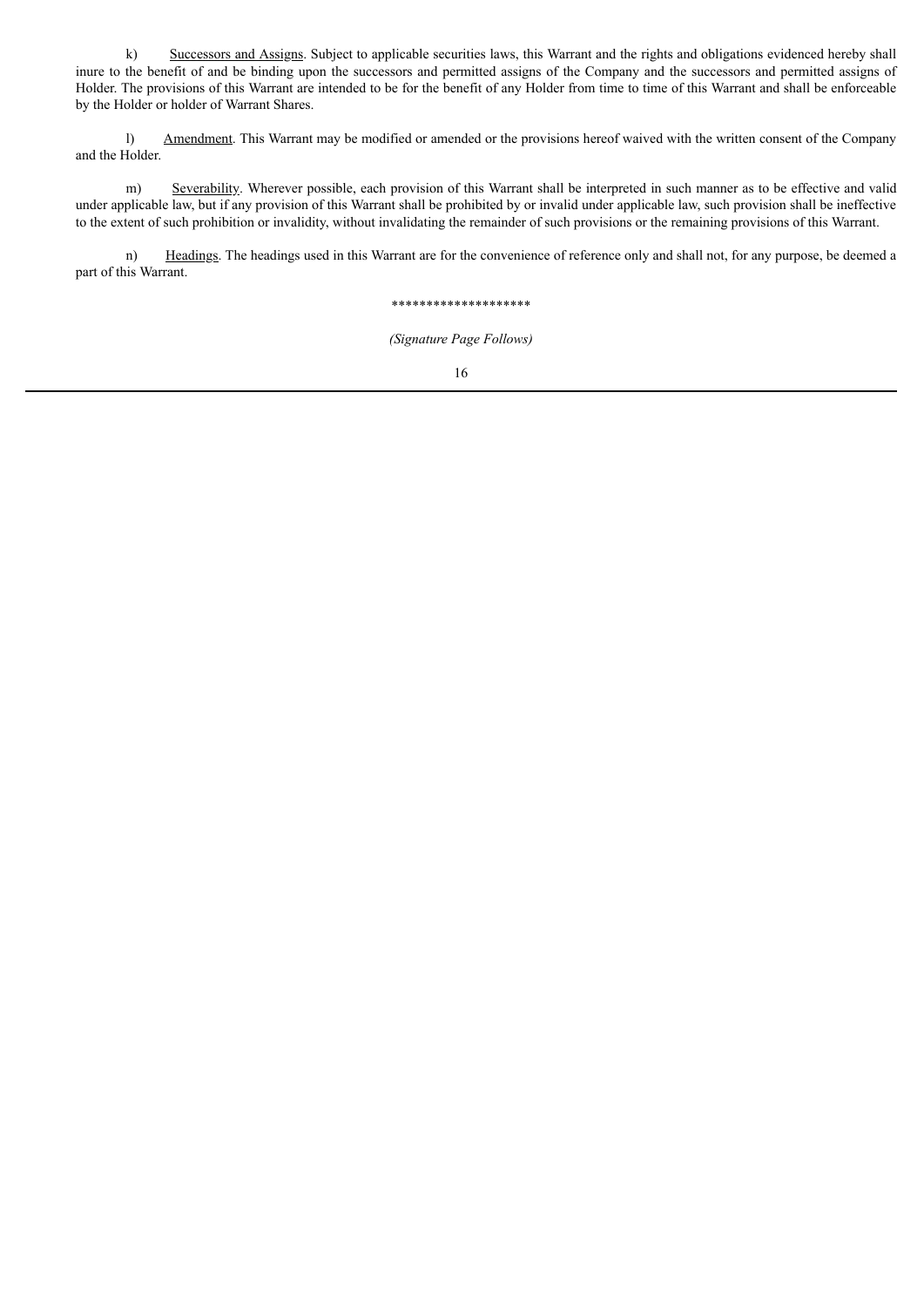k) Successors and Assigns. Subject to applicable securities laws, this Warrant and the rights and obligations evidenced hereby shall inure to the benefit of and be binding upon the successors and permitted assigns of the Company and the successors and permitted assigns of Holder. The provisions of this Warrant are intended to be for the benefit of any Holder from time to time of this Warrant and shall be enforceable by the Holder or holder of Warrant Shares.

l) Amendment. This Warrant may be modified or amended or the provisions hereof waived with the written consent of the Company and the Holder.

m) Severability. Wherever possible, each provision of this Warrant shall be interpreted in such manner as to be effective and valid under applicable law, but if any provision of this Warrant shall be prohibited by or invalid under applicable law, such provision shall be ineffective to the extent of such prohibition or invalidity, without invalidating the remainder of such provisions or the remaining provisions of this Warrant.

n) Headings. The headings used in this Warrant are for the convenience of reference only and shall not, for any purpose, be deemed a part of this Warrant.

## \*\*\*\*\*\*\*\*\*\*\*\*\*\*\*\*\*\*\*\*

*(Signature Page Follows)*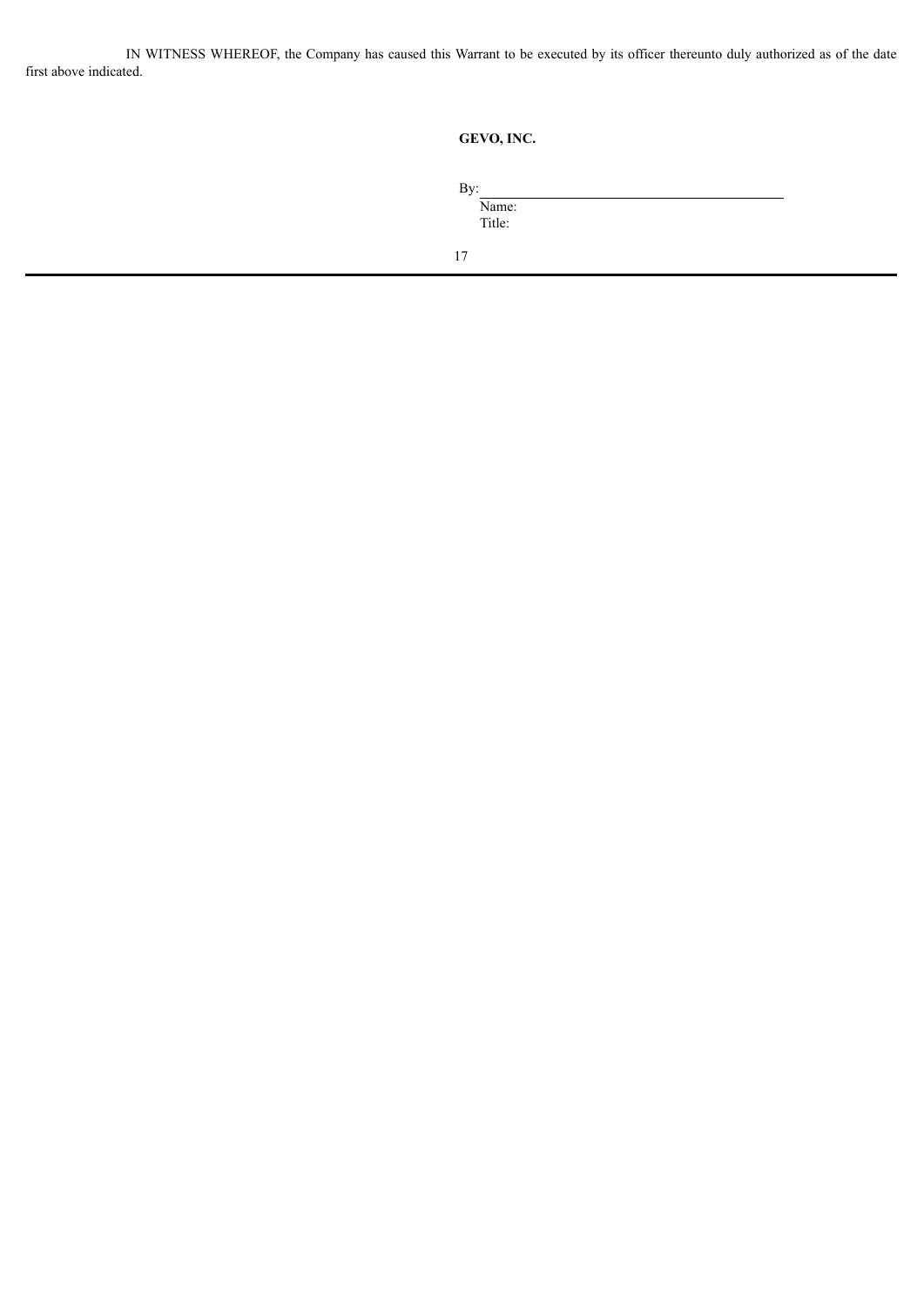IN WITNESS WHEREOF, the Company has caused this Warrant to be executed by its officer thereunto duly authorized as of the date first above indicated.

| GEVO, INC. |  |
|------------|--|
|            |  |

| By: |        |  |  |  |
|-----|--------|--|--|--|
|     | Name:  |  |  |  |
|     | Title: |  |  |  |
|     |        |  |  |  |
| 17  |        |  |  |  |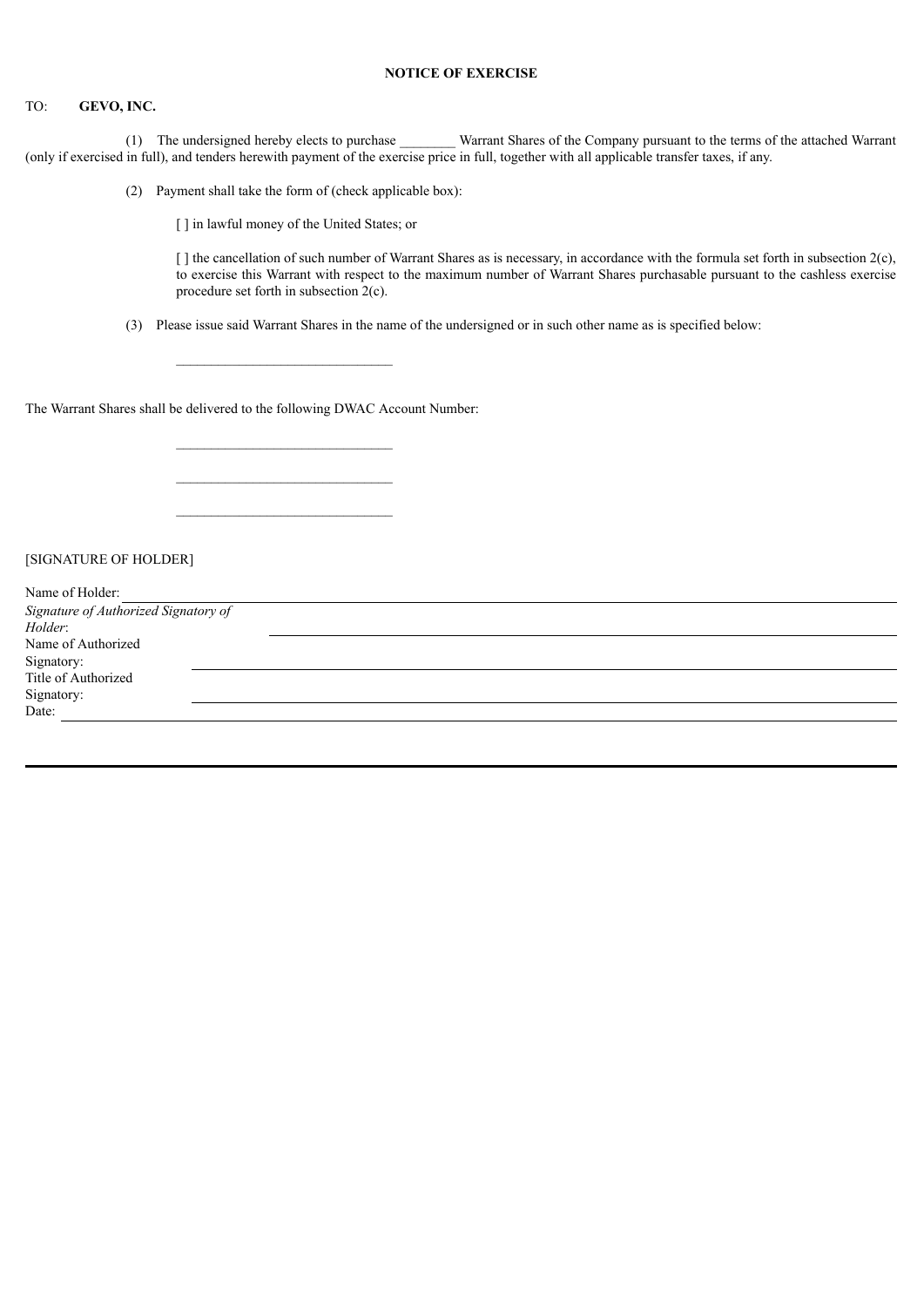# **NOTICE OF EXERCISE**

# TO: **GEVO, INC.**

(1) The undersigned hereby elects to purchase \_\_\_\_\_\_\_\_ Warrant Shares of the Company pursuant to the terms of the attached Warrant (only if exercised in full), and tenders herewith payment of the exercise price in full, together with all applicable transfer taxes, if any.

(2) Payment shall take the form of (check applicable box):

[] in lawful money of the United States; or

 $\lceil \cdot \rceil$  the cancellation of such number of Warrant Shares as is necessary, in accordance with the formula set forth in subsection  $2(c)$ , to exercise this Warrant with respect to the maximum number of Warrant Shares purchasable pursuant to the cashless exercise procedure set forth in subsection 2(c).

(3) Please issue said Warrant Shares in the name of the undersigned or in such other name as is specified below:

The Warrant Shares shall be delivered to the following DWAC Account Number:

[SIGNATURE OF HOLDER]

| Name of Holder:                      |  |
|--------------------------------------|--|
| Signature of Authorized Signatory of |  |
| Holder:                              |  |
| Name of Authorized                   |  |
| Signatory:                           |  |
| Title of Authorized                  |  |
| Signatory:                           |  |
| Date:                                |  |
|                                      |  |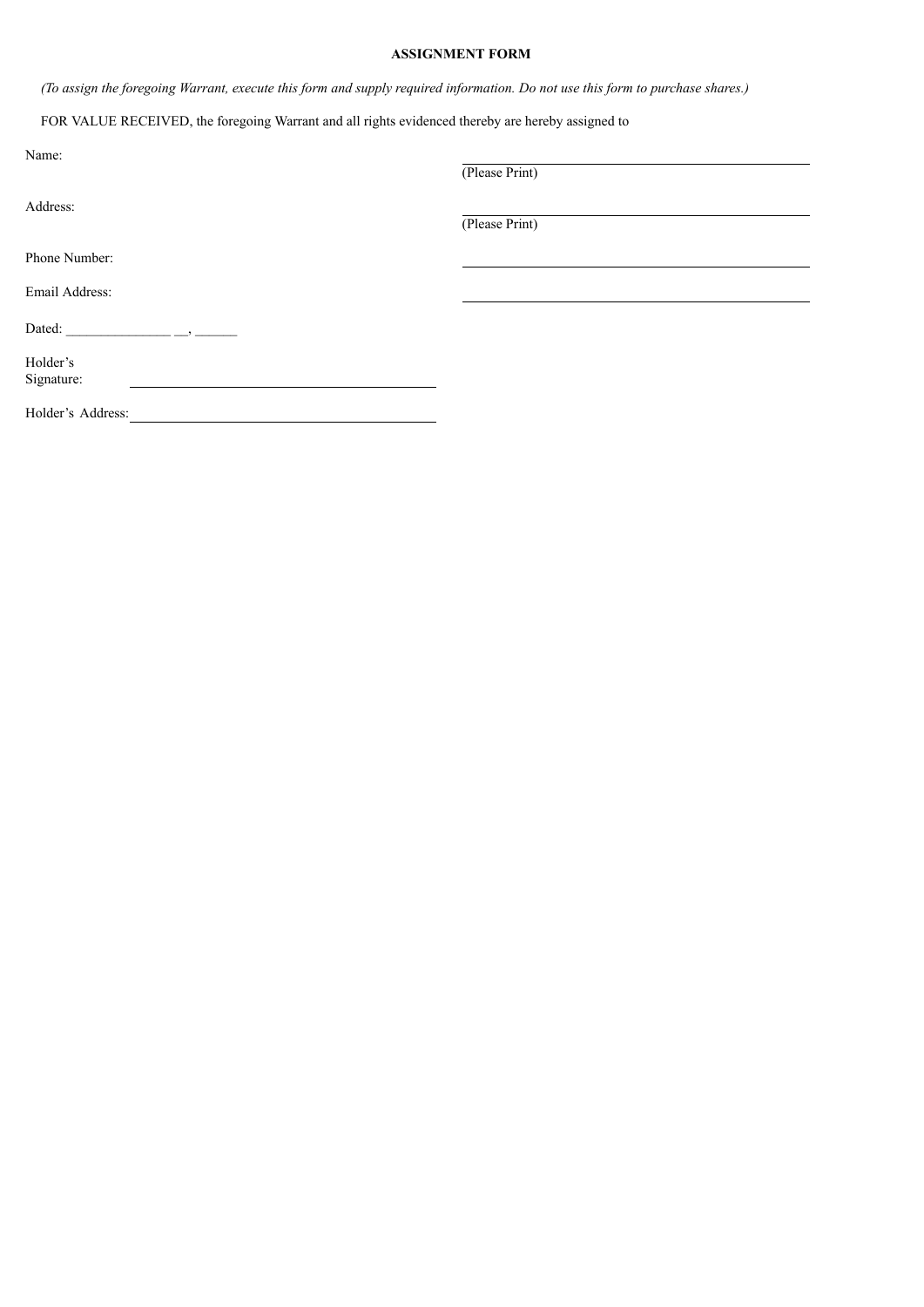# **ASSIGNMENT FORM**

(To assign the foregoing Warrant, execute this form and supply required information. Do not use this form to purchase shares.)

FOR VALUE RECEIVED, the foregoing Warrant and all rights evidenced thereby are hereby assigned to

| Name:             | (Please Print) |  |
|-------------------|----------------|--|
| Address:          |                |  |
|                   | (Please Print) |  |
| Phone Number:     |                |  |
| Email Address:    |                |  |
| Dated:            |                |  |
| Holder's          |                |  |
| Signature:        |                |  |
| Holder's Address: |                |  |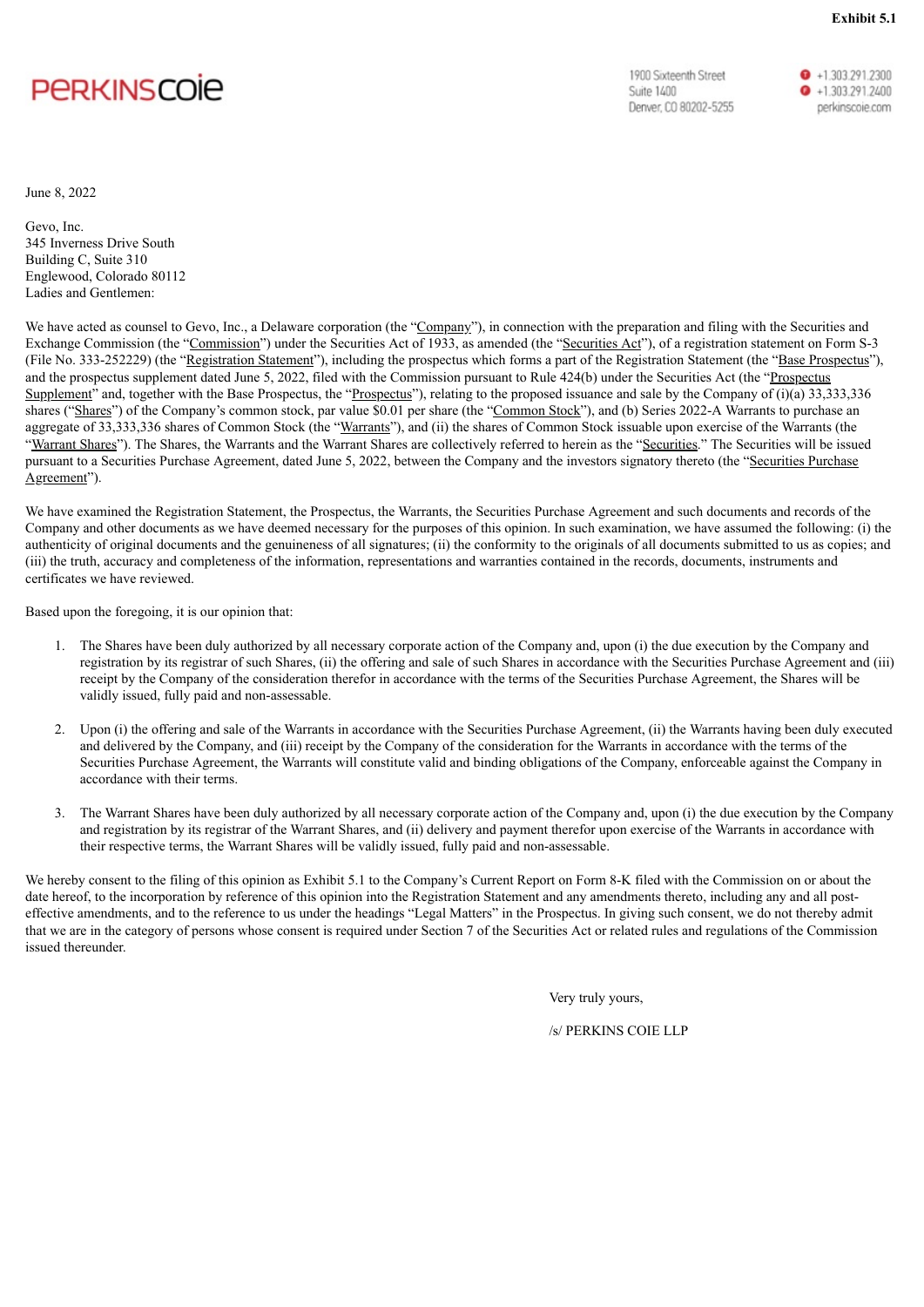# <span id="page-22-0"></span>**PERKINSCOIE**

1900 Sixteenth Street **Suite 1400** Denver, CO 80202-5255 **Exhibit 5.1**

 $\bullet$  +1.303.291.2300  $\bullet$  +1.303.291.2400 perkinscoie.com

June 8, 2022

Gevo, Inc. 345 Inverness Drive South Building C, Suite 310 Englewood, Colorado 80112 Ladies and Gentlemen:

We have acted as counsel to Gevo, Inc., a Delaware corporation (the "Company"), in connection with the preparation and filing with the Securities and Exchange Commission (the "Commission") under the Securities Act of 1933, as amended (the "Securities Act"), of a registration statement on Form S-3 (File No. 333-252229) (the "Registration Statement"), including the prospectus which forms a part of the Registration Statement (the "Base Prospectus"), and the prospectus supplement dated June 5, 2022, filed with the Commission pursuant to Rule 424(b) under the Securities Act (the "Prospectus Supplement" and, together with the Base Prospectus, the "Prospectus"), relating to the proposed issuance and sale by the Company of (i)(a) 33,333,336 shares ("Shares") of the Company's common stock, par value \$0.01 per share (the "Common Stock"), and (b) Series 2022-A Warrants to purchase an aggregate of 33,333,336 shares of Common Stock (the "Warrants"), and (ii) the shares of Common Stock issuable upon exercise of the Warrants (the "Warrant Shares"). The Shares, the Warrants and the Warrant Shares are collectively referred to herein as the "Securities." The Securities will be issued pursuant to a Securities Purchase Agreement, dated June 5, 2022, between the Company and the investors signatory thereto (the "Securities Purchase") Agreement").

We have examined the Registration Statement, the Prospectus, the Warrants, the Securities Purchase Agreement and such documents and records of the Company and other documents as we have deemed necessary for the purposes of this opinion. In such examination, we have assumed the following: (i) the authenticity of original documents and the genuineness of all signatures; (ii) the conformity to the originals of all documents submitted to us as copies; and (iii) the truth, accuracy and completeness of the information, representations and warranties contained in the records, documents, instruments and certificates we have reviewed.

Based upon the foregoing, it is our opinion that:

- 1. The Shares have been duly authorized by all necessary corporate action of the Company and, upon (i) the due execution by the Company and registration by its registrar of such Shares, (ii) the offering and sale of such Shares in accordance with the Securities Purchase Agreement and (iii) receipt by the Company of the consideration therefor in accordance with the terms of the Securities Purchase Agreement, the Shares will be validly issued, fully paid and non-assessable.
- 2. Upon (i) the offering and sale of the Warrants in accordance with the Securities Purchase Agreement, (ii) the Warrants having been duly executed and delivered by the Company, and (iii) receipt by the Company of the consideration for the Warrants in accordance with the terms of the Securities Purchase Agreement, the Warrants will constitute valid and binding obligations of the Company, enforceable against the Company in accordance with their terms.
- 3. The Warrant Shares have been duly authorized by all necessary corporate action of the Company and, upon (i) the due execution by the Company and registration by its registrar of the Warrant Shares, and (ii) delivery and payment therefor upon exercise of the Warrants in accordance with their respective terms, the Warrant Shares will be validly issued, fully paid and non-assessable.

We hereby consent to the filing of this opinion as Exhibit 5.1 to the Company's Current Report on Form 8-K filed with the Commission on or about the date hereof, to the incorporation by reference of this opinion into the Registration Statement and any amendments thereto, including any and all posteffective amendments, and to the reference to us under the headings "Legal Matters" in the Prospectus. In giving such consent, we do not thereby admit that we are in the category of persons whose consent is required under Section 7 of the Securities Act or related rules and regulations of the Commission issued thereunder.

Very truly yours,

/s/ PERKINS COIE LLP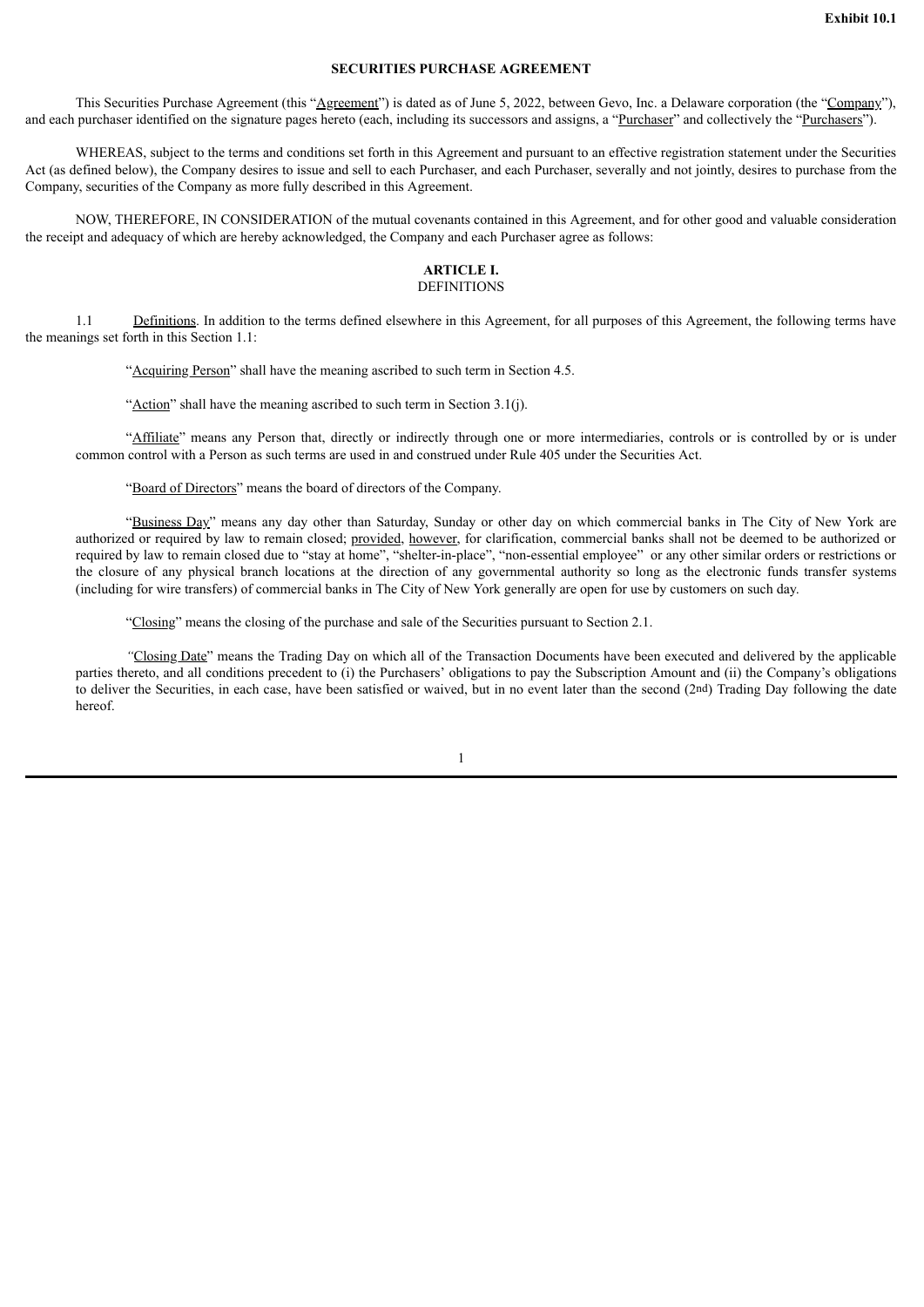# **SECURITIES PURCHASE AGREEMENT**

<span id="page-23-0"></span>This Securities Purchase Agreement (this "Agreement") is dated as of June 5, 2022, between Gevo, Inc. a Delaware corporation (the "Company"), and each purchaser identified on the signature pages hereto (each, including its successors and assigns, a "Purchaser" and collectively the "Purchasers").

WHEREAS, subject to the terms and conditions set forth in this Agreement and pursuant to an effective registration statement under the Securities Act (as defined below), the Company desires to issue and sell to each Purchaser, and each Purchaser, severally and not jointly, desires to purchase from the Company, securities of the Company as more fully described in this Agreement.

NOW, THEREFORE, IN CONSIDERATION of the mutual covenants contained in this Agreement, and for other good and valuable consideration the receipt and adequacy of which are hereby acknowledged, the Company and each Purchaser agree as follows:

# **ARTICLE I.** DEFINITIONS

1.1 Definitions. In addition to the terms defined elsewhere in this Agreement, for all purposes of this Agreement, the following terms have the meanings set forth in this Section 1.1:

"Acquiring Person" shall have the meaning ascribed to such term in Section 4.5.

"Action" shall have the meaning ascribed to such term in Section  $3.1(i)$ .

"Affiliate" means any Person that, directly or indirectly through one or more intermediaries, controls or is controlled by or is under common control with a Person as such terms are used in and construed under Rule 405 under the Securities Act.

"Board of Directors" means the board of directors of the Company.

"Business Day" means any day other than Saturday, Sunday or other day on which commercial banks in The City of New York are authorized or required by law to remain closed; provided, however, for clarification, commercial banks shall not be deemed to be authorized or required by law to remain closed due to "stay at home", "shelter-in-place", "non-essential employee" or any other similar orders or restrictions or the closure of any physical branch locations at the direction of any governmental authority so long as the electronic funds transfer systems (including for wire transfers) of commercial banks in The City of New York generally are open for use by customers on such day.

"Closing" means the closing of the purchase and sale of the Securities pursuant to Section 2.1.

*"*Closing Date" means the Trading Day on which all of the Transaction Documents have been executed and delivered by the applicable parties thereto, and all conditions precedent to (i) the Purchasers' obligations to pay the Subscription Amount and (ii) the Company's obligations to deliver the Securities, in each case, have been satisfied or waived, but in no event later than the second (2nd) Trading Day following the date hereof.

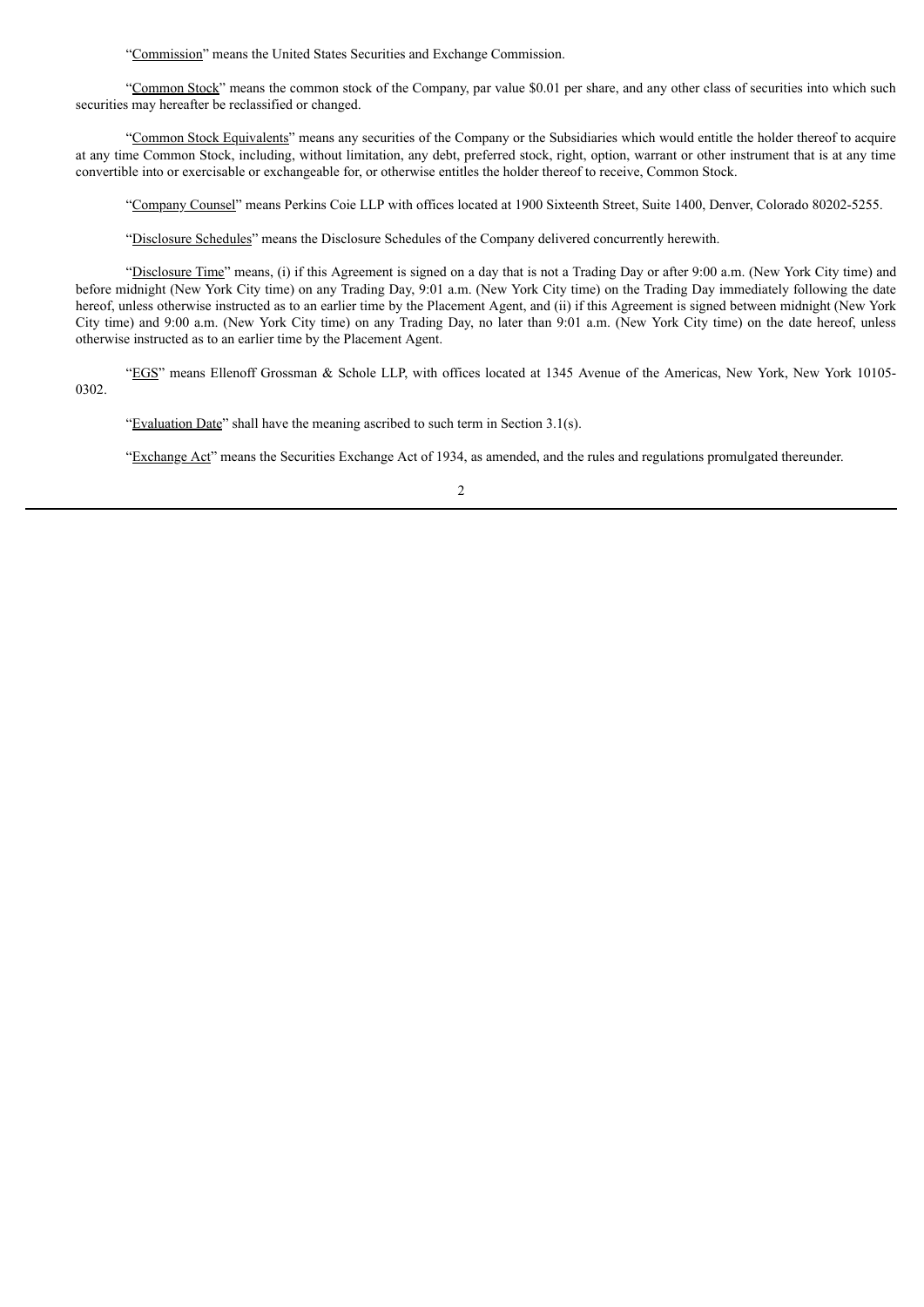"Commission" means the United States Securities and Exchange Commission.

"Common Stock" means the common stock of the Company, par value \$0.01 per share, and any other class of securities into which such securities may hereafter be reclassified or changed.

"Common Stock Equivalents" means any securities of the Company or the Subsidiaries which would entitle the holder thereof to acquire at any time Common Stock, including, without limitation, any debt, preferred stock, right, option, warrant or other instrument that is at any time convertible into or exercisable or exchangeable for, or otherwise entitles the holder thereof to receive, Common Stock.

"Company Counsel" means Perkins Coie LLP with offices located at 1900 Sixteenth Street, Suite 1400, Denver, Colorado 80202-5255.

"Disclosure Schedules" means the Disclosure Schedules of the Company delivered concurrently herewith.

"Disclosure Time" means, (i) if this Agreement is signed on a day that is not a Trading Day or after 9:00 a.m. (New York City time) and before midnight (New York City time) on any Trading Day, 9:01 a.m. (New York City time) on the Trading Day immediately following the date hereof, unless otherwise instructed as to an earlier time by the Placement Agent, and (ii) if this Agreement is signed between midnight (New York City time) and 9:00 a.m. (New York City time) on any Trading Day, no later than 9:01 a.m. (New York City time) on the date hereof, unless otherwise instructed as to an earlier time by the Placement Agent.

"EGS" means Ellenoff Grossman & Schole LLP, with offices located at 1345 Avenue of the Americas, New York, New York 10105- 0302.

"Evaluation Date" shall have the meaning ascribed to such term in Section 3.1(s).

"Exchange Act" means the Securities Exchange Act of 1934, as amended, and the rules and regulations promulgated thereunder.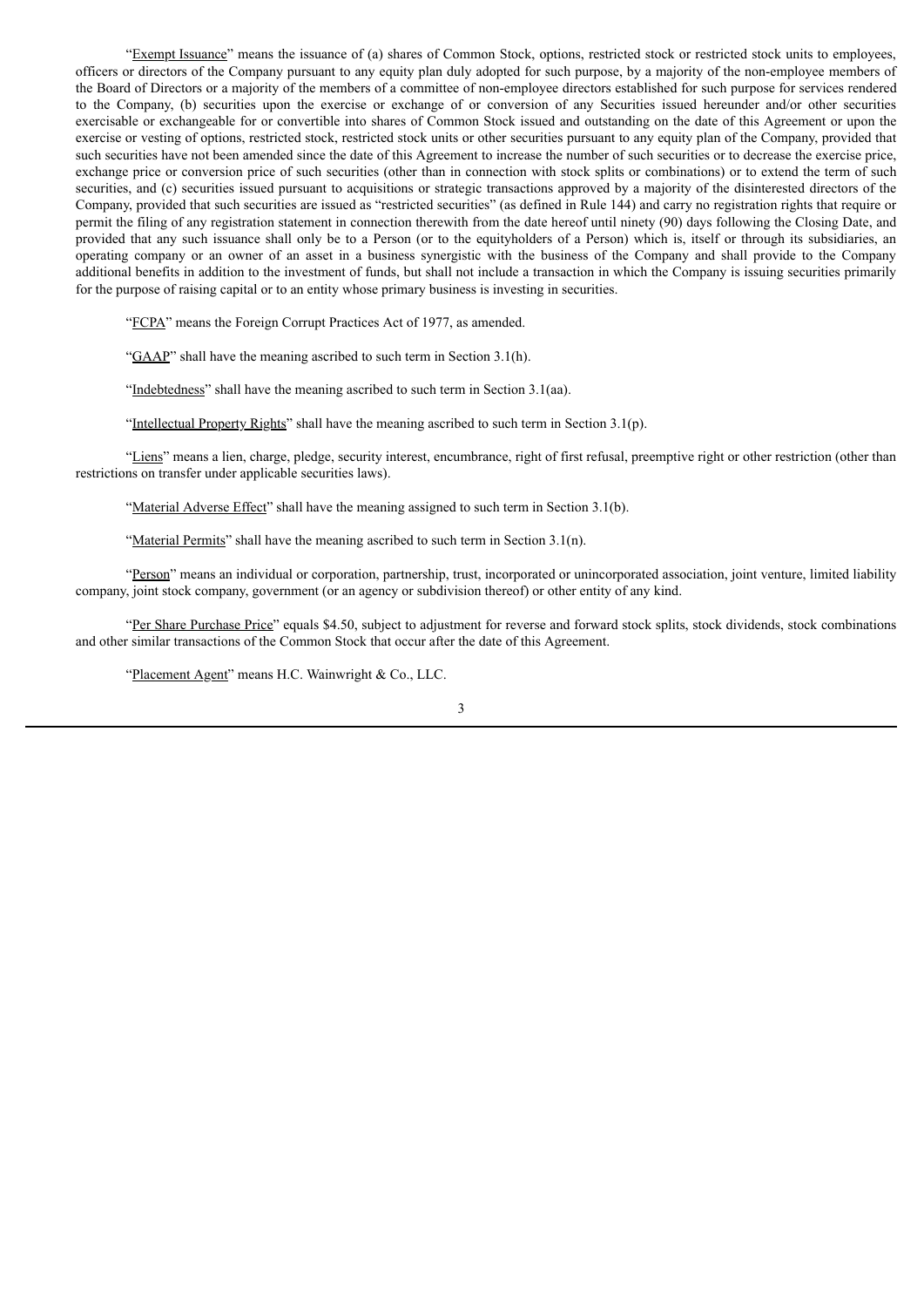"Exempt Issuance" means the issuance of (a) shares of Common Stock, options, restricted stock or restricted stock units to employees, officers or directors of the Company pursuant to any equity plan duly adopted for such purpose, by a majority of the non-employee members of the Board of Directors or a majority of the members of a committee of non-employee directors established for such purpose for services rendered to the Company, (b) securities upon the exercise or exchange of or conversion of any Securities issued hereunder and/or other securities exercisable or exchangeable for or convertible into shares of Common Stock issued and outstanding on the date of this Agreement or upon the exercise or vesting of options, restricted stock, restricted stock units or other securities pursuant to any equity plan of the Company, provided that such securities have not been amended since the date of this Agreement to increase the number of such securities or to decrease the exercise price, exchange price or conversion price of such securities (other than in connection with stock splits or combinations) or to extend the term of such securities, and (c) securities issued pursuant to acquisitions or strategic transactions approved by a majority of the disinterested directors of the Company, provided that such securities are issued as "restricted securities" (as defined in Rule 144) and carry no registration rights that require or permit the filing of any registration statement in connection therewith from the date hereof until ninety (90) days following the Closing Date, and provided that any such issuance shall only be to a Person (or to the equityholders of a Person) which is, itself or through its subsidiaries, an operating company or an owner of an asset in a business synergistic with the business of the Company and shall provide to the Company additional benefits in addition to the investment of funds, but shall not include a transaction in which the Company is issuing securities primarily for the purpose of raising capital or to an entity whose primary business is investing in securities.

"FCPA" means the Foreign Corrupt Practices Act of 1977, as amended.

"GAAP" shall have the meaning ascribed to such term in Section 3.1(h).

"Indebtedness" shall have the meaning ascribed to such term in Section 3.1(aa).

"Intellectual Property Rights" shall have the meaning ascribed to such term in Section 3.1(p).

"Liens" means a lien, charge, pledge, security interest, encumbrance, right of first refusal, preemptive right or other restriction (other than restrictions on transfer under applicable securities laws).

"Material Adverse Effect" shall have the meaning assigned to such term in Section 3.1(b).

"Material Permits" shall have the meaning ascribed to such term in Section 3.1(n).

"Person" means an individual or corporation, partnership, trust, incorporated or unincorporated association, joint venture, limited liability company, joint stock company, government (or an agency or subdivision thereof) or other entity of any kind.

"Per Share Purchase Price" equals \$4.50, subject to adjustment for reverse and forward stock splits, stock dividends, stock combinations and other similar transactions of the Common Stock that occur after the date of this Agreement.

"Placement Agent" means H.C. Wainwright & Co., LLC.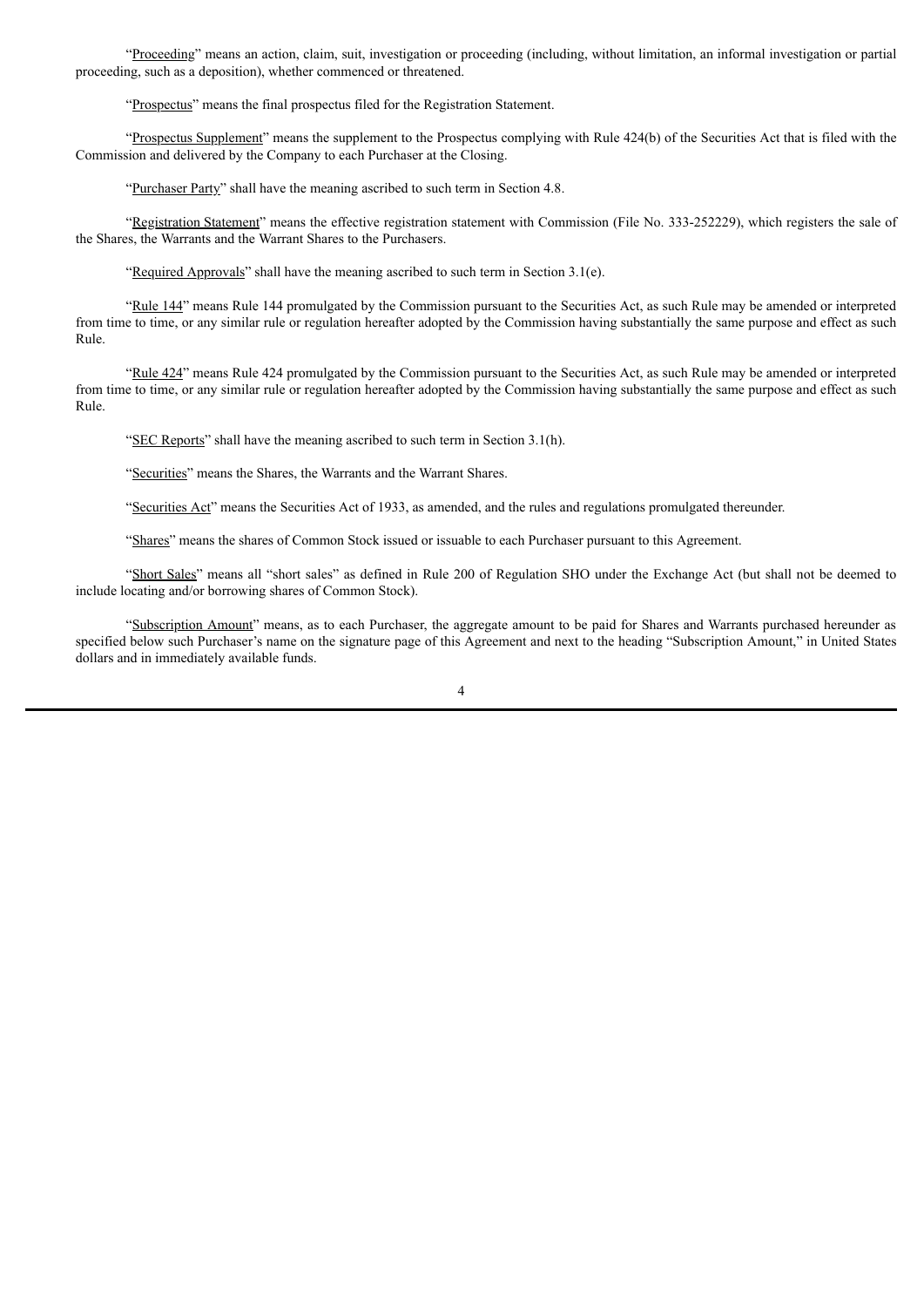"Proceeding" means an action, claim, suit, investigation or proceeding (including, without limitation, an informal investigation or partial proceeding, such as a deposition), whether commenced or threatened.

"Prospectus" means the final prospectus filed for the Registration Statement.

"Prospectus Supplement" means the supplement to the Prospectus complying with Rule 424(b) of the Securities Act that is filed with the Commission and delivered by the Company to each Purchaser at the Closing.

"Purchaser Party" shall have the meaning ascribed to such term in Section 4.8.

"Registration Statement" means the effective registration statement with Commission (File No. 333-252229), which registers the sale of the Shares, the Warrants and the Warrant Shares to the Purchasers.

"Required Approvals" shall have the meaning ascribed to such term in Section 3.1(e).

"Rule 144" means Rule 144 promulgated by the Commission pursuant to the Securities Act, as such Rule may be amended or interpreted from time to time, or any similar rule or regulation hereafter adopted by the Commission having substantially the same purpose and effect as such Rule.

"Rule 424" means Rule 424 promulgated by the Commission pursuant to the Securities Act, as such Rule may be amended or interpreted from time to time, or any similar rule or regulation hereafter adopted by the Commission having substantially the same purpose and effect as such Rule.

"SEC Reports" shall have the meaning ascribed to such term in Section 3.1(h).

"Securities" means the Shares, the Warrants and the Warrant Shares.

"Securities Act" means the Securities Act of 1933, as amended, and the rules and regulations promulgated thereunder.

"Shares" means the shares of Common Stock issued or issuable to each Purchaser pursuant to this Agreement.

"Short Sales" means all "short sales" as defined in Rule 200 of Regulation SHO under the Exchange Act (but shall not be deemed to include locating and/or borrowing shares of Common Stock).

"Subscription Amount" means, as to each Purchaser, the aggregate amount to be paid for Shares and Warrants purchased hereunder as specified below such Purchaser's name on the signature page of this Agreement and next to the heading "Subscription Amount," in United States dollars and in immediately available funds.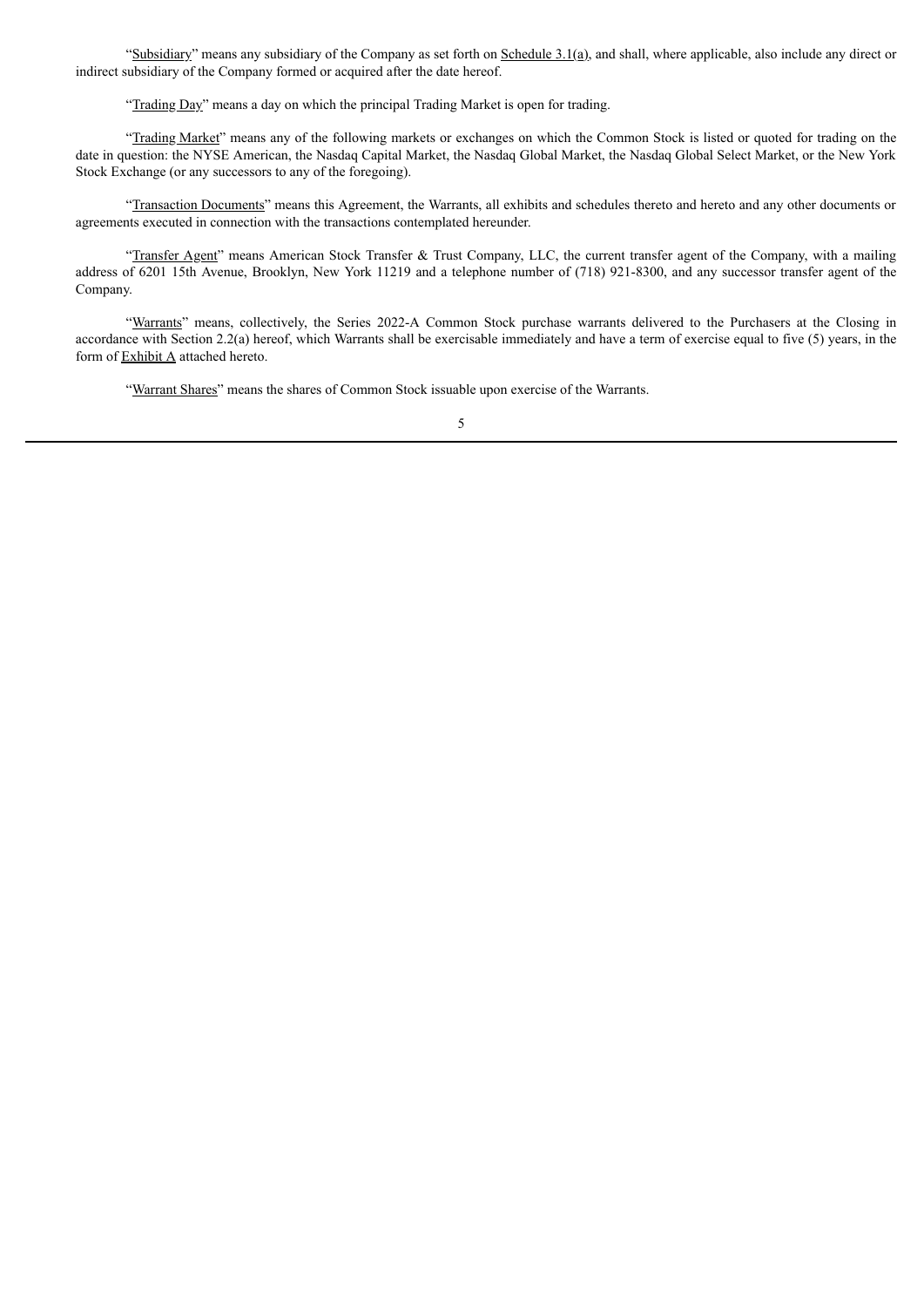"Subsidiary" means any subsidiary of the Company as set forth on Schedule 3.1(a), and shall, where applicable, also include any direct or indirect subsidiary of the Company formed or acquired after the date hereof.

"Trading Day" means a day on which the principal Trading Market is open for trading.

"Trading Market" means any of the following markets or exchanges on which the Common Stock is listed or quoted for trading on the date in question: the NYSE American, the Nasdaq Capital Market, the Nasdaq Global Market, the Nasdaq Global Select Market, or the New York Stock Exchange (or any successors to any of the foregoing).

"Transaction Documents" means this Agreement, the Warrants, all exhibits and schedules thereto and hereto and any other documents or agreements executed in connection with the transactions contemplated hereunder.

"Transfer Agent" means American Stock Transfer & Trust Company, LLC, the current transfer agent of the Company, with a mailing address of 6201 15th Avenue, Brooklyn, New York 11219 and a telephone number of (718) 921-8300, and any successor transfer agent of the Company.

"Warrants" means, collectively, the Series 2022-A Common Stock purchase warrants delivered to the Purchasers at the Closing in accordance with Section 2.2(a) hereof, which Warrants shall be exercisable immediately and have a term of exercise equal to five (5) years, in the form of Exhibit A attached hereto.

"Warrant Shares" means the shares of Common Stock issuable upon exercise of the Warrants.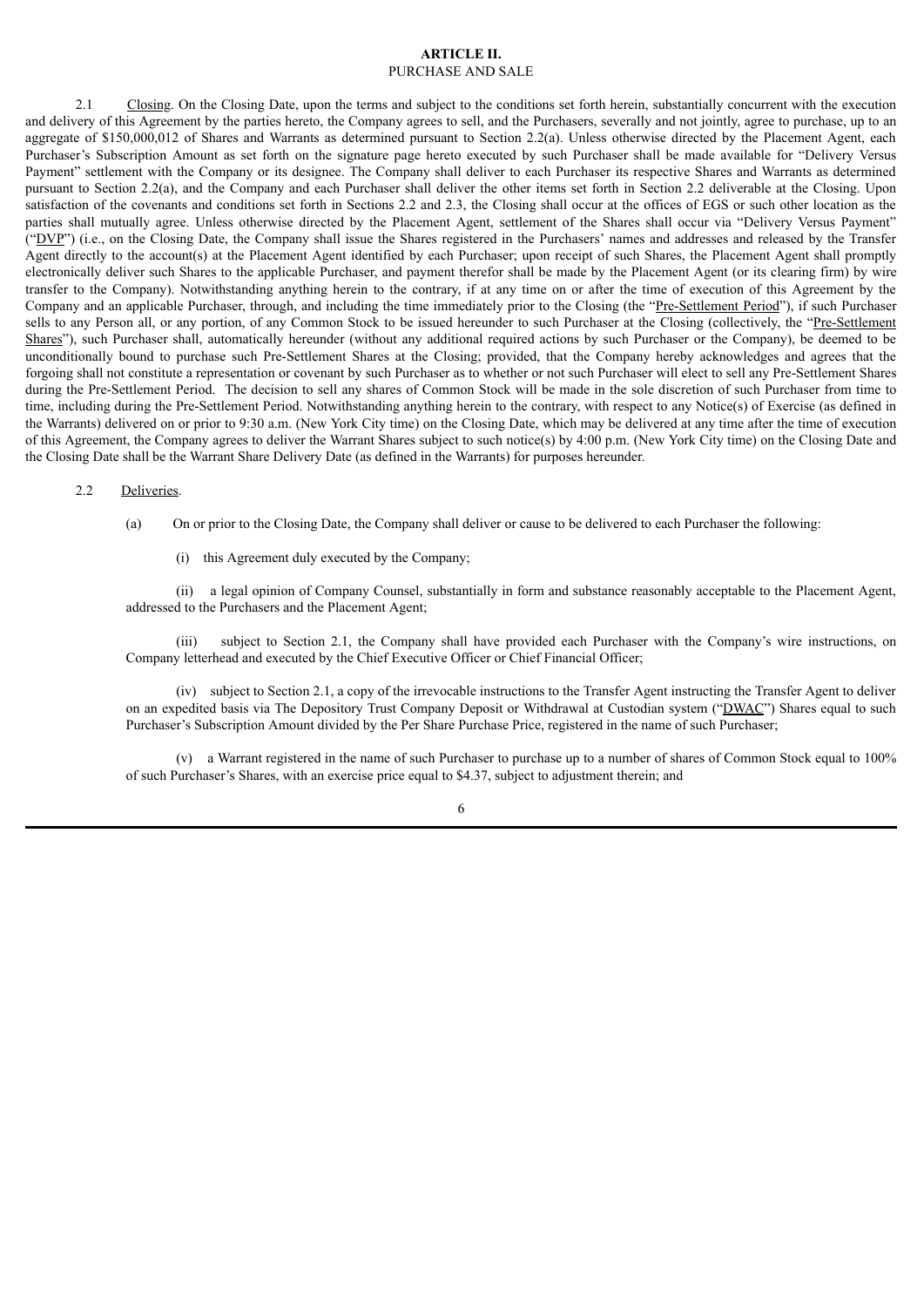#### **ARTICLE II.** PURCHASE AND SALE

2.1 Closing. On the Closing Date, upon the terms and subject to the conditions set forth herein, substantially concurrent with the execution and delivery of this Agreement by the parties hereto, the Company agrees to sell, and the Purchasers, severally and not jointly, agree to purchase, up to an aggregate of \$150,000,012 of Shares and Warrants as determined pursuant to Section 2.2(a). Unless otherwise directed by the Placement Agent, each Purchaser's Subscription Amount as set forth on the signature page hereto executed by such Purchaser shall be made available for "Delivery Versus Payment" settlement with the Company or its designee. The Company shall deliver to each Purchaser its respective Shares and Warrants as determined pursuant to Section 2.2(a), and the Company and each Purchaser shall deliver the other items set forth in Section 2.2 deliverable at the Closing. Upon satisfaction of the covenants and conditions set forth in Sections 2.2 and 2.3, the Closing shall occur at the offices of EGS or such other location as the parties shall mutually agree. Unless otherwise directed by the Placement Agent, settlement of the Shares shall occur via "Delivery Versus Payment" ("DVP") (i.e., on the Closing Date, the Company shall issue the Shares registered in the Purchasers' names and addresses and released by the Transfer Agent directly to the account(s) at the Placement Agent identified by each Purchaser; upon receipt of such Shares, the Placement Agent shall promptly electronically deliver such Shares to the applicable Purchaser, and payment therefor shall be made by the Placement Agent (or its clearing firm) by wire transfer to the Company). Notwithstanding anything herein to the contrary, if at any time on or after the time of execution of this Agreement by the Company and an applicable Purchaser, through, and including the time immediately prior to the Closing (the "Pre-Settlement Period"), if such Purchaser sells to any Person all, or any portion, of any Common Stock to be issued hereunder to such Purchaser at the Closing (collectively, the "Pre-Settlement Shares"), such Purchaser shall, automatically hereunder (without any additional required actions by such Purchaser or the Company), be deemed to be unconditionally bound to purchase such Pre-Settlement Shares at the Closing; provided, that the Company hereby acknowledges and agrees that the forgoing shall not constitute a representation or covenant by such Purchaser as to whether or not such Purchaser will elect to sell any Pre-Settlement Shares during the Pre-Settlement Period. The decision to sell any shares of Common Stock will be made in the sole discretion of such Purchaser from time to time, including during the Pre-Settlement Period. Notwithstanding anything herein to the contrary, with respect to any Notice(s) of Exercise (as defined in the Warrants) delivered on or prior to 9:30 a.m. (New York City time) on the Closing Date, which may be delivered at any time after the time of execution of this Agreement, the Company agrees to deliver the Warrant Shares subject to such notice(s) by 4:00 p.m. (New York City time) on the Closing Date and the Closing Date shall be the Warrant Share Delivery Date (as defined in the Warrants) for purposes hereunder.

#### 2.2 Deliveries.

- (a) On or prior to the Closing Date, the Company shall deliver or cause to be delivered to each Purchaser the following:
	- (i) this Agreement duly executed by the Company;

(ii) a legal opinion of Company Counsel, substantially in form and substance reasonably acceptable to the Placement Agent, addressed to the Purchasers and the Placement Agent;

(iii) subject to Section 2.1, the Company shall have provided each Purchaser with the Company's wire instructions, on Company letterhead and executed by the Chief Executive Officer or Chief Financial Officer;

(iv) subject to Section 2.1, a copy of the irrevocable instructions to the Transfer Agent instructing the Transfer Agent to deliver on an expedited basis via The Depository Trust Company Deposit or Withdrawal at Custodian system ("DWAC") Shares equal to such Purchaser's Subscription Amount divided by the Per Share Purchase Price, registered in the name of such Purchaser;

(v) a Warrant registered in the name of such Purchaser to purchase up to a number of shares of Common Stock equal to 100% of such Purchaser's Shares, with an exercise price equal to \$4.37, subject to adjustment therein; and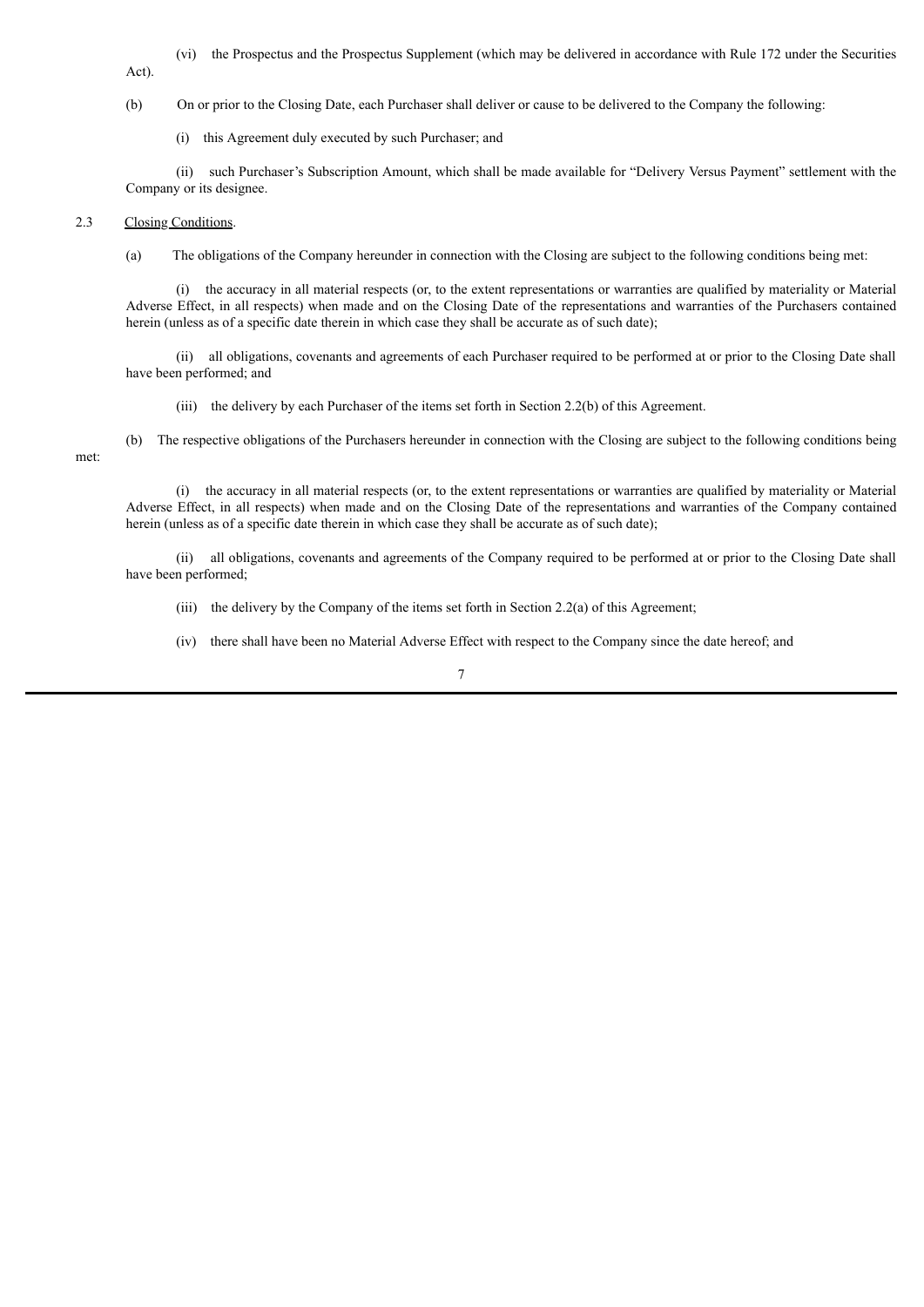(vi) the Prospectus and the Prospectus Supplement (which may be delivered in accordance with Rule 172 under the Securities Act).

(b) On or prior to the Closing Date, each Purchaser shall deliver or cause to be delivered to the Company the following:

(i) this Agreement duly executed by such Purchaser; and

(ii) such Purchaser's Subscription Amount, which shall be made available for "Delivery Versus Payment" settlement with the Company or its designee.

# 2.3 Closing Conditions.

met:

(a) The obligations of the Company hereunder in connection with the Closing are subject to the following conditions being met:

(i) the accuracy in all material respects (or, to the extent representations or warranties are qualified by materiality or Material Adverse Effect, in all respects) when made and on the Closing Date of the representations and warranties of the Purchasers contained herein (unless as of a specific date therein in which case they shall be accurate as of such date);

(ii) all obligations, covenants and agreements of each Purchaser required to be performed at or prior to the Closing Date shall have been performed; and

(iii) the delivery by each Purchaser of the items set forth in Section 2.2(b) of this Agreement.

(b) The respective obligations of the Purchasers hereunder in connection with the Closing are subject to the following conditions being

(i) the accuracy in all material respects (or, to the extent representations or warranties are qualified by materiality or Material Adverse Effect, in all respects) when made and on the Closing Date of the representations and warranties of the Company contained herein (unless as of a specific date therein in which case they shall be accurate as of such date);

(ii) all obligations, covenants and agreements of the Company required to be performed at or prior to the Closing Date shall have been performed;

(iii) the delivery by the Company of the items set forth in Section 2.2(a) of this Agreement;

(iv) there shall have been no Material Adverse Effect with respect to the Company since the date hereof; and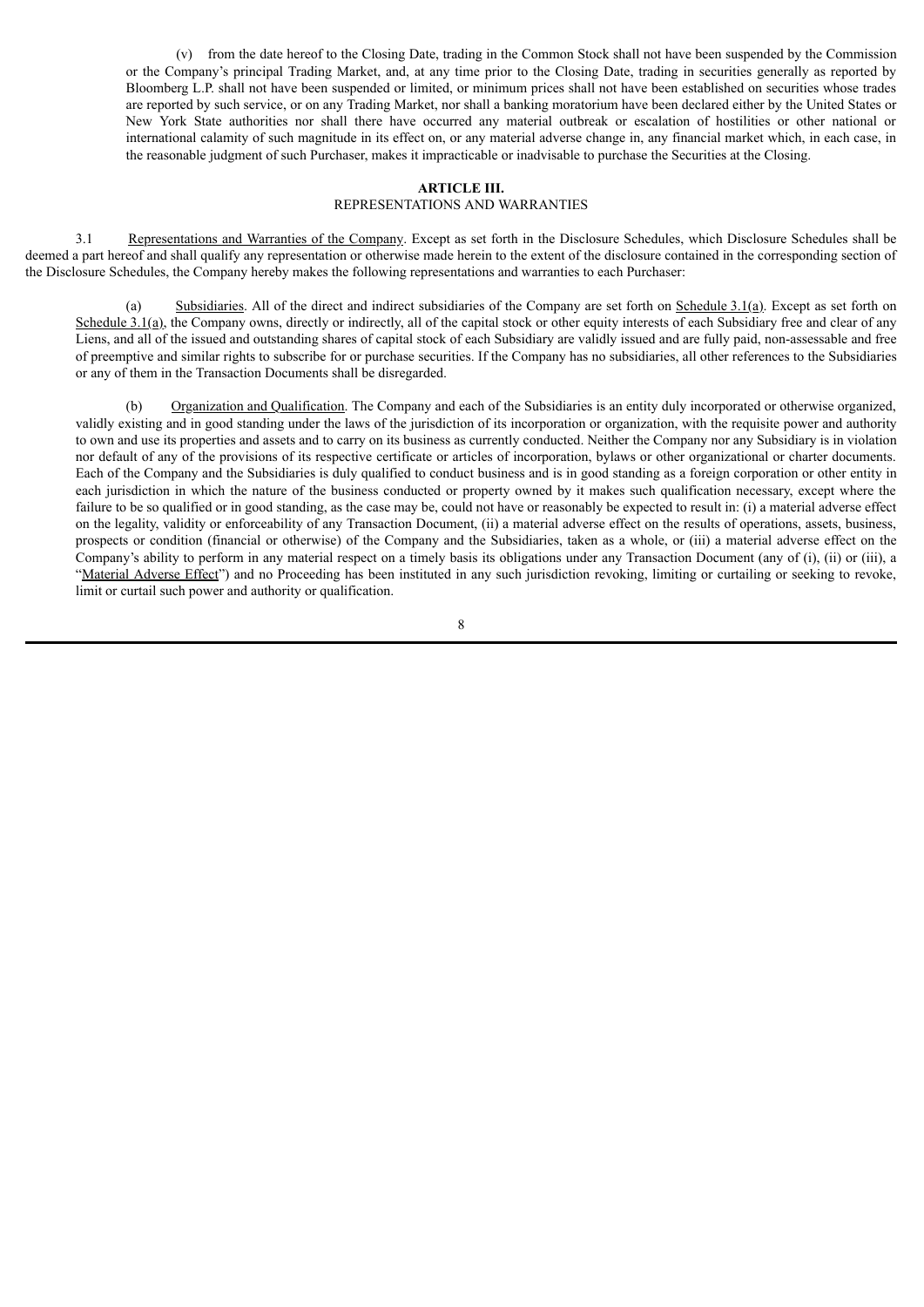(v) from the date hereof to the Closing Date, trading in the Common Stock shall not have been suspended by the Commission or the Company's principal Trading Market, and, at any time prior to the Closing Date, trading in securities generally as reported by Bloomberg L.P. shall not have been suspended or limited, or minimum prices shall not have been established on securities whose trades are reported by such service, or on any Trading Market, nor shall a banking moratorium have been declared either by the United States or New York State authorities nor shall there have occurred any material outbreak or escalation of hostilities or other national or international calamity of such magnitude in its effect on, or any material adverse change in, any financial market which, in each case, in the reasonable judgment of such Purchaser, makes it impracticable or inadvisable to purchase the Securities at the Closing.

# **ARTICLE III.**

# REPRESENTATIONS AND WARRANTIES

3.1 Representations and Warranties of the Company. Except as set forth in the Disclosure Schedules, which Disclosure Schedules shall be deemed a part hereof and shall qualify any representation or otherwise made herein to the extent of the disclosure contained in the corresponding section of the Disclosure Schedules, the Company hereby makes the following representations and warranties to each Purchaser:

(a) Subsidiaries. All of the direct and indirect subsidiaries of the Company are set forth on Schedule 3.1(a). Except as set forth on Schedule 3.1(a), the Company owns, directly or indirectly, all of the capital stock or other equity interests of each Subsidiary free and clear of any Liens, and all of the issued and outstanding shares of capital stock of each Subsidiary are validly issued and are fully paid, non-assessable and free of preemptive and similar rights to subscribe for or purchase securities. If the Company has no subsidiaries, all other references to the Subsidiaries or any of them in the Transaction Documents shall be disregarded.

(b) Organization and Qualification. The Company and each of the Subsidiaries is an entity duly incorporated or otherwise organized, validly existing and in good standing under the laws of the jurisdiction of its incorporation or organization, with the requisite power and authority to own and use its properties and assets and to carry on its business as currently conducted. Neither the Company nor any Subsidiary is in violation nor default of any of the provisions of its respective certificate or articles of incorporation, bylaws or other organizational or charter documents. Each of the Company and the Subsidiaries is duly qualified to conduct business and is in good standing as a foreign corporation or other entity in each jurisdiction in which the nature of the business conducted or property owned by it makes such qualification necessary, except where the failure to be so qualified or in good standing, as the case may be, could not have or reasonably be expected to result in: (i) a material adverse effect on the legality, validity or enforceability of any Transaction Document, (ii) a material adverse effect on the results of operations, assets, business, prospects or condition (financial or otherwise) of the Company and the Subsidiaries, taken as a whole, or (iii) a material adverse effect on the Company's ability to perform in any material respect on a timely basis its obligations under any Transaction Document (any of (i), (ii) or (iii), a "Material Adverse Effect") and no Proceeding has been instituted in any such jurisdiction revoking, limiting or curtailing or seeking to revoke, limit or curtail such power and authority or qualification.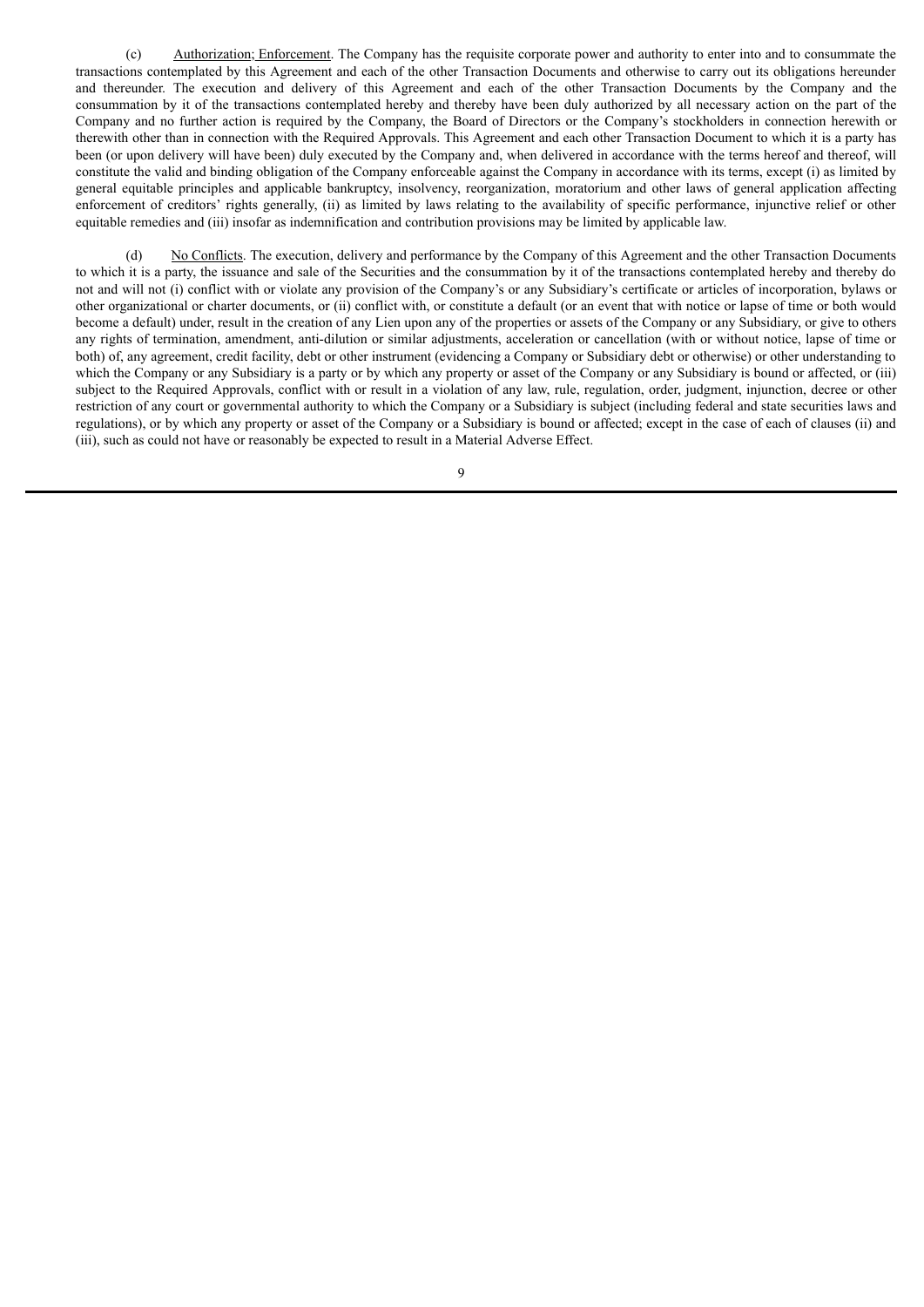(c) Authorization; Enforcement. The Company has the requisite corporate power and authority to enter into and to consummate the transactions contemplated by this Agreement and each of the other Transaction Documents and otherwise to carry out its obligations hereunder and thereunder. The execution and delivery of this Agreement and each of the other Transaction Documents by the Company and the consummation by it of the transactions contemplated hereby and thereby have been duly authorized by all necessary action on the part of the Company and no further action is required by the Company, the Board of Directors or the Company's stockholders in connection herewith or therewith other than in connection with the Required Approvals. This Agreement and each other Transaction Document to which it is a party has been (or upon delivery will have been) duly executed by the Company and, when delivered in accordance with the terms hereof and thereof, will constitute the valid and binding obligation of the Company enforceable against the Company in accordance with its terms, except (i) as limited by general equitable principles and applicable bankruptcy, insolvency, reorganization, moratorium and other laws of general application affecting enforcement of creditors' rights generally, (ii) as limited by laws relating to the availability of specific performance, injunctive relief or other equitable remedies and (iii) insofar as indemnification and contribution provisions may be limited by applicable law.

(d) No Conflicts. The execution, delivery and performance by the Company of this Agreement and the other Transaction Documents to which it is a party, the issuance and sale of the Securities and the consummation by it of the transactions contemplated hereby and thereby do not and will not (i) conflict with or violate any provision of the Company's or any Subsidiary's certificate or articles of incorporation, bylaws or other organizational or charter documents, or (ii) conflict with, or constitute a default (or an event that with notice or lapse of time or both would become a default) under, result in the creation of any Lien upon any of the properties or assets of the Company or any Subsidiary, or give to others any rights of termination, amendment, anti-dilution or similar adjustments, acceleration or cancellation (with or without notice, lapse of time or both) of, any agreement, credit facility, debt or other instrument (evidencing a Company or Subsidiary debt or otherwise) or other understanding to which the Company or any Subsidiary is a party or by which any property or asset of the Company or any Subsidiary is bound or affected, or (iii) subject to the Required Approvals, conflict with or result in a violation of any law, rule, regulation, order, judgment, injunction, decree or other restriction of any court or governmental authority to which the Company or a Subsidiary is subject (including federal and state securities laws and regulations), or by which any property or asset of the Company or a Subsidiary is bound or affected; except in the case of each of clauses (ii) and (iii), such as could not have or reasonably be expected to result in a Material Adverse Effect.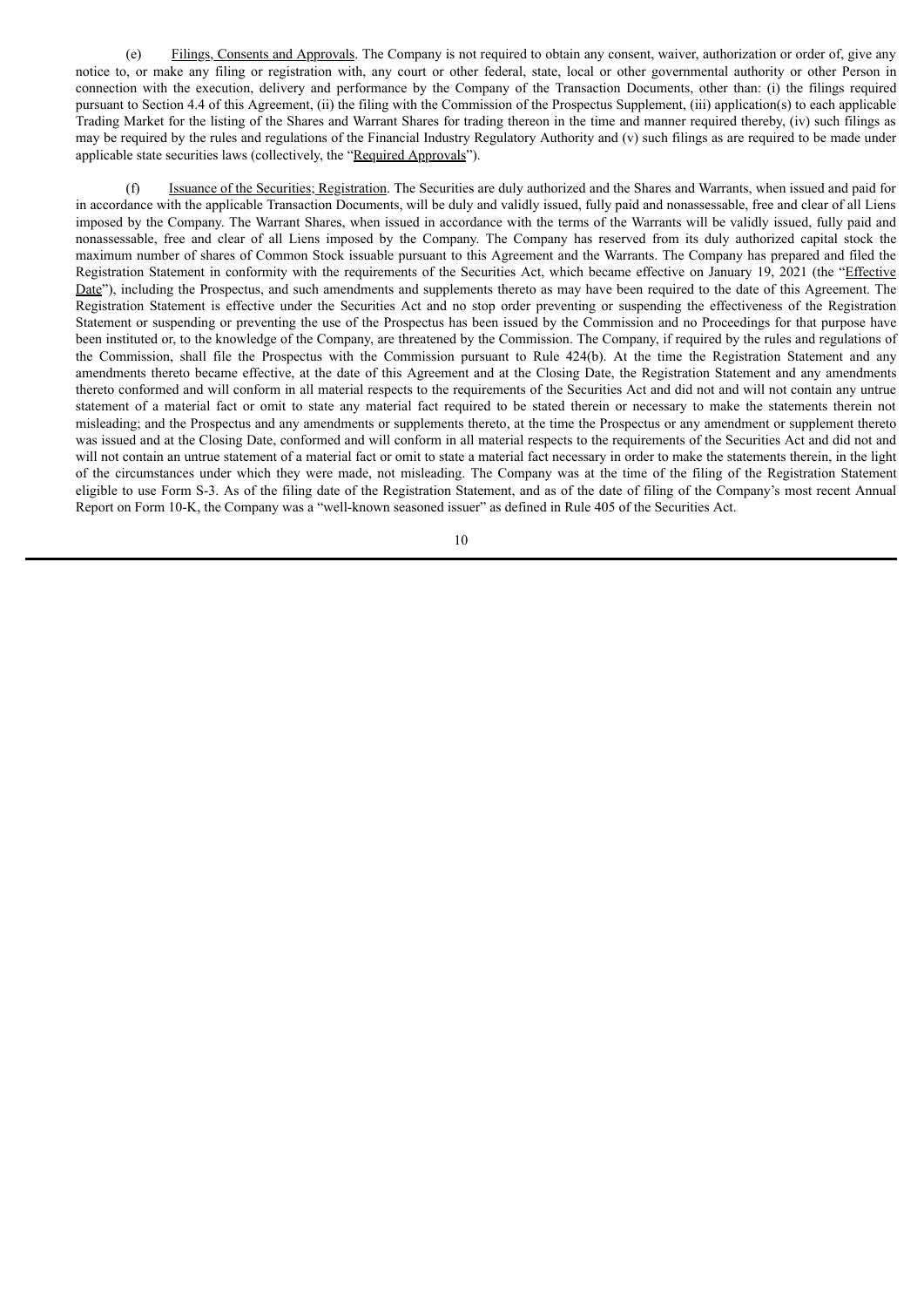(e) Filings, Consents and Approvals. The Company is not required to obtain any consent, waiver, authorization or order of, give any notice to, or make any filing or registration with, any court or other federal, state, local or other governmental authority or other Person in connection with the execution, delivery and performance by the Company of the Transaction Documents, other than: (i) the filings required pursuant to Section 4.4 of this Agreement, (ii) the filing with the Commission of the Prospectus Supplement, (iii) application(s) to each applicable Trading Market for the listing of the Shares and Warrant Shares for trading thereon in the time and manner required thereby, (iv) such filings as may be required by the rules and regulations of the Financial Industry Regulatory Authority and (v) such filings as are required to be made under applicable state securities laws (collectively, the "Required Approvals").

(f) Issuance of the Securities; Registration. The Securities are duly authorized and the Shares and Warrants, when issued and paid for in accordance with the applicable Transaction Documents, will be duly and validly issued, fully paid and nonassessable, free and clear of all Liens imposed by the Company. The Warrant Shares, when issued in accordance with the terms of the Warrants will be validly issued, fully paid and nonassessable, free and clear of all Liens imposed by the Company. The Company has reserved from its duly authorized capital stock the maximum number of shares of Common Stock issuable pursuant to this Agreement and the Warrants. The Company has prepared and filed the Registration Statement in conformity with the requirements of the Securities Act, which became effective on January 19, 2021 (the "Effective Date"), including the Prospectus, and such amendments and supplements thereto as may have been required to the date of this Agreement. The Registration Statement is effective under the Securities Act and no stop order preventing or suspending the effectiveness of the Registration Statement or suspending or preventing the use of the Prospectus has been issued by the Commission and no Proceedings for that purpose have been instituted or, to the knowledge of the Company, are threatened by the Commission. The Company, if required by the rules and regulations of the Commission, shall file the Prospectus with the Commission pursuant to Rule 424(b). At the time the Registration Statement and any amendments thereto became effective, at the date of this Agreement and at the Closing Date, the Registration Statement and any amendments thereto conformed and will conform in all material respects to the requirements of the Securities Act and did not and will not contain any untrue statement of a material fact or omit to state any material fact required to be stated therein or necessary to make the statements therein not misleading; and the Prospectus and any amendments or supplements thereto, at the time the Prospectus or any amendment or supplement thereto was issued and at the Closing Date, conformed and will conform in all material respects to the requirements of the Securities Act and did not and will not contain an untrue statement of a material fact or omit to state a material fact necessary in order to make the statements therein, in the light of the circumstances under which they were made, not misleading. The Company was at the time of the filing of the Registration Statement eligible to use Form S-3. As of the filing date of the Registration Statement, and as of the date of filing of the Company's most recent Annual Report on Form 10-K, the Company was a "well-known seasoned issuer" as defined in Rule 405 of the Securities Act.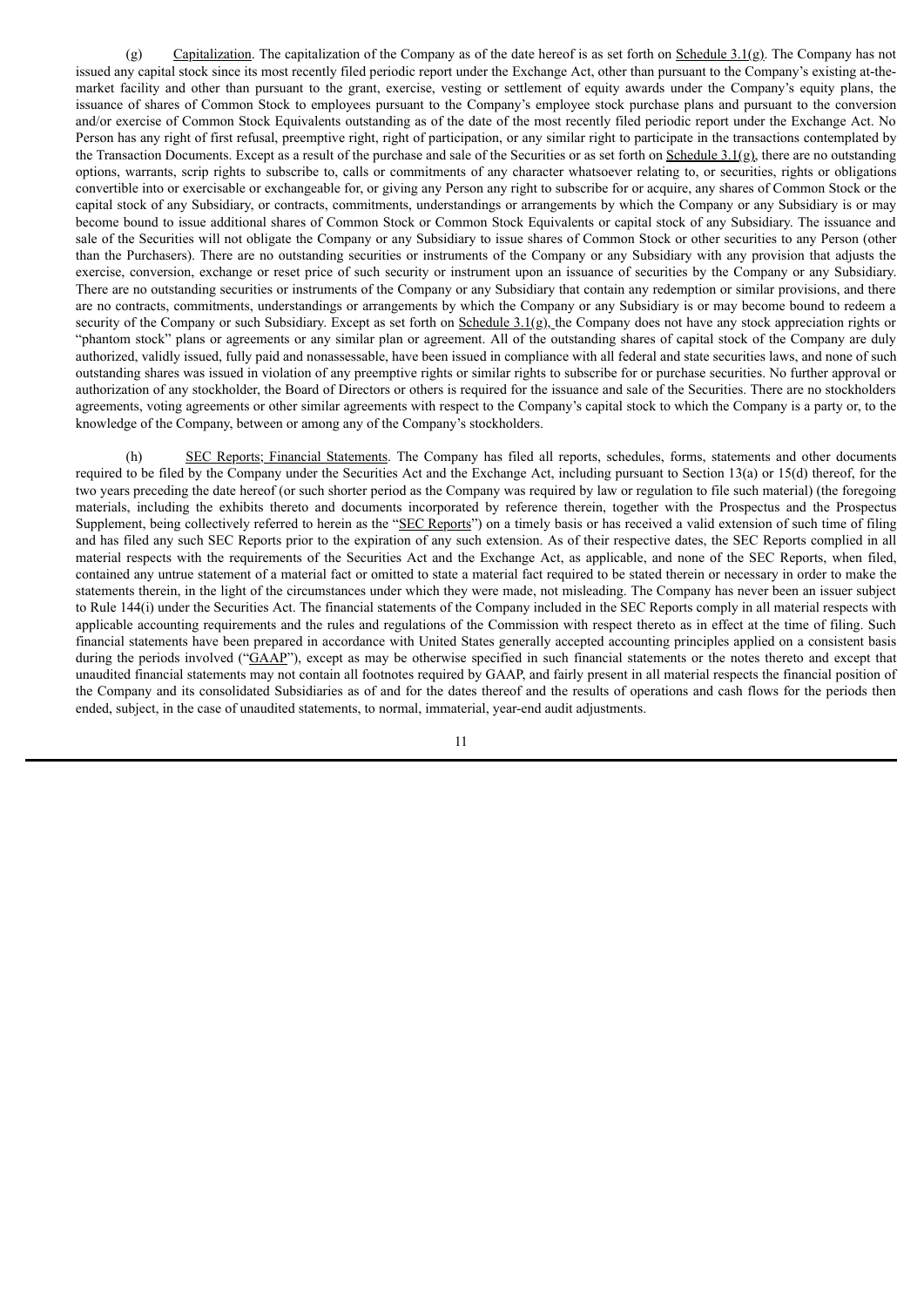(g) Capitalization. The capitalization of the Company as of the date hereof is as set forth on Schedule  $3.1(g)$ . The Company has not issued any capital stock since its most recently filed periodic report under the Exchange Act, other than pursuant to the Company's existing at-themarket facility and other than pursuant to the grant, exercise, vesting or settlement of equity awards under the Company's equity plans, the issuance of shares of Common Stock to employees pursuant to the Company's employee stock purchase plans and pursuant to the conversion and/or exercise of Common Stock Equivalents outstanding as of the date of the most recently filed periodic report under the Exchange Act. No Person has any right of first refusal, preemptive right, right of participation, or any similar right to participate in the transactions contemplated by the Transaction Documents. Except as a result of the purchase and sale of the Securities or as set forth on  $S$ chedule  $3.1(g)$ , there are no outstanding options, warrants, scrip rights to subscribe to, calls or commitments of any character whatsoever relating to, or securities, rights or obligations convertible into or exercisable or exchangeable for, or giving any Person any right to subscribe for or acquire, any shares of Common Stock or the capital stock of any Subsidiary, or contracts, commitments, understandings or arrangements by which the Company or any Subsidiary is or may become bound to issue additional shares of Common Stock or Common Stock Equivalents or capital stock of any Subsidiary. The issuance and sale of the Securities will not obligate the Company or any Subsidiary to issue shares of Common Stock or other securities to any Person (other than the Purchasers). There are no outstanding securities or instruments of the Company or any Subsidiary with any provision that adjusts the exercise, conversion, exchange or reset price of such security or instrument upon an issuance of securities by the Company or any Subsidiary. There are no outstanding securities or instruments of the Company or any Subsidiary that contain any redemption or similar provisions, and there are no contracts, commitments, understandings or arrangements by which the Company or any Subsidiary is or may become bound to redeem a security of the Company or such Subsidiary. Except as set forth on Schedule 3.1(g), the Company does not have any stock appreciation rights or "phantom stock" plans or agreements or any similar plan or agreement. All of the outstanding shares of capital stock of the Company are duly authorized, validly issued, fully paid and nonassessable, have been issued in compliance with all federal and state securities laws, and none of such outstanding shares was issued in violation of any preemptive rights or similar rights to subscribe for or purchase securities. No further approval or authorization of any stockholder, the Board of Directors or others is required for the issuance and sale of the Securities. There are no stockholders agreements, voting agreements or other similar agreements with respect to the Company's capital stock to which the Company is a party or, to the knowledge of the Company, between or among any of the Company's stockholders.

(h) SEC Reports; Financial Statements. The Company has filed all reports, schedules, forms, statements and other documents required to be filed by the Company under the Securities Act and the Exchange Act, including pursuant to Section 13(a) or 15(d) thereof, for the two years preceding the date hereof (or such shorter period as the Company was required by law or regulation to file such material) (the foregoing materials, including the exhibits thereto and documents incorporated by reference therein, together with the Prospectus and the Prospectus Supplement, being collectively referred to herein as the "SEC Reports") on a timely basis or has received a valid extension of such time of filing and has filed any such SEC Reports prior to the expiration of any such extension. As of their respective dates, the SEC Reports complied in all material respects with the requirements of the Securities Act and the Exchange Act, as applicable, and none of the SEC Reports, when filed, contained any untrue statement of a material fact or omitted to state a material fact required to be stated therein or necessary in order to make the statements therein, in the light of the circumstances under which they were made, not misleading. The Company has never been an issuer subject to Rule 144(i) under the Securities Act. The financial statements of the Company included in the SEC Reports comply in all material respects with applicable accounting requirements and the rules and regulations of the Commission with respect thereto as in effect at the time of filing. Such financial statements have been prepared in accordance with United States generally accepted accounting principles applied on a consistent basis during the periods involved ("GAAP"), except as may be otherwise specified in such financial statements or the notes thereto and except that unaudited financial statements may not contain all footnotes required by GAAP, and fairly present in all material respects the financial position of the Company and its consolidated Subsidiaries as of and for the dates thereof and the results of operations and cash flows for the periods then ended, subject, in the case of unaudited statements, to normal, immaterial, year-end audit adjustments.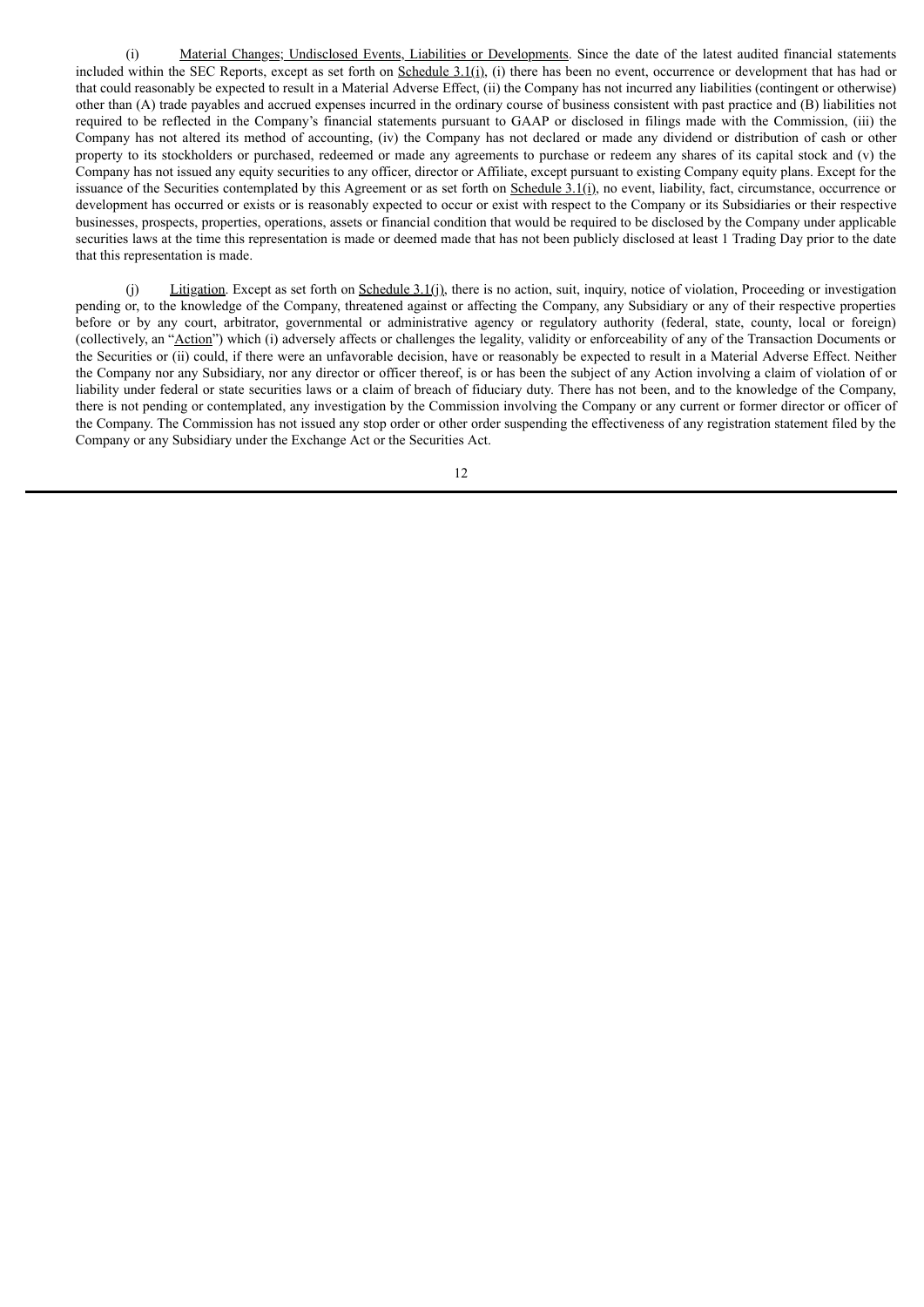(i) Material Changes; Undisclosed Events, Liabilities or Developments. Since the date of the latest audited financial statements included within the SEC Reports, except as set forth on Schedule  $3.1(i)$ , (i) there has been no event, occurrence or development that has had or that could reasonably be expected to result in a Material Adverse Effect, (ii) the Company has not incurred any liabilities (contingent or otherwise) other than (A) trade payables and accrued expenses incurred in the ordinary course of business consistent with past practice and (B) liabilities not required to be reflected in the Company's financial statements pursuant to GAAP or disclosed in filings made with the Commission, (iii) the Company has not altered its method of accounting, (iv) the Company has not declared or made any dividend or distribution of cash or other property to its stockholders or purchased, redeemed or made any agreements to purchase or redeem any shares of its capital stock and (v) the Company has not issued any equity securities to any officer, director or Affiliate, except pursuant to existing Company equity plans. Except for the issuance of the Securities contemplated by this Agreement or as set forth on Schedule  $3.1(i)$ , no event, liability, fact, circumstance, occurrence or development has occurred or exists or is reasonably expected to occur or exist with respect to the Company or its Subsidiaries or their respective businesses, prospects, properties, operations, assets or financial condition that would be required to be disclosed by the Company under applicable securities laws at the time this representation is made or deemed made that has not been publicly disclosed at least 1 Trading Day prior to the date that this representation is made.

(j) Litigation. Except as set forth on Schedule 3.1(j), there is no action, suit, inquiry, notice of violation, Proceeding or investigation pending or, to the knowledge of the Company, threatened against or affecting the Company, any Subsidiary or any of their respective properties before or by any court, arbitrator, governmental or administrative agency or regulatory authority (federal, state, county, local or foreign) (collectively, an "Action") which (i) adversely affects or challenges the legality, validity or enforceability of any of the Transaction Documents or the Securities or (ii) could, if there were an unfavorable decision, have or reasonably be expected to result in a Material Adverse Effect. Neither the Company nor any Subsidiary, nor any director or officer thereof, is or has been the subject of any Action involving a claim of violation of or liability under federal or state securities laws or a claim of breach of fiduciary duty. There has not been, and to the knowledge of the Company, there is not pending or contemplated, any investigation by the Commission involving the Company or any current or former director or officer of the Company. The Commission has not issued any stop order or other order suspending the effectiveness of any registration statement filed by the Company or any Subsidiary under the Exchange Act or the Securities Act.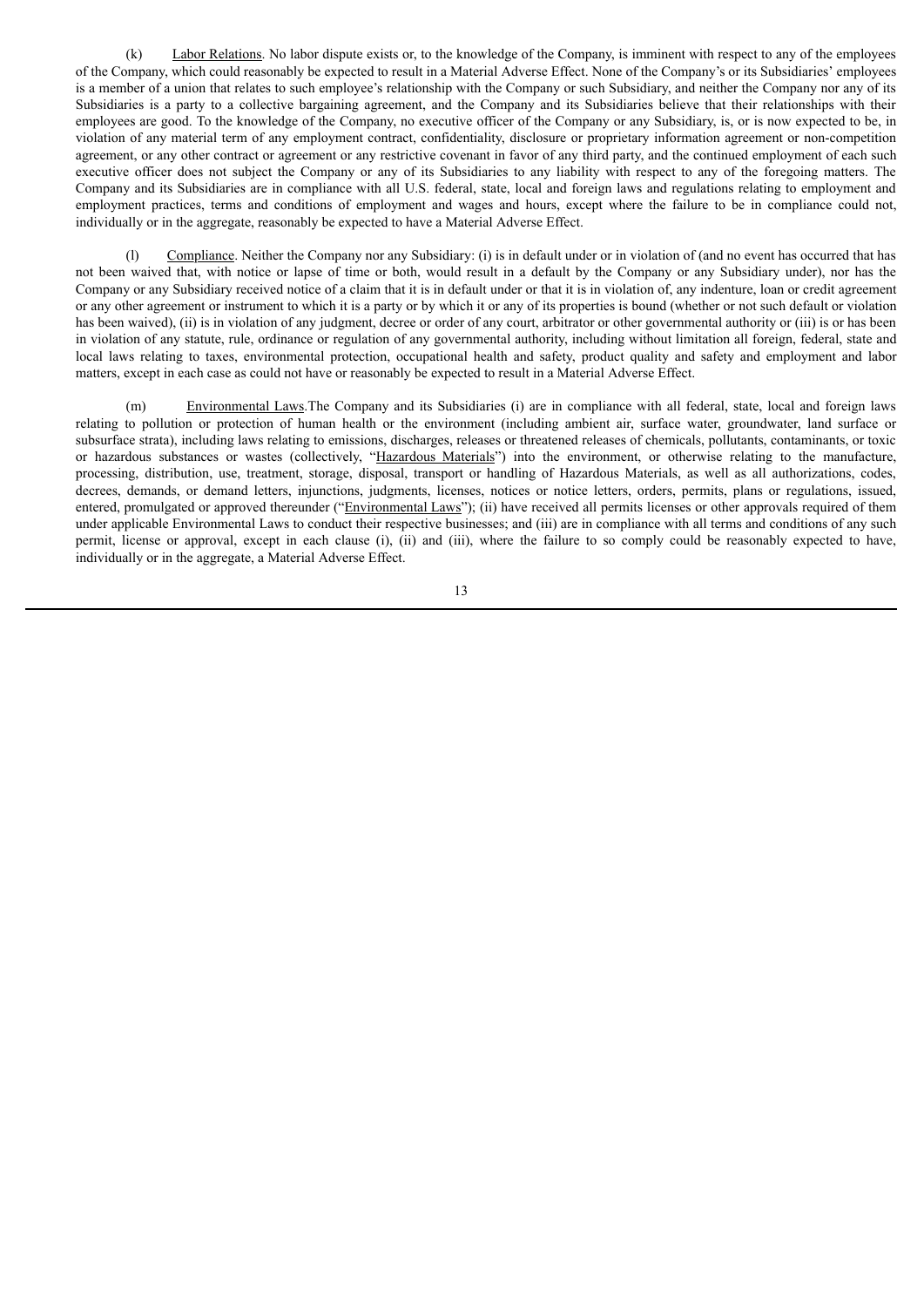(k) Labor Relations. No labor dispute exists or, to the knowledge of the Company, is imminent with respect to any of the employees of the Company, which could reasonably be expected to result in a Material Adverse Effect. None of the Company's or its Subsidiaries' employees is a member of a union that relates to such employee's relationship with the Company or such Subsidiary, and neither the Company nor any of its Subsidiaries is a party to a collective bargaining agreement, and the Company and its Subsidiaries believe that their relationships with their employees are good. To the knowledge of the Company, no executive officer of the Company or any Subsidiary, is, or is now expected to be, in violation of any material term of any employment contract, confidentiality, disclosure or proprietary information agreement or non-competition agreement, or any other contract or agreement or any restrictive covenant in favor of any third party, and the continued employment of each such executive officer does not subject the Company or any of its Subsidiaries to any liability with respect to any of the foregoing matters. The Company and its Subsidiaries are in compliance with all U.S. federal, state, local and foreign laws and regulations relating to employment and employment practices, terms and conditions of employment and wages and hours, except where the failure to be in compliance could not, individually or in the aggregate, reasonably be expected to have a Material Adverse Effect.

(l) Compliance. Neither the Company nor any Subsidiary: (i) is in default under or in violation of (and no event has occurred that has not been waived that, with notice or lapse of time or both, would result in a default by the Company or any Subsidiary under), nor has the Company or any Subsidiary received notice of a claim that it is in default under or that it is in violation of, any indenture, loan or credit agreement or any other agreement or instrument to which it is a party or by which it or any of its properties is bound (whether or not such default or violation has been waived), (ii) is in violation of any judgment, decree or order of any court, arbitrator or other governmental authority or (iii) is or has been in violation of any statute, rule, ordinance or regulation of any governmental authority, including without limitation all foreign, federal, state and local laws relating to taxes, environmental protection, occupational health and safety, product quality and safety and employment and labor matters, except in each case as could not have or reasonably be expected to result in a Material Adverse Effect.

(m) Environmental Laws.The Company and its Subsidiaries (i) are in compliance with all federal, state, local and foreign laws relating to pollution or protection of human health or the environment (including ambient air, surface water, groundwater, land surface or subsurface strata), including laws relating to emissions, discharges, releases or threatened releases of chemicals, pollutants, contaminants, or toxic or hazardous substances or wastes (collectively, "Hazardous Materials") into the environment, or otherwise relating to the manufacture, processing, distribution, use, treatment, storage, disposal, transport or handling of Hazardous Materials, as well as all authorizations, codes, decrees, demands, or demand letters, injunctions, judgments, licenses, notices or notice letters, orders, permits, plans or regulations, issued, entered, promulgated or approved thereunder ("Environmental Laws"); (ii) have received all permits licenses or other approvals required of them under applicable Environmental Laws to conduct their respective businesses; and (iii) are in compliance with all terms and conditions of any such permit, license or approval, except in each clause (i), (ii) and (iii), where the failure to so comply could be reasonably expected to have, individually or in the aggregate, a Material Adverse Effect.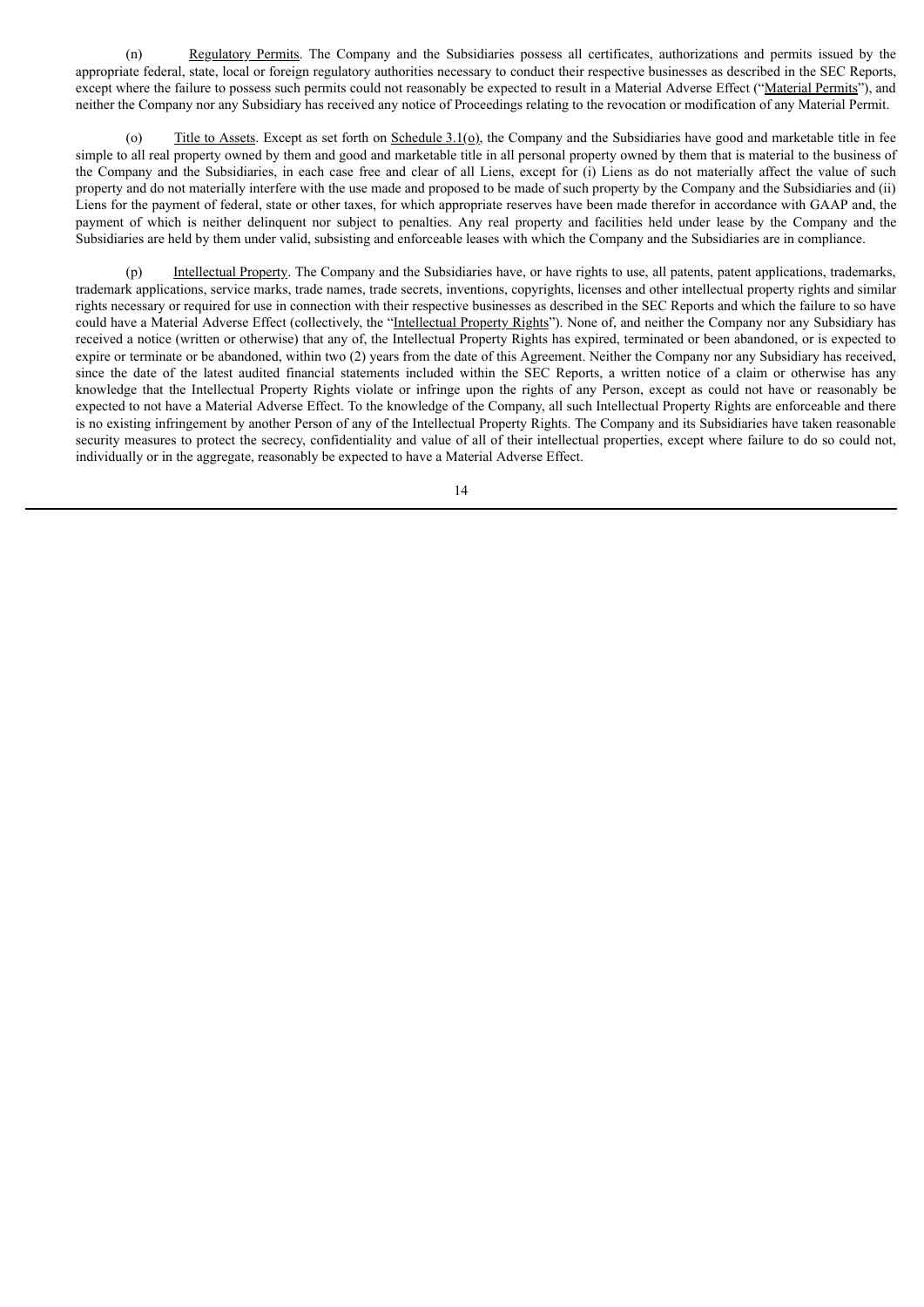(n) Regulatory Permits. The Company and the Subsidiaries possess all certificates, authorizations and permits issued by the appropriate federal, state, local or foreign regulatory authorities necessary to conduct their respective businesses as described in the SEC Reports, except where the failure to possess such permits could not reasonably be expected to result in a Material Adverse Effect ("Material Permits"), and neither the Company nor any Subsidiary has received any notice of Proceedings relating to the revocation or modification of any Material Permit.

Title to Assets. Except as set forth on Schedule  $3.1(\rho)$ , the Company and the Subsidiaries have good and marketable title in fee simple to all real property owned by them and good and marketable title in all personal property owned by them that is material to the business of the Company and the Subsidiaries, in each case free and clear of all Liens, except for (i) Liens as do not materially affect the value of such property and do not materially interfere with the use made and proposed to be made of such property by the Company and the Subsidiaries and (ii) Liens for the payment of federal, state or other taxes, for which appropriate reserves have been made therefor in accordance with GAAP and, the payment of which is neither delinquent nor subject to penalties. Any real property and facilities held under lease by the Company and the Subsidiaries are held by them under valid, subsisting and enforceable leases with which the Company and the Subsidiaries are in compliance.

(p) Intellectual Property. The Company and the Subsidiaries have, or have rights to use, all patents, patent applications, trademarks, trademark applications, service marks, trade names, trade secrets, inventions, copyrights, licenses and other intellectual property rights and similar rights necessary or required for use in connection with their respective businesses as described in the SEC Reports and which the failure to so have could have a Material Adverse Effect (collectively, the "Intellectual Property Rights"). None of, and neither the Company nor any Subsidiary has received a notice (written or otherwise) that any of, the Intellectual Property Rights has expired, terminated or been abandoned, or is expected to expire or terminate or be abandoned, within two (2) years from the date of this Agreement. Neither the Company nor any Subsidiary has received, since the date of the latest audited financial statements included within the SEC Reports, a written notice of a claim or otherwise has any knowledge that the Intellectual Property Rights violate or infringe upon the rights of any Person, except as could not have or reasonably be expected to not have a Material Adverse Effect. To the knowledge of the Company, all such Intellectual Property Rights are enforceable and there is no existing infringement by another Person of any of the Intellectual Property Rights. The Company and its Subsidiaries have taken reasonable security measures to protect the secrecy, confidentiality and value of all of their intellectual properties, except where failure to do so could not, individually or in the aggregate, reasonably be expected to have a Material Adverse Effect.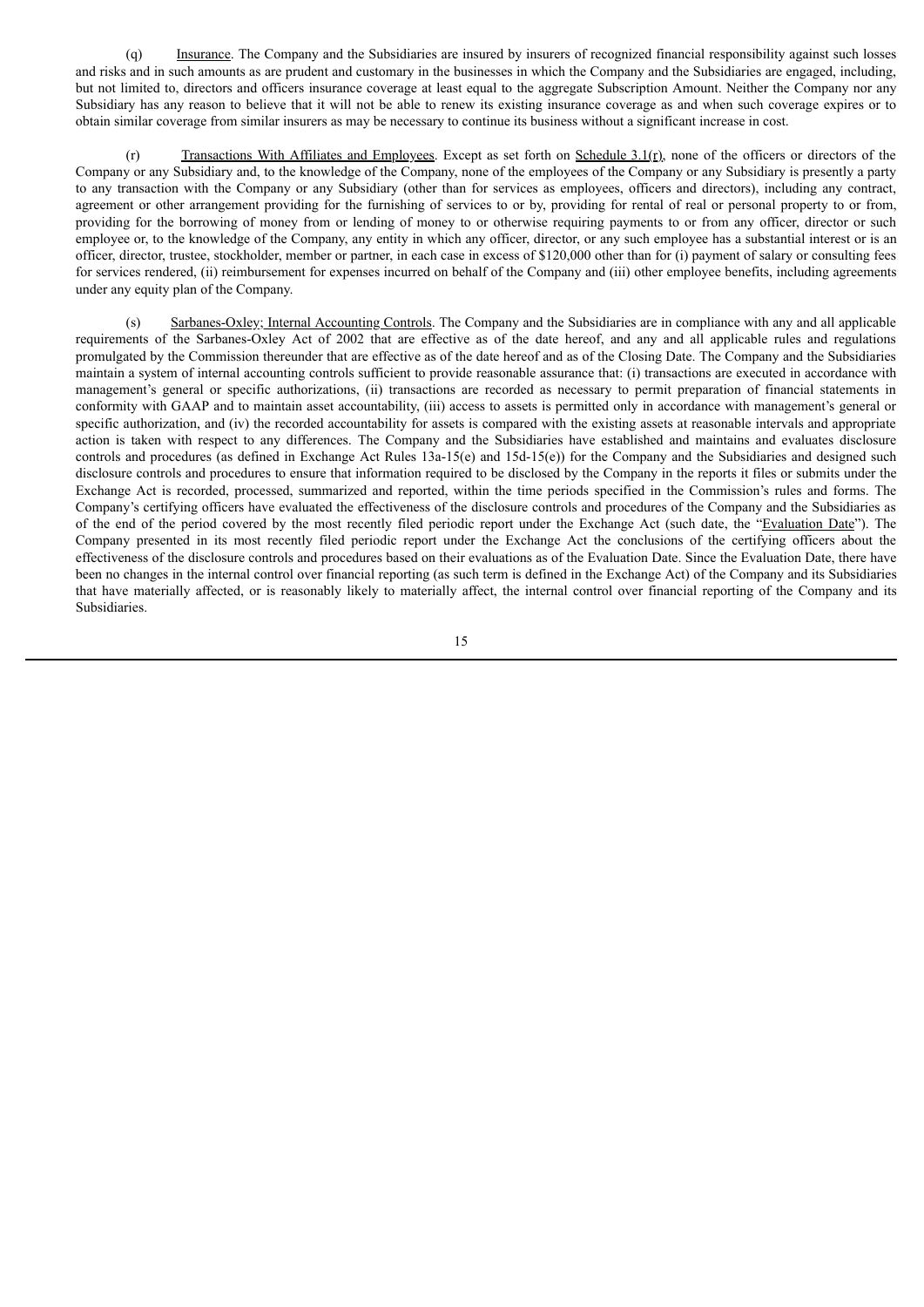(q) Insurance. The Company and the Subsidiaries are insured by insurers of recognized financial responsibility against such losses and risks and in such amounts as are prudent and customary in the businesses in which the Company and the Subsidiaries are engaged, including, but not limited to, directors and officers insurance coverage at least equal to the aggregate Subscription Amount. Neither the Company nor any Subsidiary has any reason to believe that it will not be able to renew its existing insurance coverage as and when such coverage expires or to obtain similar coverage from similar insurers as may be necessary to continue its business without a significant increase in cost.

 $(r)$  Transactions With Affiliates and Employees. Except as set forth on Schedule 3.1(r), none of the officers or directors of the Company or any Subsidiary and, to the knowledge of the Company, none of the employees of the Company or any Subsidiary is presently a party to any transaction with the Company or any Subsidiary (other than for services as employees, officers and directors), including any contract, agreement or other arrangement providing for the furnishing of services to or by, providing for rental of real or personal property to or from, providing for the borrowing of money from or lending of money to or otherwise requiring payments to or from any officer, director or such employee or, to the knowledge of the Company, any entity in which any officer, director, or any such employee has a substantial interest or is an officer, director, trustee, stockholder, member or partner, in each case in excess of \$120,000 other than for (i) payment of salary or consulting fees for services rendered, (ii) reimbursement for expenses incurred on behalf of the Company and (iii) other employee benefits, including agreements under any equity plan of the Company.

(s) Sarbanes-Oxley; Internal Accounting Controls. The Company and the Subsidiaries are in compliance with any and all applicable requirements of the Sarbanes-Oxley Act of 2002 that are effective as of the date hereof, and any and all applicable rules and regulations promulgated by the Commission thereunder that are effective as of the date hereof and as of the Closing Date. The Company and the Subsidiaries maintain a system of internal accounting controls sufficient to provide reasonable assurance that: (i) transactions are executed in accordance with management's general or specific authorizations, (ii) transactions are recorded as necessary to permit preparation of financial statements in conformity with GAAP and to maintain asset accountability, (iii) access to assets is permitted only in accordance with management's general or specific authorization, and (iv) the recorded accountability for assets is compared with the existing assets at reasonable intervals and appropriate action is taken with respect to any differences. The Company and the Subsidiaries have established and maintains and evaluates disclosure controls and procedures (as defined in Exchange Act Rules 13a-15(e) and 15d-15(e)) for the Company and the Subsidiaries and designed such disclosure controls and procedures to ensure that information required to be disclosed by the Company in the reports it files or submits under the Exchange Act is recorded, processed, summarized and reported, within the time periods specified in the Commission's rules and forms. The Company's certifying officers have evaluated the effectiveness of the disclosure controls and procedures of the Company and the Subsidiaries as of the end of the period covered by the most recently filed periodic report under the Exchange Act (such date, the "Evaluation Date"). The Company presented in its most recently filed periodic report under the Exchange Act the conclusions of the certifying officers about the effectiveness of the disclosure controls and procedures based on their evaluations as of the Evaluation Date. Since the Evaluation Date, there have been no changes in the internal control over financial reporting (as such term is defined in the Exchange Act) of the Company and its Subsidiaries that have materially affected, or is reasonably likely to materially affect, the internal control over financial reporting of the Company and its Subsidiaries.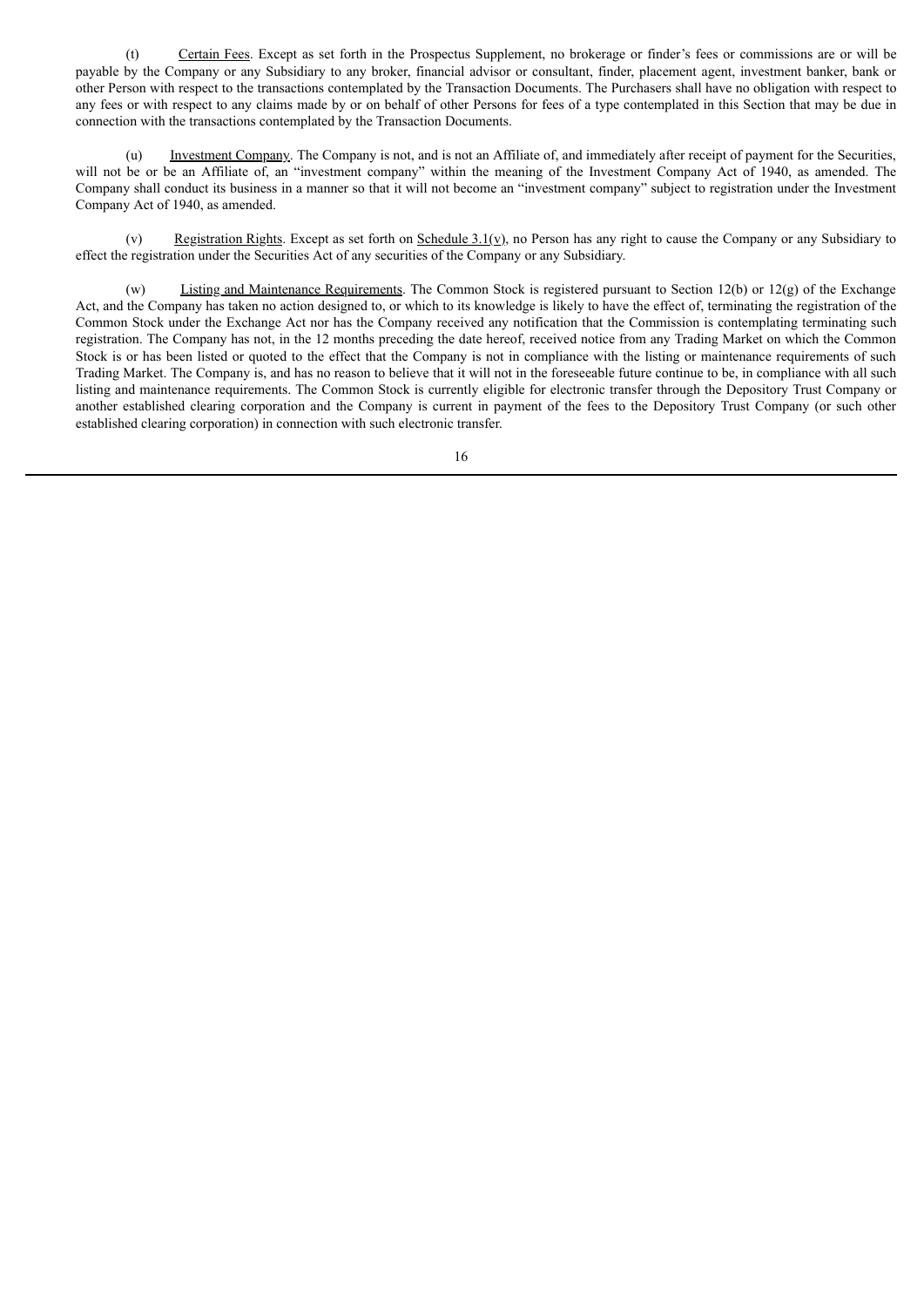(t) Certain Fees. Except as set forth in the Prospectus Supplement, no brokerage or finder's fees or commissions are or will be payable by the Company or any Subsidiary to any broker, financial advisor or consultant, finder, placement agent, investment banker, bank or other Person with respect to the transactions contemplated by the Transaction Documents. The Purchasers shall have no obligation with respect to any fees or with respect to any claims made by or on behalf of other Persons for fees of a type contemplated in this Section that may be due in connection with the transactions contemplated by the Transaction Documents.

(u) Investment Company. The Company is not, and is not an Affiliate of, and immediately after receipt of payment for the Securities, will not be or be an Affiliate of, an "investment company" within the meaning of the Investment Company Act of 1940, as amended. The Company shall conduct its business in a manner so that it will not become an "investment company" subject to registration under the Investment Company Act of 1940, as amended.

(v) Registration Rights. Except as set forth on Schedule  $3.1(y)$ , no Person has any right to cause the Company or any Subsidiary to effect the registration under the Securities Act of any securities of the Company or any Subsidiary.

(w) Listing and Maintenance Requirements. The Common Stock is registered pursuant to Section 12(b) or 12(g) of the Exchange Act, and the Company has taken no action designed to, or which to its knowledge is likely to have the effect of, terminating the registration of the Common Stock under the Exchange Act nor has the Company received any notification that the Commission is contemplating terminating such registration. The Company has not, in the 12 months preceding the date hereof, received notice from any Trading Market on which the Common Stock is or has been listed or quoted to the effect that the Company is not in compliance with the listing or maintenance requirements of such Trading Market. The Company is, and has no reason to believe that it will not in the foreseeable future continue to be, in compliance with all such listing and maintenance requirements. The Common Stock is currently eligible for electronic transfer through the Depository Trust Company or another established clearing corporation and the Company is current in payment of the fees to the Depository Trust Company (or such other established clearing corporation) in connection with such electronic transfer.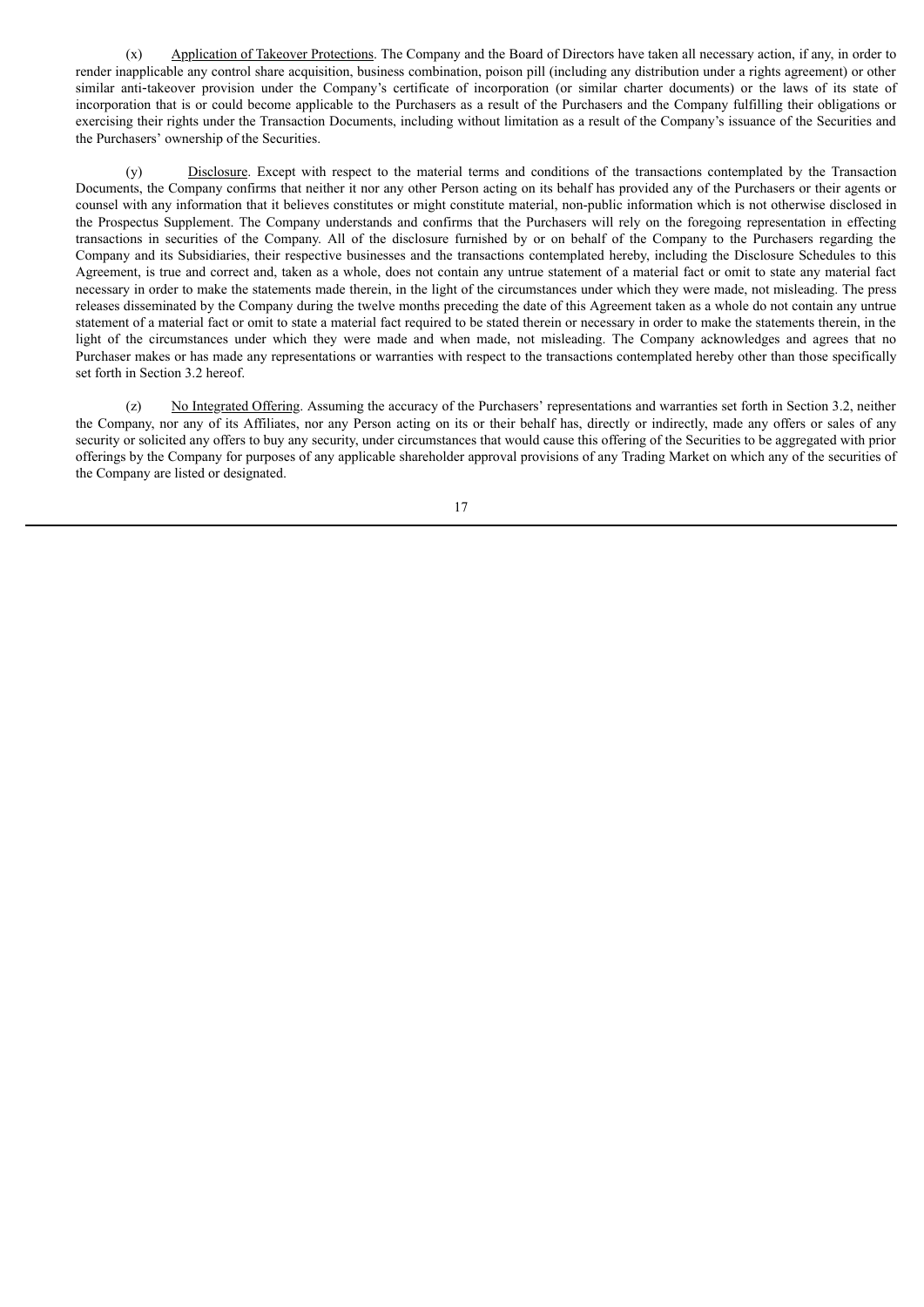(x) Application of Takeover Protections. The Company and the Board of Directors have taken all necessary action, if any, in order to render inapplicable any control share acquisition, business combination, poison pill (including any distribution under a rights agreement) or other similar anti-takeover provision under the Company's certificate of incorporation (or similar charter documents) or the laws of its state of incorporation that is or could become applicable to the Purchasers as a result of the Purchasers and the Company fulfilling their obligations or exercising their rights under the Transaction Documents, including without limitation as a result of the Company's issuance of the Securities and the Purchasers' ownership of the Securities.

(y) Disclosure. Except with respect to the material terms and conditions of the transactions contemplated by the Transaction Documents, the Company confirms that neither it nor any other Person acting on its behalf has provided any of the Purchasers or their agents or counsel with any information that it believes constitutes or might constitute material, non-public information which is not otherwise disclosed in the Prospectus Supplement. The Company understands and confirms that the Purchasers will rely on the foregoing representation in effecting transactions in securities of the Company. All of the disclosure furnished by or on behalf of the Company to the Purchasers regarding the Company and its Subsidiaries, their respective businesses and the transactions contemplated hereby, including the Disclosure Schedules to this Agreement, is true and correct and, taken as a whole, does not contain any untrue statement of a material fact or omit to state any material fact necessary in order to make the statements made therein, in the light of the circumstances under which they were made, not misleading. The press releases disseminated by the Company during the twelve months preceding the date of this Agreement taken as a whole do not contain any untrue statement of a material fact or omit to state a material fact required to be stated therein or necessary in order to make the statements therein, in the light of the circumstances under which they were made and when made, not misleading. The Company acknowledges and agrees that no Purchaser makes or has made any representations or warranties with respect to the transactions contemplated hereby other than those specifically set forth in Section 3.2 hereof.

(z) No Integrated Offering. Assuming the accuracy of the Purchasers' representations and warranties set forth in Section 3.2, neither the Company, nor any of its Affiliates, nor any Person acting on its or their behalf has, directly or indirectly, made any offers or sales of any security or solicited any offers to buy any security, under circumstances that would cause this offering of the Securities to be aggregated with prior offerings by the Company for purposes of any applicable shareholder approval provisions of any Trading Market on which any of the securities of the Company are listed or designated.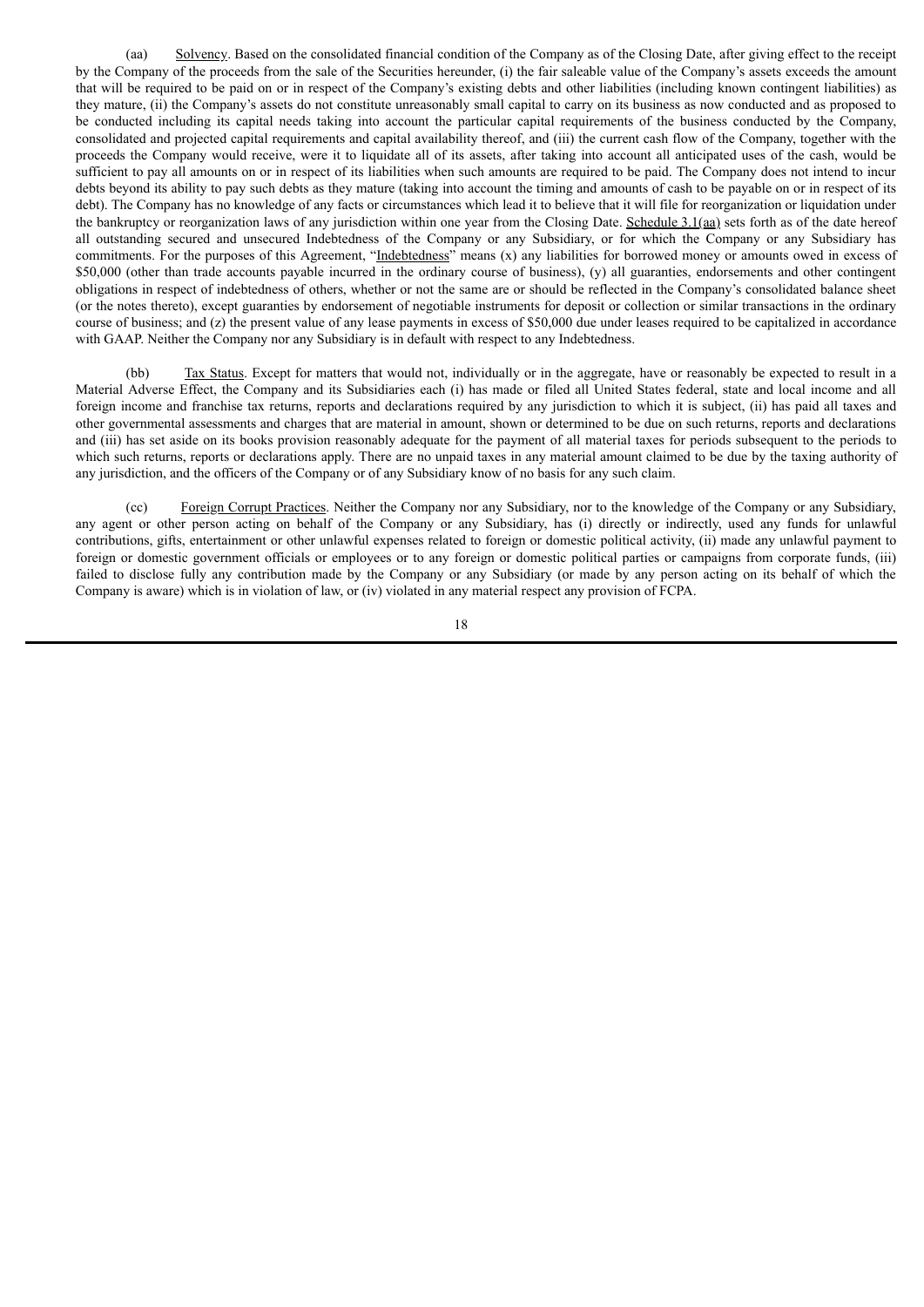(aa) Solvency. Based on the consolidated financial condition of the Company as of the Closing Date, after giving effect to the receipt by the Company of the proceeds from the sale of the Securities hereunder, (i) the fair saleable value of the Company's assets exceeds the amount that will be required to be paid on or in respect of the Company's existing debts and other liabilities (including known contingent liabilities) as they mature, (ii) the Company's assets do not constitute unreasonably small capital to carry on its business as now conducted and as proposed to be conducted including its capital needs taking into account the particular capital requirements of the business conducted by the Company, consolidated and projected capital requirements and capital availability thereof, and (iii) the current cash flow of the Company, together with the proceeds the Company would receive, were it to liquidate all of its assets, after taking into account all anticipated uses of the cash, would be sufficient to pay all amounts on or in respect of its liabilities when such amounts are required to be paid. The Company does not intend to incur debts beyond its ability to pay such debts as they mature (taking into account the timing and amounts of cash to be payable on or in respect of its debt). The Company has no knowledge of any facts or circumstances which lead it to believe that it will file for reorganization or liquidation under the bankruptcy or reorganization laws of any jurisdiction within one year from the Closing Date. Schedule 3.1(aa) sets forth as of the date hereof all outstanding secured and unsecured Indebtedness of the Company or any Subsidiary, or for which the Company or any Subsidiary has commitments. For the purposes of this Agreement, "Indebtedness" means (x) any liabilities for borrowed money or amounts owed in excess of \$50,000 (other than trade accounts payable incurred in the ordinary course of business), (y) all guaranties, endorsements and other contingent obligations in respect of indebtedness of others, whether or not the same are or should be reflected in the Company's consolidated balance sheet (or the notes thereto), except guaranties by endorsement of negotiable instruments for deposit or collection or similar transactions in the ordinary course of business; and (z) the present value of any lease payments in excess of \$50,000 due under leases required to be capitalized in accordance with GAAP. Neither the Company nor any Subsidiary is in default with respect to any Indebtedness.

(bb) Tax Status. Except for matters that would not, individually or in the aggregate, have or reasonably be expected to result in a Material Adverse Effect, the Company and its Subsidiaries each (i) has made or filed all United States federal, state and local income and all foreign income and franchise tax returns, reports and declarations required by any jurisdiction to which it is subject, (ii) has paid all taxes and other governmental assessments and charges that are material in amount, shown or determined to be due on such returns, reports and declarations and (iii) has set aside on its books provision reasonably adequate for the payment of all material taxes for periods subsequent to the periods to which such returns, reports or declarations apply. There are no unpaid taxes in any material amount claimed to be due by the taxing authority of any jurisdiction, and the officers of the Company or of any Subsidiary know of no basis for any such claim.

(cc) Foreign Corrupt Practices. Neither the Company nor any Subsidiary, nor to the knowledge of the Company or any Subsidiary, any agent or other person acting on behalf of the Company or any Subsidiary, has (i) directly or indirectly, used any funds for unlawful contributions, gifts, entertainment or other unlawful expenses related to foreign or domestic political activity, (ii) made any unlawful payment to foreign or domestic government officials or employees or to any foreign or domestic political parties or campaigns from corporate funds, (iii) failed to disclose fully any contribution made by the Company or any Subsidiary (or made by any person acting on its behalf of which the Company is aware) which is in violation of law, or (iv) violated in any material respect any provision of FCPA.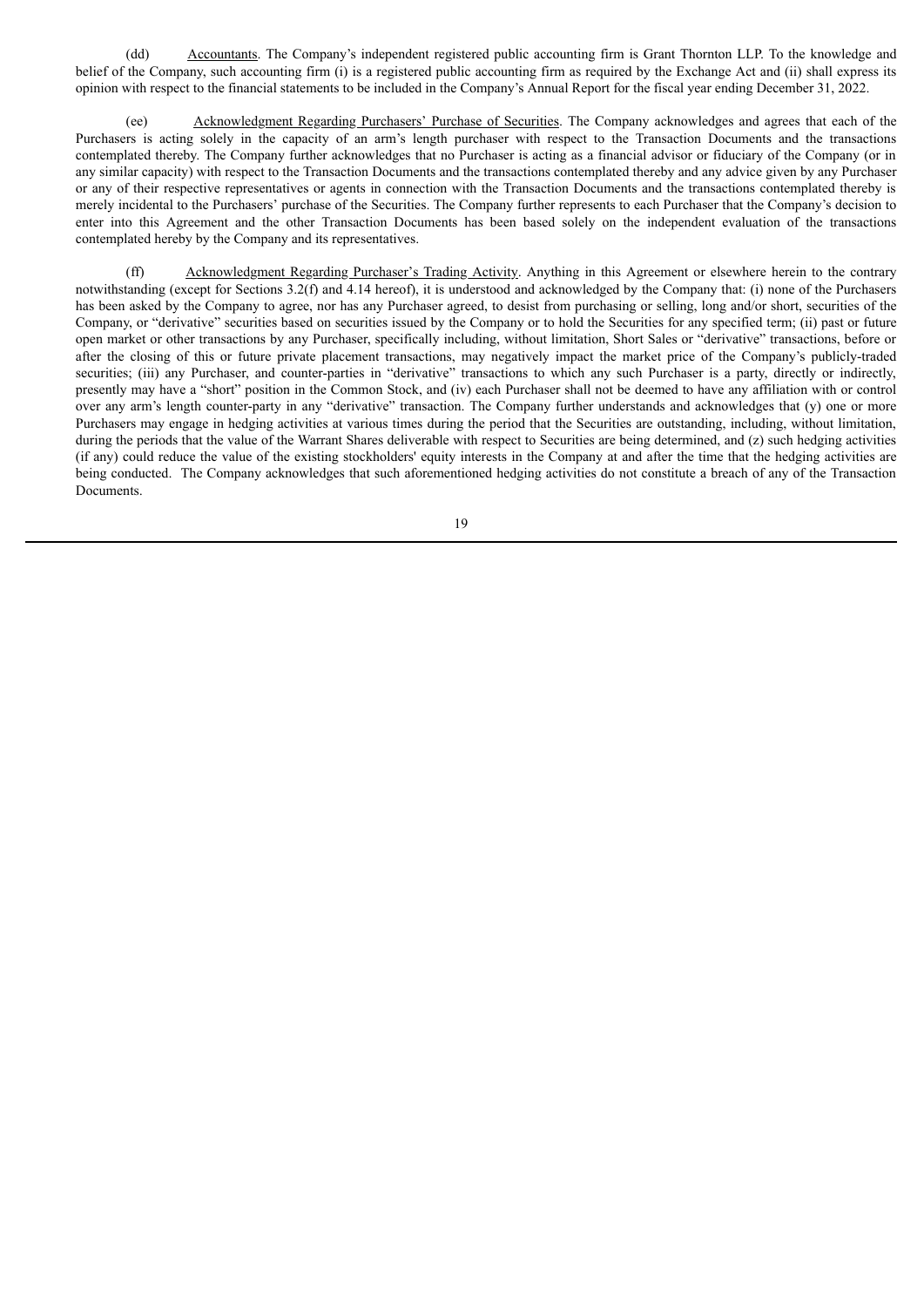(dd) Accountants. The Company's independent registered public accounting firm is Grant Thornton LLP. To the knowledge and belief of the Company, such accounting firm (i) is a registered public accounting firm as required by the Exchange Act and (ii) shall express its opinion with respect to the financial statements to be included in the Company's Annual Report for the fiscal year ending December 31, 2022.

(ee) Acknowledgment Regarding Purchasers' Purchase of Securities. The Company acknowledges and agrees that each of the Purchasers is acting solely in the capacity of an arm's length purchaser with respect to the Transaction Documents and the transactions contemplated thereby. The Company further acknowledges that no Purchaser is acting as a financial advisor or fiduciary of the Company (or in any similar capacity) with respect to the Transaction Documents and the transactions contemplated thereby and any advice given by any Purchaser or any of their respective representatives or agents in connection with the Transaction Documents and the transactions contemplated thereby is merely incidental to the Purchasers' purchase of the Securities. The Company further represents to each Purchaser that the Company's decision to enter into this Agreement and the other Transaction Documents has been based solely on the independent evaluation of the transactions contemplated hereby by the Company and its representatives.

(ff) Acknowledgment Regarding Purchaser's Trading Activity. Anything in this Agreement or elsewhere herein to the contrary notwithstanding (except for Sections 3.2(f) and 4.14 hereof), it is understood and acknowledged by the Company that: (i) none of the Purchasers has been asked by the Company to agree, nor has any Purchaser agreed, to desist from purchasing or selling, long and/or short, securities of the Company, or "derivative" securities based on securities issued by the Company or to hold the Securities for any specified term; (ii) past or future open market or other transactions by any Purchaser, specifically including, without limitation, Short Sales or "derivative" transactions, before or after the closing of this or future private placement transactions, may negatively impact the market price of the Company's publicly-traded securities; (iii) any Purchaser, and counter-parties in "derivative" transactions to which any such Purchaser is a party, directly or indirectly, presently may have a "short" position in the Common Stock, and (iv) each Purchaser shall not be deemed to have any affiliation with or control over any arm's length counter-party in any "derivative" transaction. The Company further understands and acknowledges that (y) one or more Purchasers may engage in hedging activities at various times during the period that the Securities are outstanding, including, without limitation, during the periods that the value of the Warrant Shares deliverable with respect to Securities are being determined, and (z) such hedging activities (if any) could reduce the value of the existing stockholders' equity interests in the Company at and after the time that the hedging activities are being conducted. The Company acknowledges that such aforementioned hedging activities do not constitute a breach of any of the Transaction **Documents**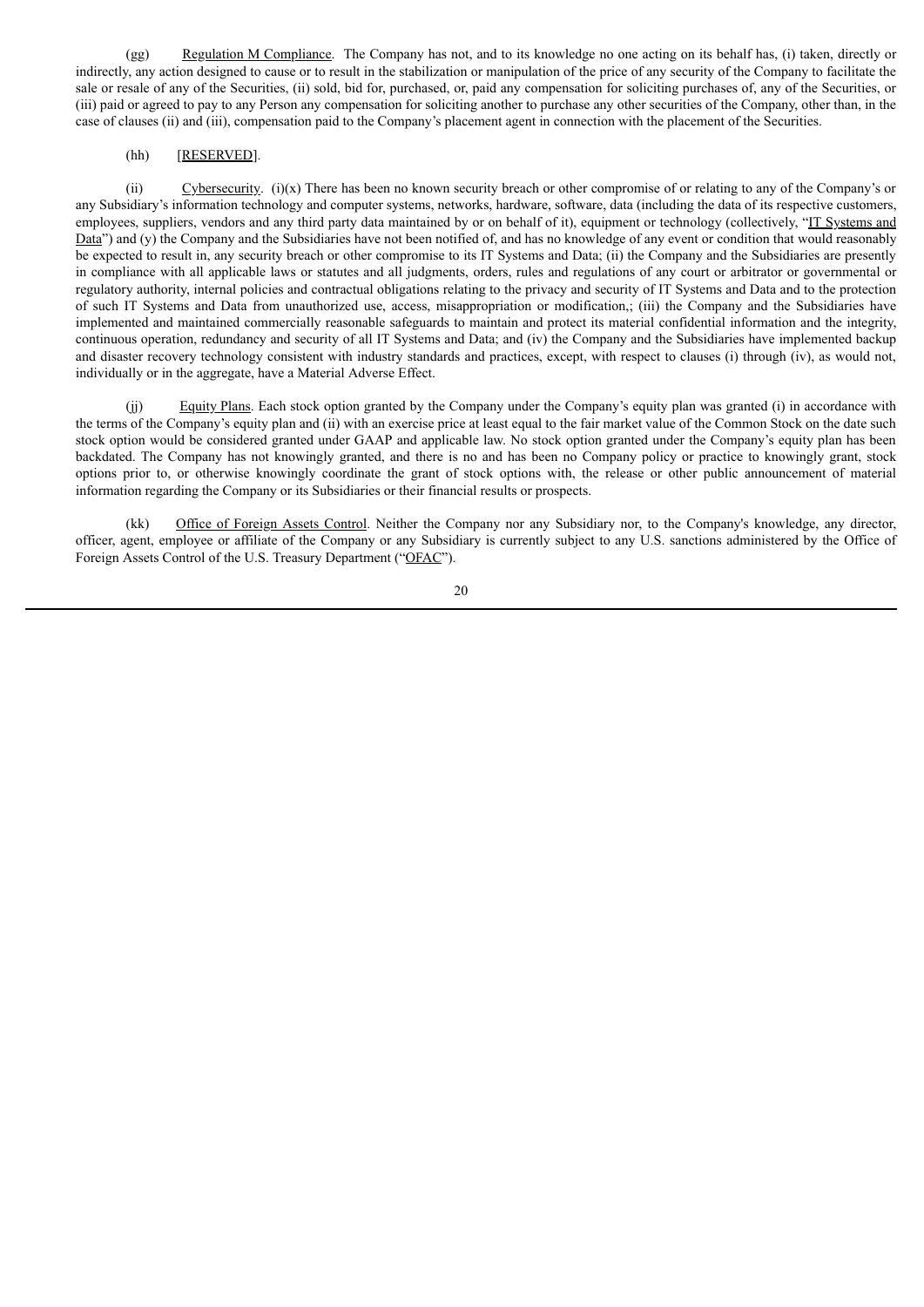(gg) Regulation M Compliance. The Company has not, and to its knowledge no one acting on its behalf has, (i) taken, directly or indirectly, any action designed to cause or to result in the stabilization or manipulation of the price of any security of the Company to facilitate the sale or resale of any of the Securities, (ii) sold, bid for, purchased, or, paid any compensation for soliciting purchases of, any of the Securities, or (iii) paid or agreed to pay to any Person any compensation for soliciting another to purchase any other securities of the Company, other than, in the case of clauses (ii) and (iii), compensation paid to the Company's placement agent in connection with the placement of the Securities.

# (hh) [RESERVED].

(ii) Cybersecurity. (i)(x) There has been no known security breach or other compromise of or relating to any of the Company's or any Subsidiary's information technology and computer systems, networks, hardware, software, data (including the data of its respective customers, employees, suppliers, vendors and any third party data maintained by or on behalf of it), equipment or technology (collectively, "IT Systems and Data") and (y) the Company and the Subsidiaries have not been notified of, and has no knowledge of any event or condition that would reasonably be expected to result in, any security breach or other compromise to its IT Systems and Data; (ii) the Company and the Subsidiaries are presently in compliance with all applicable laws or statutes and all judgments, orders, rules and regulations of any court or arbitrator or governmental or regulatory authority, internal policies and contractual obligations relating to the privacy and security of IT Systems and Data and to the protection of such IT Systems and Data from unauthorized use, access, misappropriation or modification,; (iii) the Company and the Subsidiaries have implemented and maintained commercially reasonable safeguards to maintain and protect its material confidential information and the integrity, continuous operation, redundancy and security of all IT Systems and Data; and (iv) the Company and the Subsidiaries have implemented backup and disaster recovery technology consistent with industry standards and practices, except, with respect to clauses (i) through (iv), as would not, individually or in the aggregate, have a Material Adverse Effect.

(ii) Equity Plans. Each stock option granted by the Company under the Company's equity plan was granted (i) in accordance with the terms of the Company's equity plan and (ii) with an exercise price at least equal to the fair market value of the Common Stock on the date such stock option would be considered granted under GAAP and applicable law. No stock option granted under the Company's equity plan has been backdated. The Company has not knowingly granted, and there is no and has been no Company policy or practice to knowingly grant, stock options prior to, or otherwise knowingly coordinate the grant of stock options with, the release or other public announcement of material information regarding the Company or its Subsidiaries or their financial results or prospects.

(kk) Office of Foreign Assets Control. Neither the Company nor any Subsidiary nor, to the Company's knowledge, any director, officer, agent, employee or affiliate of the Company or any Subsidiary is currently subject to any U.S. sanctions administered by the Office of Foreign Assets Control of the U.S. Treasury Department ("OFAC").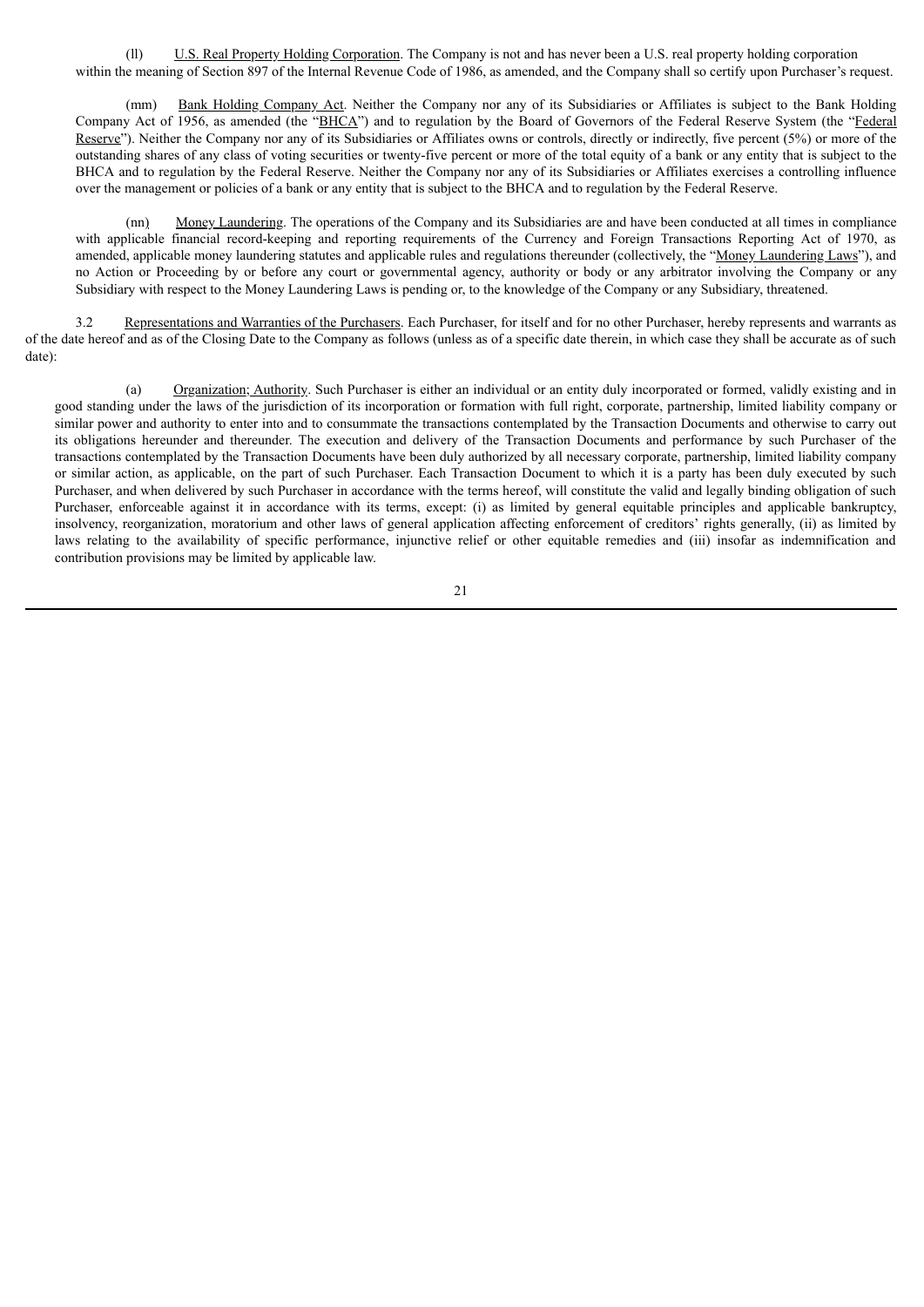(ll) U.S. Real Property Holding Corporation. The Company is not and has never been a U.S. real property holding corporation within the meaning of Section 897 of the Internal Revenue Code of 1986, as amended, and the Company shall so certify upon Purchaser's request.

(mm) Bank Holding Company Act. Neither the Company nor any of its Subsidiaries or Affiliates is subject to the Bank Holding Company Act of 1956, as amended (the "BHCA") and to regulation by the Board of Governors of the Federal Reserve System (the "Federal Reserve"). Neither the Company nor any of its Subsidiaries or Affiliates owns or controls, directly or indirectly, five percent (5%) or more of the outstanding shares of any class of voting securities or twenty-five percent or more of the total equity of a bank or any entity that is subject to the BHCA and to regulation by the Federal Reserve. Neither the Company nor any of its Subsidiaries or Affiliates exercises a controlling influence over the management or policies of a bank or any entity that is subject to the BHCA and to regulation by the Federal Reserve.

(nn) Money Laundering. The operations of the Company and its Subsidiaries are and have been conducted at all times in compliance with applicable financial record-keeping and reporting requirements of the Currency and Foreign Transactions Reporting Act of 1970, as amended, applicable money laundering statutes and applicable rules and regulations thereunder (collectively, the "Money Laundering Laws"), and no Action or Proceeding by or before any court or governmental agency, authority or body or any arbitrator involving the Company or any Subsidiary with respect to the Money Laundering Laws is pending or, to the knowledge of the Company or any Subsidiary, threatened.

3.2 Representations and Warranties of the Purchasers. Each Purchaser, for itself and for no other Purchaser, hereby represents and warrants as of the date hereof and as of the Closing Date to the Company as follows (unless as of a specific date therein, in which case they shall be accurate as of such date):

(a) Organization; Authority. Such Purchaser is either an individual or an entity duly incorporated or formed, validly existing and in good standing under the laws of the jurisdiction of its incorporation or formation with full right, corporate, partnership, limited liability company or similar power and authority to enter into and to consummate the transactions contemplated by the Transaction Documents and otherwise to carry out its obligations hereunder and thereunder. The execution and delivery of the Transaction Documents and performance by such Purchaser of the transactions contemplated by the Transaction Documents have been duly authorized by all necessary corporate, partnership, limited liability company or similar action, as applicable, on the part of such Purchaser. Each Transaction Document to which it is a party has been duly executed by such Purchaser, and when delivered by such Purchaser in accordance with the terms hereof, will constitute the valid and legally binding obligation of such Purchaser, enforceable against it in accordance with its terms, except: (i) as limited by general equitable principles and applicable bankruptcy, insolvency, reorganization, moratorium and other laws of general application affecting enforcement of creditors' rights generally, (ii) as limited by laws relating to the availability of specific performance, injunctive relief or other equitable remedies and (iii) insofar as indemnification and contribution provisions may be limited by applicable law.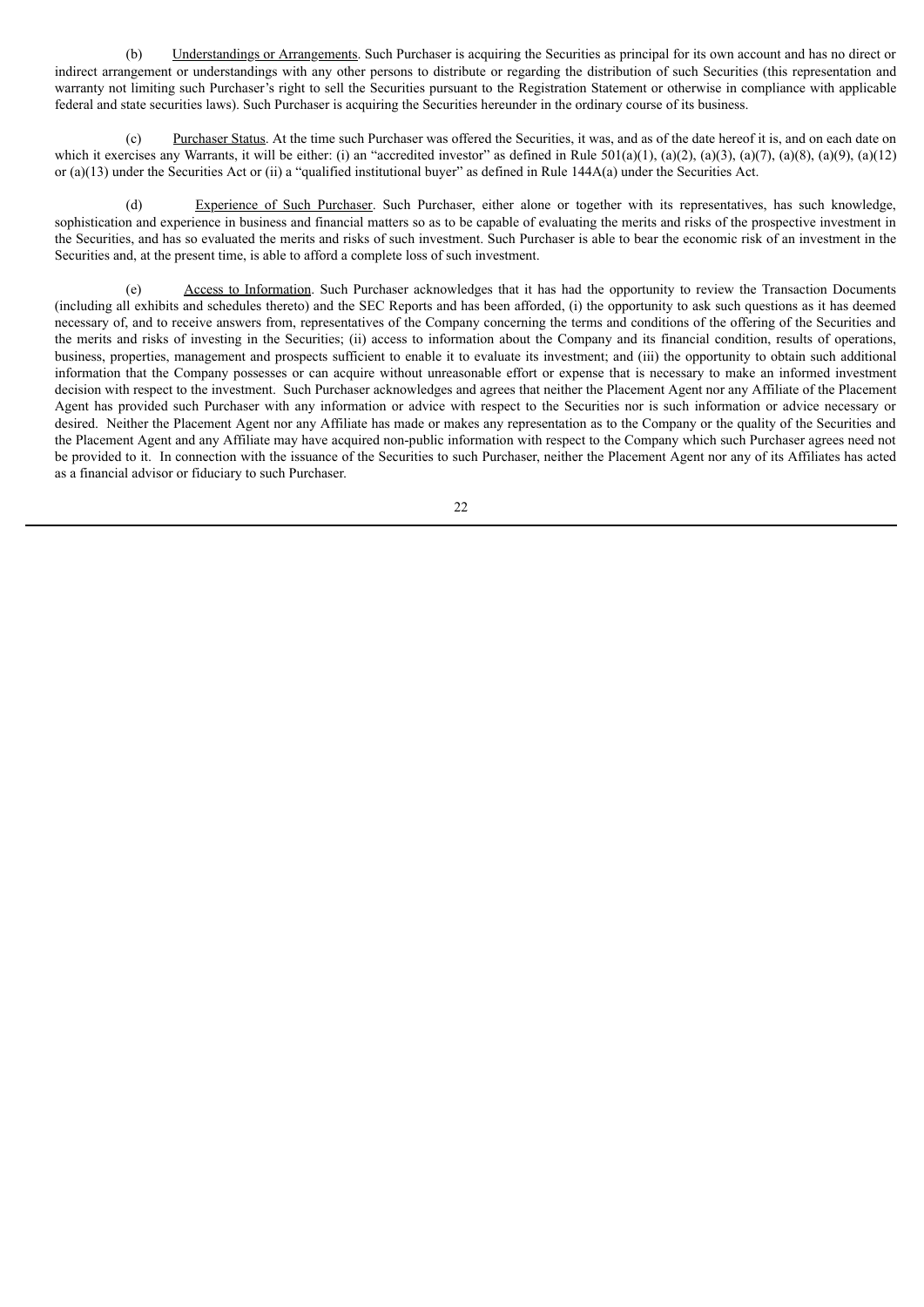(b) Understandings or Arrangements. Such Purchaser is acquiring the Securities as principal for its own account and has no direct or indirect arrangement or understandings with any other persons to distribute or regarding the distribution of such Securities (this representation and warranty not limiting such Purchaser's right to sell the Securities pursuant to the Registration Statement or otherwise in compliance with applicable federal and state securities laws). Such Purchaser is acquiring the Securities hereunder in the ordinary course of its business.

Purchaser Status. At the time such Purchaser was offered the Securities, it was, and as of the date hereof it is, and on each date on which it exercises any Warrants, it will be either: (i) an "accredited investor" as defined in Rule  $501(a)(1)$ ,  $(a)(2)$ ,  $(a)(3)$ ,  $(a)(7)$ ,  $(a)(8)$ ,  $(a)(9)$ ,  $(a)(12)$ or (a)(13) under the Securities Act or (ii) a "qualified institutional buyer" as defined in Rule 144A(a) under the Securities Act.

Experience of Such Purchaser. Such Purchaser, either alone or together with its representatives, has such knowledge, sophistication and experience in business and financial matters so as to be capable of evaluating the merits and risks of the prospective investment in the Securities, and has so evaluated the merits and risks of such investment. Such Purchaser is able to bear the economic risk of an investment in the Securities and, at the present time, is able to afford a complete loss of such investment.

(e) Access to Information. Such Purchaser acknowledges that it has had the opportunity to review the Transaction Documents (including all exhibits and schedules thereto) and the SEC Reports and has been afforded, (i) the opportunity to ask such questions as it has deemed necessary of, and to receive answers from, representatives of the Company concerning the terms and conditions of the offering of the Securities and the merits and risks of investing in the Securities; (ii) access to information about the Company and its financial condition, results of operations, business, properties, management and prospects sufficient to enable it to evaluate its investment; and (iii) the opportunity to obtain such additional information that the Company possesses or can acquire without unreasonable effort or expense that is necessary to make an informed investment decision with respect to the investment. Such Purchaser acknowledges and agrees that neither the Placement Agent nor any Affiliate of the Placement Agent has provided such Purchaser with any information or advice with respect to the Securities nor is such information or advice necessary or desired. Neither the Placement Agent nor any Affiliate has made or makes any representation as to the Company or the quality of the Securities and the Placement Agent and any Affiliate may have acquired non-public information with respect to the Company which such Purchaser agrees need not be provided to it. In connection with the issuance of the Securities to such Purchaser, neither the Placement Agent nor any of its Affiliates has acted as a financial advisor or fiduciary to such Purchaser.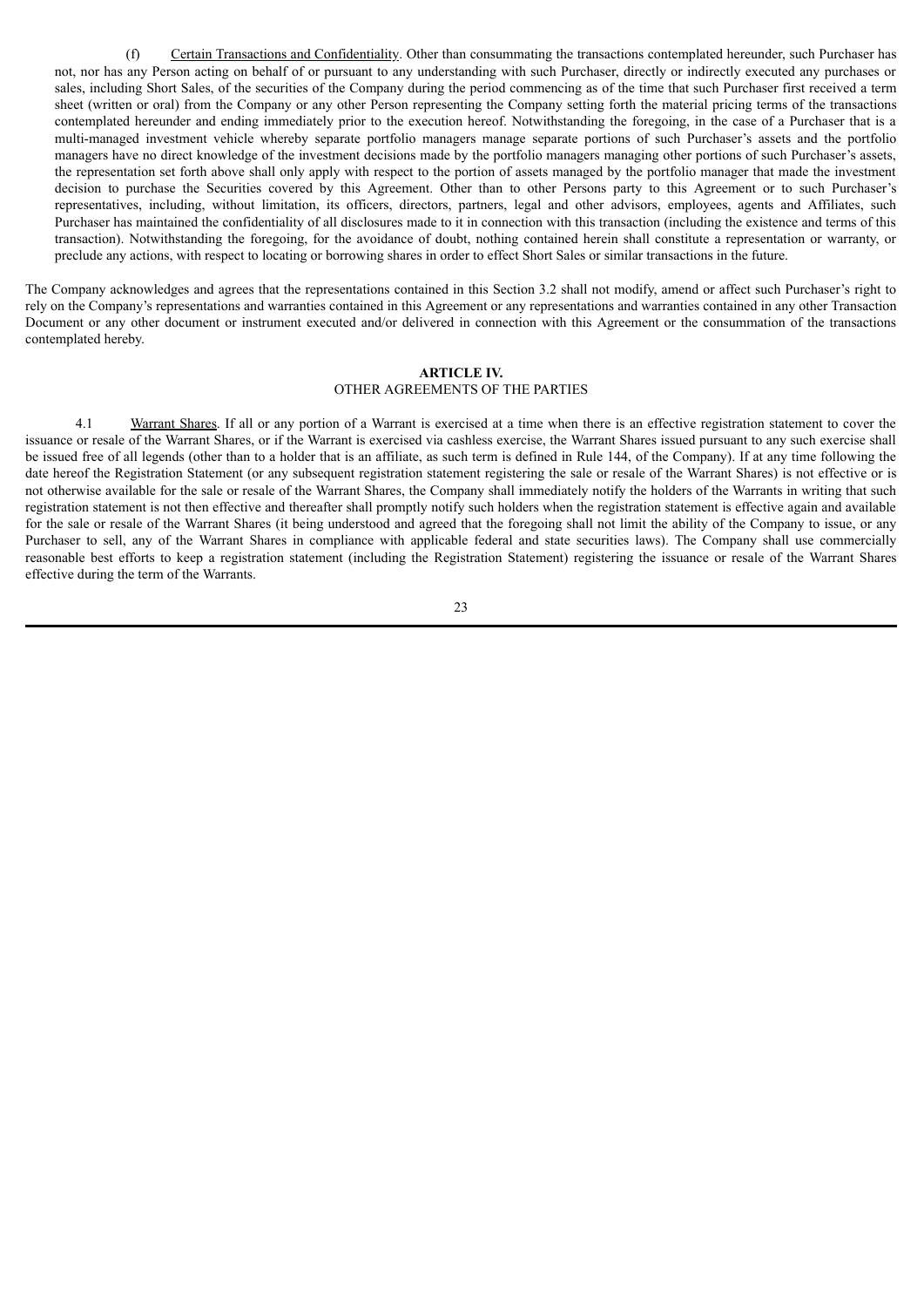(f) Certain Transactions and Confidentiality. Other than consummating the transactions contemplated hereunder, such Purchaser has not, nor has any Person acting on behalf of or pursuant to any understanding with such Purchaser, directly or indirectly executed any purchases or sales, including Short Sales, of the securities of the Company during the period commencing as of the time that such Purchaser first received a term sheet (written or oral) from the Company or any other Person representing the Company setting forth the material pricing terms of the transactions contemplated hereunder and ending immediately prior to the execution hereof. Notwithstanding the foregoing, in the case of a Purchaser that is a multi-managed investment vehicle whereby separate portfolio managers manage separate portions of such Purchaser's assets and the portfolio managers have no direct knowledge of the investment decisions made by the portfolio managers managing other portions of such Purchaser's assets, the representation set forth above shall only apply with respect to the portion of assets managed by the portfolio manager that made the investment decision to purchase the Securities covered by this Agreement. Other than to other Persons party to this Agreement or to such Purchaser's representatives, including, without limitation, its officers, directors, partners, legal and other advisors, employees, agents and Affiliates, such Purchaser has maintained the confidentiality of all disclosures made to it in connection with this transaction (including the existence and terms of this transaction). Notwithstanding the foregoing, for the avoidance of doubt, nothing contained herein shall constitute a representation or warranty, or preclude any actions, with respect to locating or borrowing shares in order to effect Short Sales or similar transactions in the future.

The Company acknowledges and agrees that the representations contained in this Section 3.2 shall not modify, amend or affect such Purchaser's right to rely on the Company's representations and warranties contained in this Agreement or any representations and warranties contained in any other Transaction Document or any other document or instrument executed and/or delivered in connection with this Agreement or the consummation of the transactions contemplated hereby.

# **ARTICLE IV.** OTHER AGREEMENTS OF THE PARTIES

4.1 Warrant Shares. If all or any portion of a Warrant is exercised at a time when there is an effective registration statement to cover the issuance or resale of the Warrant Shares, or if the Warrant is exercised via cashless exercise, the Warrant Shares issued pursuant to any such exercise shall be issued free of all legends (other than to a holder that is an affiliate, as such term is defined in Rule 144, of the Company). If at any time following the date hereof the Registration Statement (or any subsequent registration statement registering the sale or resale of the Warrant Shares) is not effective or is not otherwise available for the sale or resale of the Warrant Shares, the Company shall immediately notify the holders of the Warrants in writing that such registration statement is not then effective and thereafter shall promptly notify such holders when the registration statement is effective again and available for the sale or resale of the Warrant Shares (it being understood and agreed that the foregoing shall not limit the ability of the Company to issue, or any Purchaser to sell, any of the Warrant Shares in compliance with applicable federal and state securities laws). The Company shall use commercially reasonable best efforts to keep a registration statement (including the Registration Statement) registering the issuance or resale of the Warrant Shares effective during the term of the Warrants.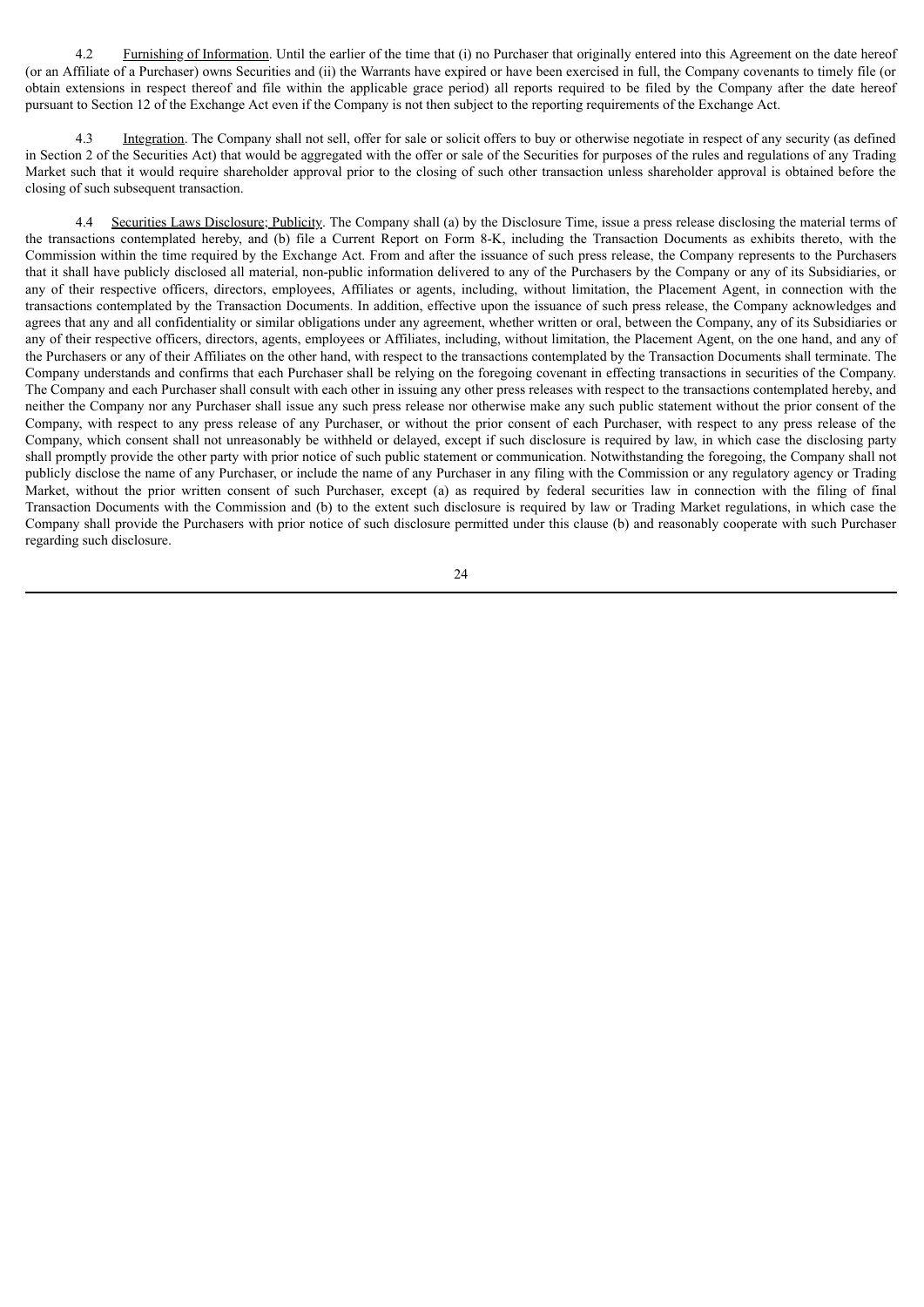4.2 Furnishing of Information. Until the earlier of the time that (i) no Purchaser that originally entered into this Agreement on the date hereof (or an Affiliate of a Purchaser) owns Securities and (ii) the Warrants have expired or have been exercised in full, the Company covenants to timely file (or obtain extensions in respect thereof and file within the applicable grace period) all reports required to be filed by the Company after the date hereof pursuant to Section 12 of the Exchange Act even if the Company is not then subject to the reporting requirements of the Exchange Act.

Integration. The Company shall not sell, offer for sale or solicit offers to buy or otherwise negotiate in respect of any security (as defined in Section 2 of the Securities Act) that would be aggregated with the offer or sale of the Securities for purposes of the rules and regulations of any Trading Market such that it would require shareholder approval prior to the closing of such other transaction unless shareholder approval is obtained before the closing of such subsequent transaction.

4.4 Securities Laws Disclosure; Publicity. The Company shall (a) by the Disclosure Time, issue a press release disclosing the material terms of the transactions contemplated hereby, and (b) file a Current Report on Form 8-K, including the Transaction Documents as exhibits thereto, with the Commission within the time required by the Exchange Act. From and after the issuance of such press release, the Company represents to the Purchasers that it shall have publicly disclosed all material, non-public information delivered to any of the Purchasers by the Company or any of its Subsidiaries, or any of their respective officers, directors, employees, Affiliates or agents, including, without limitation, the Placement Agent, in connection with the transactions contemplated by the Transaction Documents. In addition, effective upon the issuance of such press release, the Company acknowledges and agrees that any and all confidentiality or similar obligations under any agreement, whether written or oral, between the Company, any of its Subsidiaries or any of their respective officers, directors, agents, employees or Affiliates, including, without limitation, the Placement Agent, on the one hand, and any of the Purchasers or any of their Affiliates on the other hand, with respect to the transactions contemplated by the Transaction Documents shall terminate. The Company understands and confirms that each Purchaser shall be relying on the foregoing covenant in effecting transactions in securities of the Company. The Company and each Purchaser shall consult with each other in issuing any other press releases with respect to the transactions contemplated hereby, and neither the Company nor any Purchaser shall issue any such press release nor otherwise make any such public statement without the prior consent of the Company, with respect to any press release of any Purchaser, or without the prior consent of each Purchaser, with respect to any press release of the Company, which consent shall not unreasonably be withheld or delayed, except if such disclosure is required by law, in which case the disclosing party shall promptly provide the other party with prior notice of such public statement or communication. Notwithstanding the foregoing, the Company shall not publicly disclose the name of any Purchaser, or include the name of any Purchaser in any filing with the Commission or any regulatory agency or Trading Market, without the prior written consent of such Purchaser, except (a) as required by federal securities law in connection with the filing of final Transaction Documents with the Commission and (b) to the extent such disclosure is required by law or Trading Market regulations, in which case the Company shall provide the Purchasers with prior notice of such disclosure permitted under this clause (b) and reasonably cooperate with such Purchaser regarding such disclosure.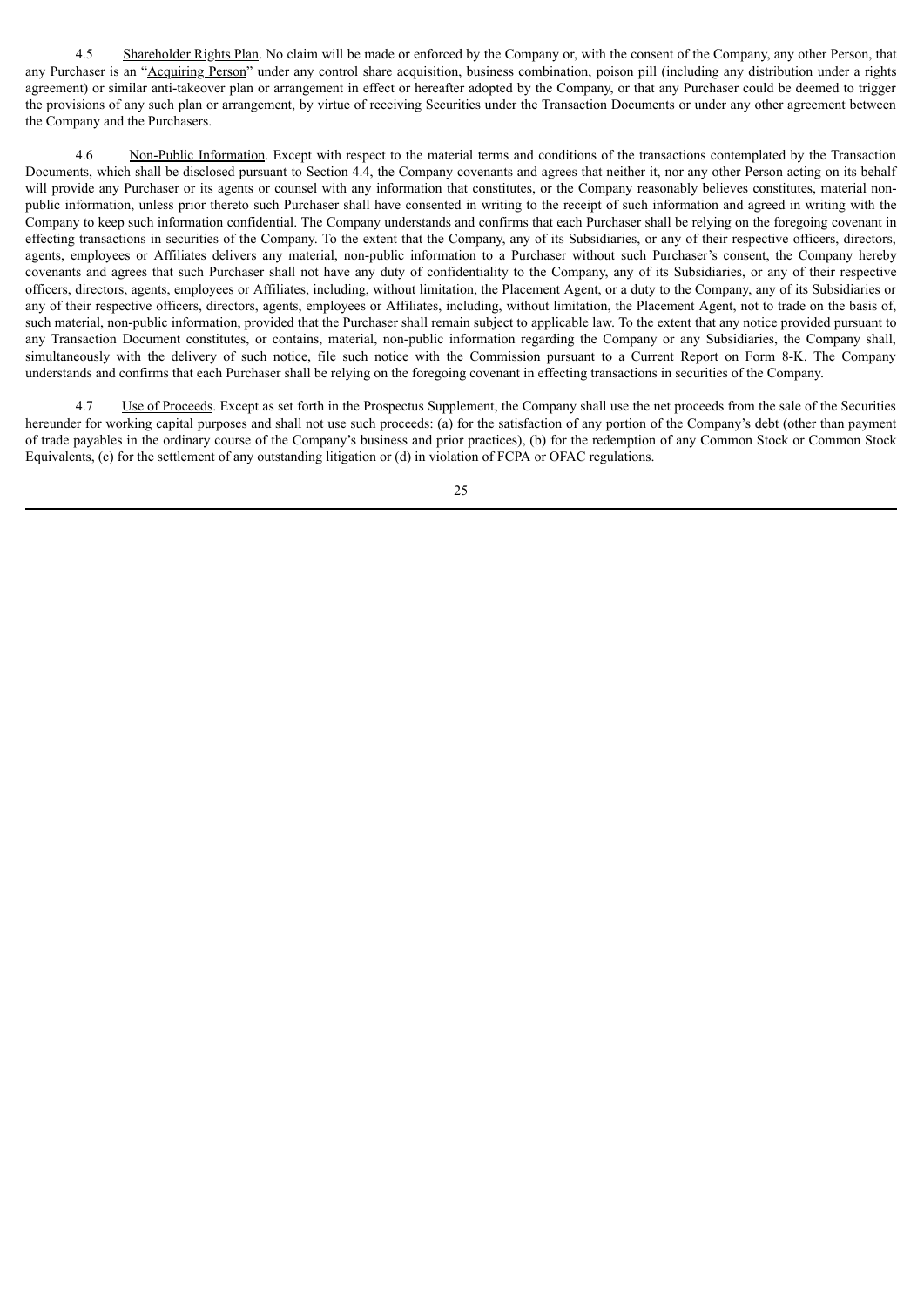4.5 Shareholder Rights Plan. No claim will be made or enforced by the Company or, with the consent of the Company, any other Person, that any Purchaser is an "Acquiring Person" under any control share acquisition, business combination, poison pill (including any distribution under a rights agreement) or similar anti-takeover plan or arrangement in effect or hereafter adopted by the Company, or that any Purchaser could be deemed to trigger the provisions of any such plan or arrangement, by virtue of receiving Securities under the Transaction Documents or under any other agreement between the Company and the Purchasers.

4.6 Non-Public Information. Except with respect to the material terms and conditions of the transactions contemplated by the Transaction Documents, which shall be disclosed pursuant to Section 4.4, the Company covenants and agrees that neither it, nor any other Person acting on its behalf will provide any Purchaser or its agents or counsel with any information that constitutes, or the Company reasonably believes constitutes, material nonpublic information, unless prior thereto such Purchaser shall have consented in writing to the receipt of such information and agreed in writing with the Company to keep such information confidential. The Company understands and confirms that each Purchaser shall be relying on the foregoing covenant in effecting transactions in securities of the Company. To the extent that the Company, any of its Subsidiaries, or any of their respective officers, directors, agents, employees or Affiliates delivers any material, non-public information to a Purchaser without such Purchaser's consent, the Company hereby covenants and agrees that such Purchaser shall not have any duty of confidentiality to the Company, any of its Subsidiaries, or any of their respective officers, directors, agents, employees or Affiliates, including, without limitation, the Placement Agent, or a duty to the Company, any of its Subsidiaries or any of their respective officers, directors, agents, employees or Affiliates, including, without limitation, the Placement Agent, not to trade on the basis of, such material, non-public information, provided that the Purchaser shall remain subject to applicable law. To the extent that any notice provided pursuant to any Transaction Document constitutes, or contains, material, non-public information regarding the Company or any Subsidiaries, the Company shall, simultaneously with the delivery of such notice, file such notice with the Commission pursuant to a Current Report on Form 8-K. The Company understands and confirms that each Purchaser shall be relying on the foregoing covenant in effecting transactions in securities of the Company.

4.7 Use of Proceeds. Except as set forth in the Prospectus Supplement, the Company shall use the net proceeds from the sale of the Securities hereunder for working capital purposes and shall not use such proceeds: (a) for the satisfaction of any portion of the Company's debt (other than payment of trade payables in the ordinary course of the Company's business and prior practices), (b) for the redemption of any Common Stock or Common Stock Equivalents, (c) for the settlement of any outstanding litigation or (d) in violation of FCPA or OFAC regulations.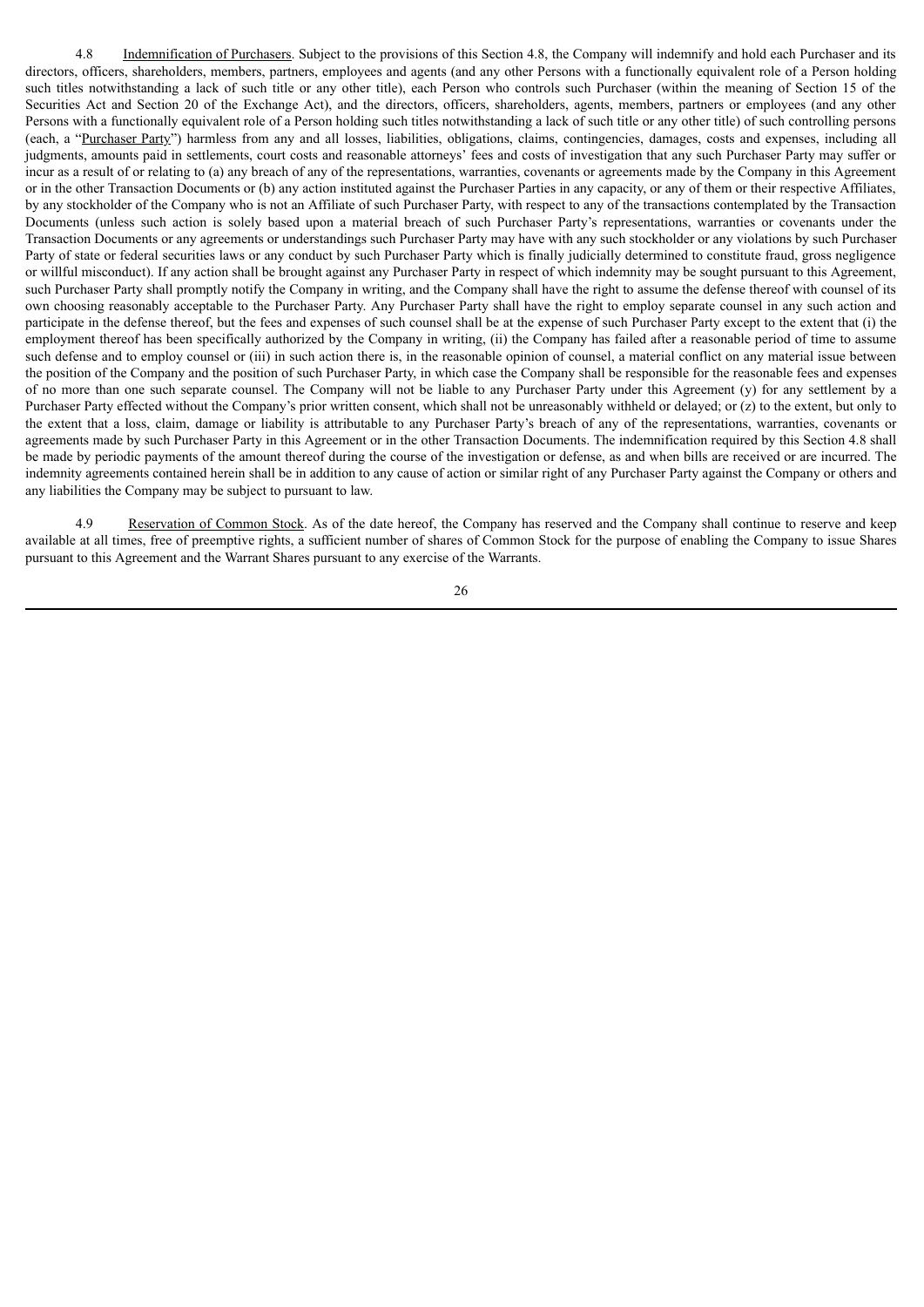4.8 Indemnification of Purchasers. Subject to the provisions of this Section 4.8, the Company will indemnify and hold each Purchaser and its directors, officers, shareholders, members, partners, employees and agents (and any other Persons with a functionally equivalent role of a Person holding such titles notwithstanding a lack of such title or any other title), each Person who controls such Purchaser (within the meaning of Section 15 of the Securities Act and Section 20 of the Exchange Act), and the directors, officers, shareholders, agents, members, partners or employees (and any other Persons with a functionally equivalent role of a Person holding such titles notwithstanding a lack of such title or any other title) of such controlling persons (each, a "Purchaser Party") harmless from any and all losses, liabilities, obligations, claims, contingencies, damages, costs and expenses, including all judgments, amounts paid in settlements, court costs and reasonable attorneys' fees and costs of investigation that any such Purchaser Party may suffer or incur as a result of or relating to (a) any breach of any of the representations, warranties, covenants or agreements made by the Company in this Agreement or in the other Transaction Documents or (b) any action instituted against the Purchaser Parties in any capacity, or any of them or their respective Affiliates, by any stockholder of the Company who is not an Affiliate of such Purchaser Party, with respect to any of the transactions contemplated by the Transaction Documents (unless such action is solely based upon a material breach of such Purchaser Party's representations, warranties or covenants under the Transaction Documents or any agreements or understandings such Purchaser Party may have with any such stockholder or any violations by such Purchaser Party of state or federal securities laws or any conduct by such Purchaser Party which is finally judicially determined to constitute fraud, gross negligence or willful misconduct). If any action shall be brought against any Purchaser Party in respect of which indemnity may be sought pursuant to this Agreement, such Purchaser Party shall promptly notify the Company in writing, and the Company shall have the right to assume the defense thereof with counsel of its own choosing reasonably acceptable to the Purchaser Party. Any Purchaser Party shall have the right to employ separate counsel in any such action and participate in the defense thereof, but the fees and expenses of such counsel shall be at the expense of such Purchaser Party except to the extent that (i) the employment thereof has been specifically authorized by the Company in writing, (ii) the Company has failed after a reasonable period of time to assume such defense and to employ counsel or (iii) in such action there is, in the reasonable opinion of counsel, a material conflict on any material issue between the position of the Company and the position of such Purchaser Party, in which case the Company shall be responsible for the reasonable fees and expenses of no more than one such separate counsel. The Company will not be liable to any Purchaser Party under this Agreement (y) for any settlement by a Purchaser Party effected without the Company's prior written consent, which shall not be unreasonably withheld or delayed; or (z) to the extent, but only to the extent that a loss, claim, damage or liability is attributable to any Purchaser Party's breach of any of the representations, warranties, covenants or agreements made by such Purchaser Party in this Agreement or in the other Transaction Documents. The indemnification required by this Section 4.8 shall be made by periodic payments of the amount thereof during the course of the investigation or defense, as and when bills are received or are incurred. The indemnity agreements contained herein shall be in addition to any cause of action or similar right of any Purchaser Party against the Company or others and any liabilities the Company may be subject to pursuant to law.

4.9 Reservation of Common Stock. As of the date hereof, the Company has reserved and the Company shall continue to reserve and keep available at all times, free of preemptive rights, a sufficient number of shares of Common Stock for the purpose of enabling the Company to issue Shares pursuant to this Agreement and the Warrant Shares pursuant to any exercise of the Warrants.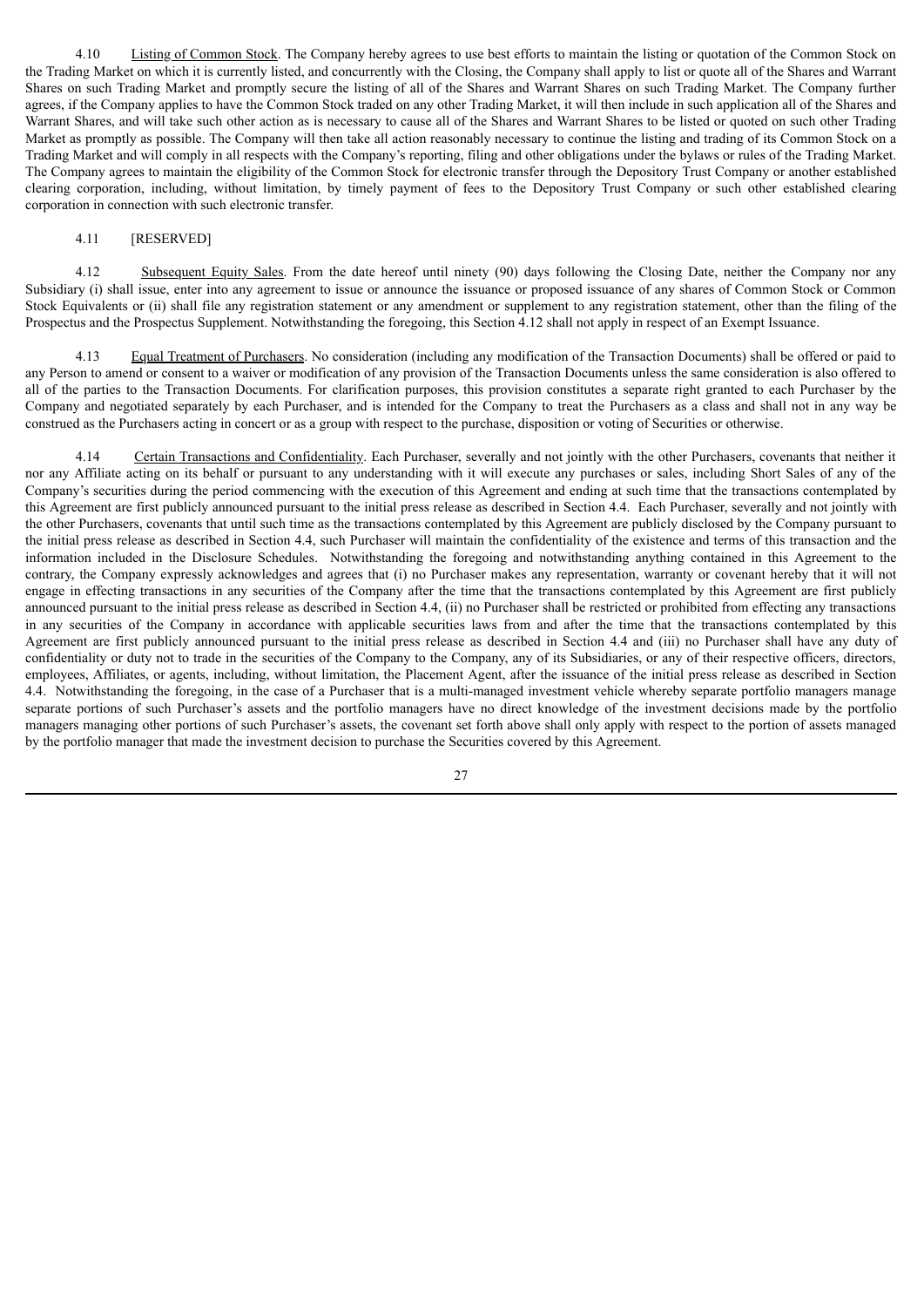4.10 Listing of Common Stock. The Company hereby agrees to use best efforts to maintain the listing or quotation of the Common Stock on the Trading Market on which it is currently listed, and concurrently with the Closing, the Company shall apply to list or quote all of the Shares and Warrant Shares on such Trading Market and promptly secure the listing of all of the Shares and Warrant Shares on such Trading Market. The Company further agrees, if the Company applies to have the Common Stock traded on any other Trading Market, it will then include in such application all of the Shares and Warrant Shares, and will take such other action as is necessary to cause all of the Shares and Warrant Shares to be listed or quoted on such other Trading Market as promptly as possible. The Company will then take all action reasonably necessary to continue the listing and trading of its Common Stock on a Trading Market and will comply in all respects with the Company's reporting, filing and other obligations under the bylaws or rules of the Trading Market. The Company agrees to maintain the eligibility of the Common Stock for electronic transfer through the Depository Trust Company or another established clearing corporation, including, without limitation, by timely payment of fees to the Depository Trust Company or such other established clearing corporation in connection with such electronic transfer.

# 4.11 [RESERVED]

4.12 Subsequent Equity Sales. From the date hereof until ninety (90) days following the Closing Date, neither the Company nor any Subsidiary (i) shall issue, enter into any agreement to issue or announce the issuance or proposed issuance of any shares of Common Stock or Common Stock Equivalents or (ii) shall file any registration statement or any amendment or supplement to any registration statement, other than the filing of the Prospectus and the Prospectus Supplement. Notwithstanding the foregoing, this Section 4.12 shall not apply in respect of an Exempt Issuance.

4.13 Equal Treatment of Purchasers. No consideration (including any modification of the Transaction Documents) shall be offered or paid to any Person to amend or consent to a waiver or modification of any provision of the Transaction Documents unless the same consideration is also offered to all of the parties to the Transaction Documents. For clarification purposes, this provision constitutes a separate right granted to each Purchaser by the Company and negotiated separately by each Purchaser, and is intended for the Company to treat the Purchasers as a class and shall not in any way be construed as the Purchasers acting in concert or as a group with respect to the purchase, disposition or voting of Securities or otherwise.

4.14 Certain Transactions and Confidentiality. Each Purchaser, severally and not jointly with the other Purchasers, covenants that neither it nor any Affiliate acting on its behalf or pursuant to any understanding with it will execute any purchases or sales, including Short Sales of any of the Company's securities during the period commencing with the execution of this Agreement and ending at such time that the transactions contemplated by this Agreement are first publicly announced pursuant to the initial press release as described in Section 4.4. Each Purchaser, severally and not jointly with the other Purchasers, covenants that until such time as the transactions contemplated by this Agreement are publicly disclosed by the Company pursuant to the initial press release as described in Section 4.4, such Purchaser will maintain the confidentiality of the existence and terms of this transaction and the information included in the Disclosure Schedules. Notwithstanding the foregoing and notwithstanding anything contained in this Agreement to the contrary, the Company expressly acknowledges and agrees that (i) no Purchaser makes any representation, warranty or covenant hereby that it will not engage in effecting transactions in any securities of the Company after the time that the transactions contemplated by this Agreement are first publicly announced pursuant to the initial press release as described in Section 4.4, (ii) no Purchaser shall be restricted or prohibited from effecting any transactions in any securities of the Company in accordance with applicable securities laws from and after the time that the transactions contemplated by this Agreement are first publicly announced pursuant to the initial press release as described in Section 4.4 and (iii) no Purchaser shall have any duty of confidentiality or duty not to trade in the securities of the Company to the Company, any of its Subsidiaries, or any of their respective officers, directors, employees, Affiliates, or agents, including, without limitation, the Placement Agent, after the issuance of the initial press release as described in Section 4.4. Notwithstanding the foregoing, in the case of a Purchaser that is a multi-managed investment vehicle whereby separate portfolio managers manage separate portions of such Purchaser's assets and the portfolio managers have no direct knowledge of the investment decisions made by the portfolio managers managing other portions of such Purchaser's assets, the covenant set forth above shall only apply with respect to the portion of assets managed by the portfolio manager that made the investment decision to purchase the Securities covered by this Agreement.

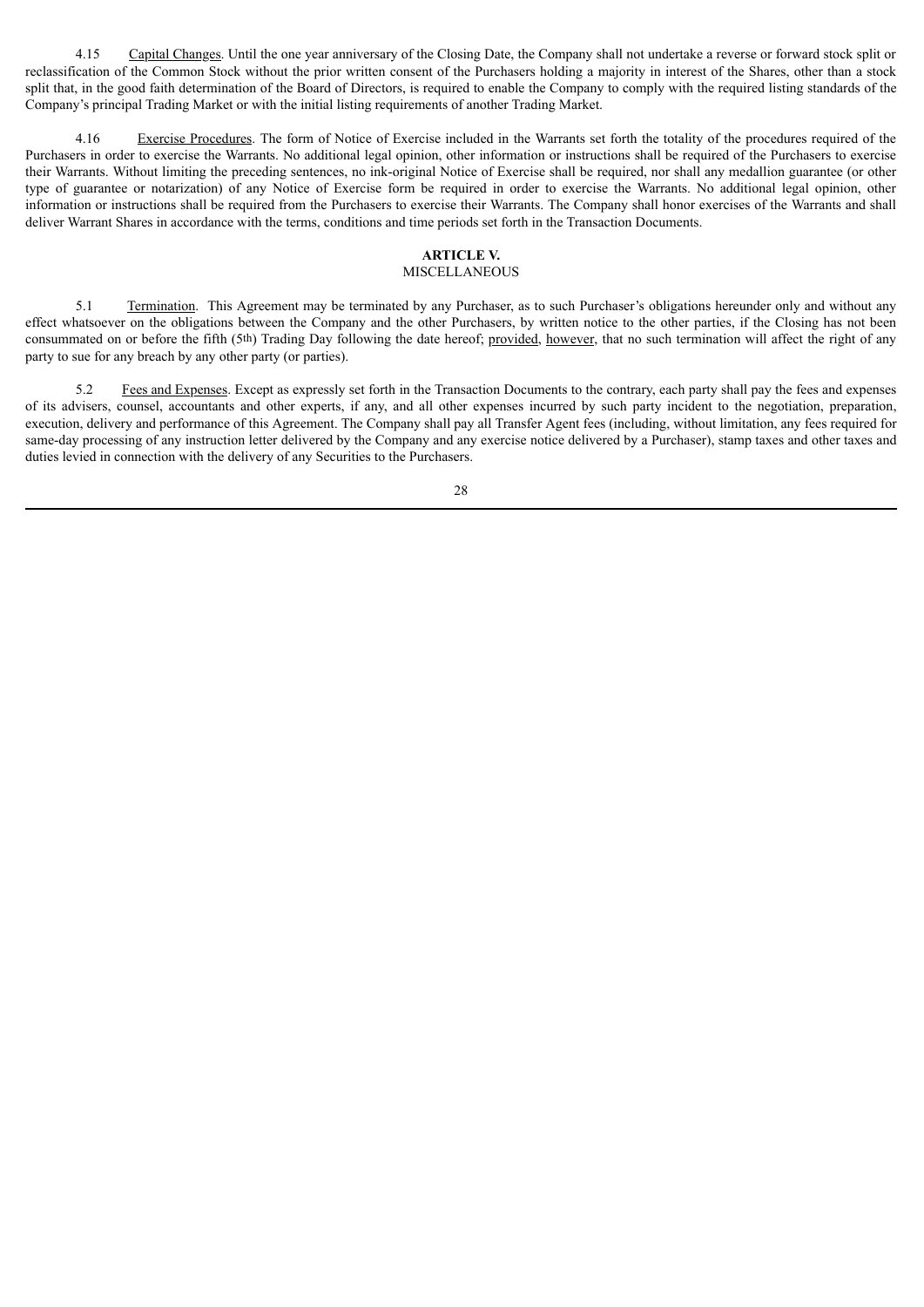4.15 Capital Changes. Until the one year anniversary of the Closing Date, the Company shall not undertake a reverse or forward stock split or reclassification of the Common Stock without the prior written consent of the Purchasers holding a majority in interest of the Shares, other than a stock split that, in the good faith determination of the Board of Directors, is required to enable the Company to comply with the required listing standards of the Company's principal Trading Market or with the initial listing requirements of another Trading Market.

4.16 Exercise Procedures. The form of Notice of Exercise included in the Warrants set forth the totality of the procedures required of the Purchasers in order to exercise the Warrants. No additional legal opinion, other information or instructions shall be required of the Purchasers to exercise their Warrants. Without limiting the preceding sentences, no ink-original Notice of Exercise shall be required, nor shall any medallion guarantee (or other type of guarantee or notarization) of any Notice of Exercise form be required in order to exercise the Warrants. No additional legal opinion, other information or instructions shall be required from the Purchasers to exercise their Warrants. The Company shall honor exercises of the Warrants and shall deliver Warrant Shares in accordance with the terms, conditions and time periods set forth in the Transaction Documents.

# **ARTICLE V.**

# MISCELLANEOUS

5.1 Termination. This Agreement may be terminated by any Purchaser, as to such Purchaser's obligations hereunder only and without any effect whatsoever on the obligations between the Company and the other Purchasers, by written notice to the other parties, if the Closing has not been consummated on or before the fifth (5th) Trading Day following the date hereof; provided, however, that no such termination will affect the right of any party to sue for any breach by any other party (or parties).

5.2 Fees and Expenses. Except as expressly set forth in the Transaction Documents to the contrary, each party shall pay the fees and expenses of its advisers, counsel, accountants and other experts, if any, and all other expenses incurred by such party incident to the negotiation, preparation, execution, delivery and performance of this Agreement. The Company shall pay all Transfer Agent fees (including, without limitation, any fees required for same-day processing of any instruction letter delivered by the Company and any exercise notice delivered by a Purchaser), stamp taxes and other taxes and duties levied in connection with the delivery of any Securities to the Purchasers.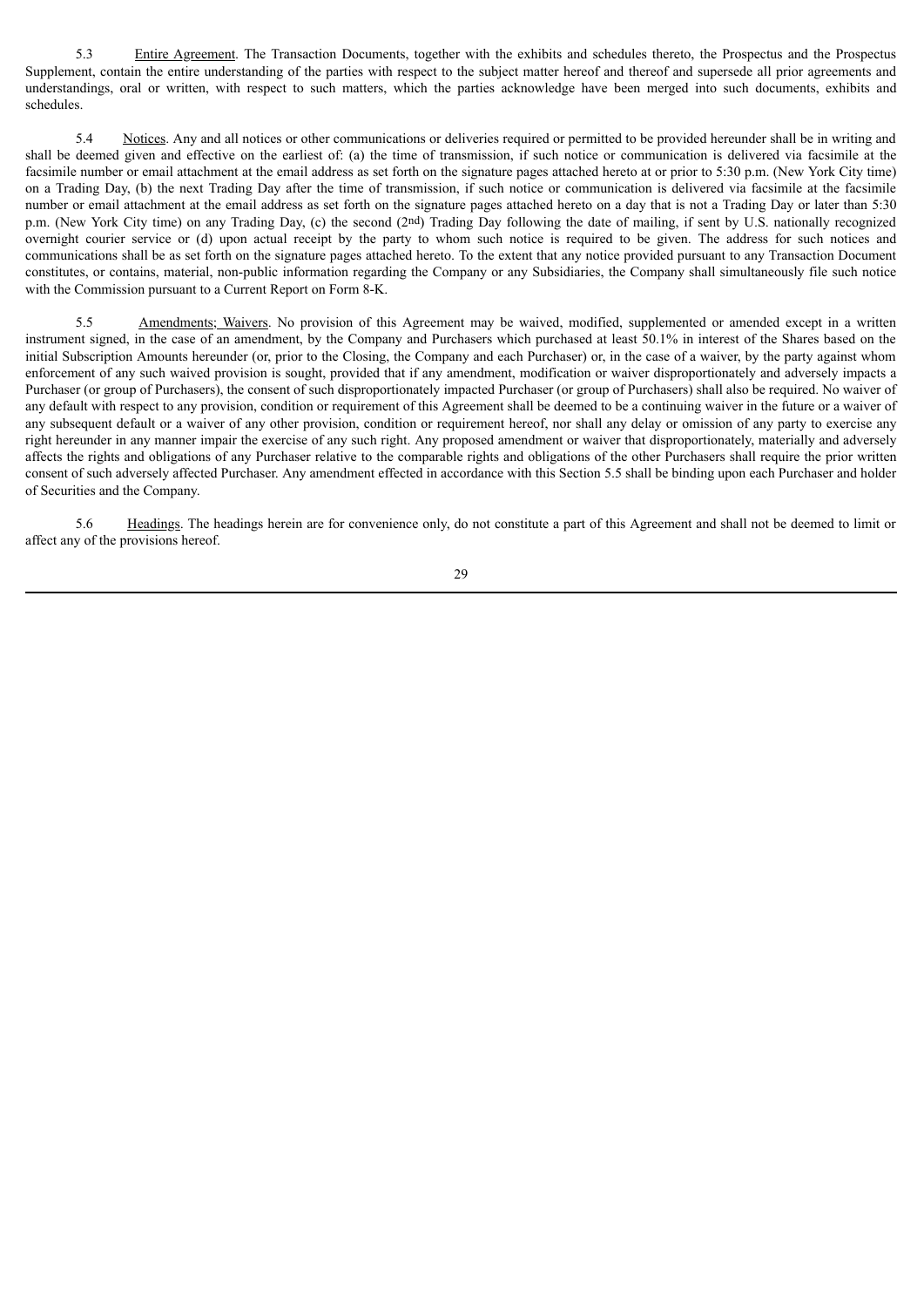5.3 Entire Agreement. The Transaction Documents, together with the exhibits and schedules thereto, the Prospectus and the Prospectus Supplement, contain the entire understanding of the parties with respect to the subject matter hereof and thereof and supersede all prior agreements and understandings, oral or written, with respect to such matters, which the parties acknowledge have been merged into such documents, exhibits and schedules.

5.4 Notices. Any and all notices or other communications or deliveries required or permitted to be provided hereunder shall be in writing and shall be deemed given and effective on the earliest of: (a) the time of transmission, if such notice or communication is delivered via facsimile at the facsimile number or email attachment at the email address as set forth on the signature pages attached hereto at or prior to 5:30 p.m. (New York City time) on a Trading Day, (b) the next Trading Day after the time of transmission, if such notice or communication is delivered via facsimile at the facsimile number or email attachment at the email address as set forth on the signature pages attached hereto on a day that is not a Trading Day or later than 5:30 p.m. (New York City time) on any Trading Day, (c) the second (2nd) Trading Day following the date of mailing, if sent by U.S. nationally recognized overnight courier service or (d) upon actual receipt by the party to whom such notice is required to be given. The address for such notices and communications shall be as set forth on the signature pages attached hereto. To the extent that any notice provided pursuant to any Transaction Document constitutes, or contains, material, non-public information regarding the Company or any Subsidiaries, the Company shall simultaneously file such notice with the Commission pursuant to a Current Report on Form 8-K.

5.5 Amendments; Waivers. No provision of this Agreement may be waived, modified, supplemented or amended except in a written instrument signed, in the case of an amendment, by the Company and Purchasers which purchased at least 50.1% in interest of the Shares based on the initial Subscription Amounts hereunder (or, prior to the Closing, the Company and each Purchaser) or, in the case of a waiver, by the party against whom enforcement of any such waived provision is sought, provided that if any amendment, modification or waiver disproportionately and adversely impacts a Purchaser (or group of Purchasers), the consent of such disproportionately impacted Purchaser (or group of Purchasers) shall also be required. No waiver of any default with respect to any provision, condition or requirement of this Agreement shall be deemed to be a continuing waiver in the future or a waiver of any subsequent default or a waiver of any other provision, condition or requirement hereof, nor shall any delay or omission of any party to exercise any right hereunder in any manner impair the exercise of any such right. Any proposed amendment or waiver that disproportionately, materially and adversely affects the rights and obligations of any Purchaser relative to the comparable rights and obligations of the other Purchasers shall require the prior written consent of such adversely affected Purchaser. Any amendment effected in accordance with this Section 5.5 shall be binding upon each Purchaser and holder of Securities and the Company.

5.6 Headings. The headings herein are for convenience only, do not constitute a part of this Agreement and shall not be deemed to limit or affect any of the provisions hereof.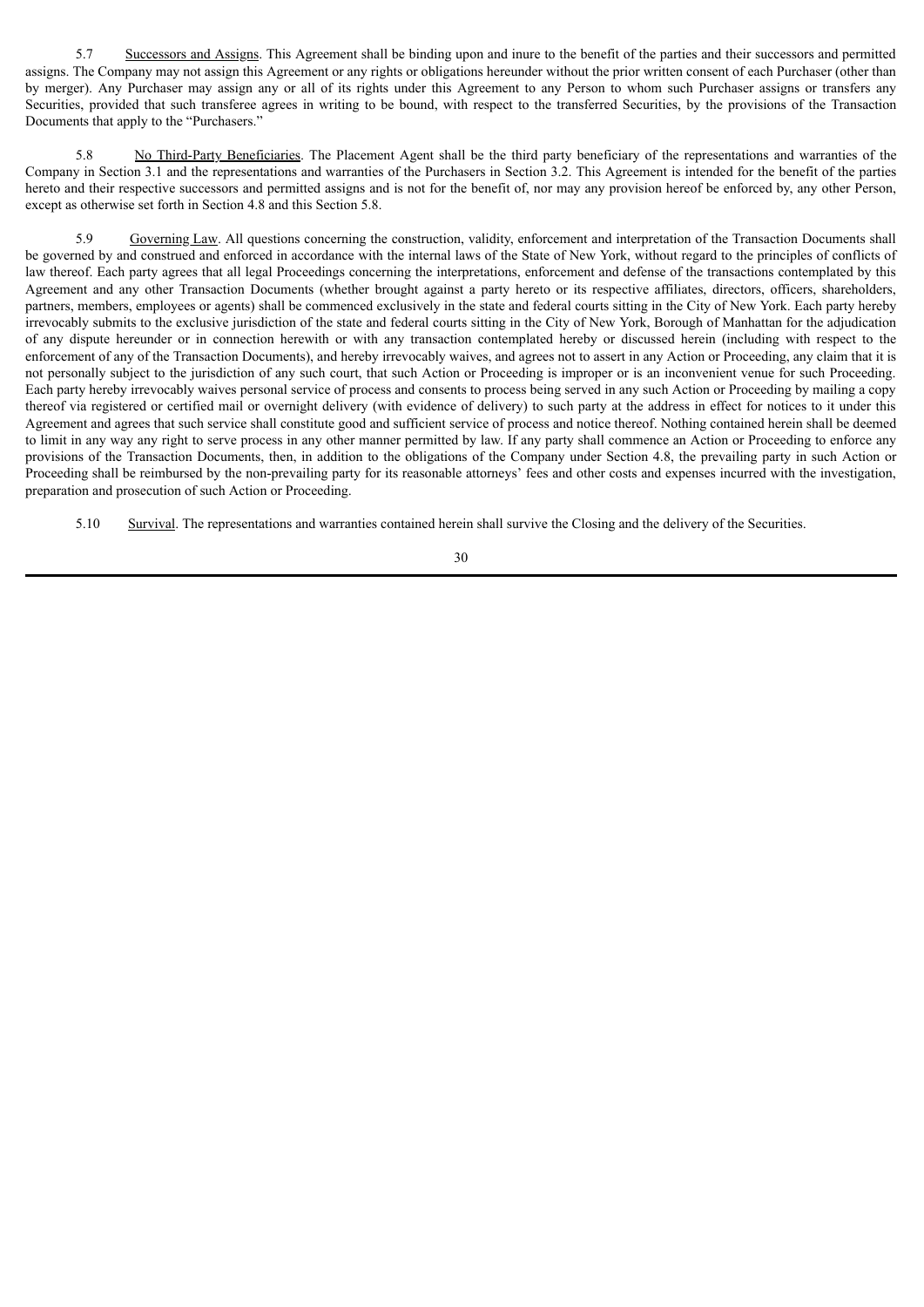5.7 Successors and Assigns. This Agreement shall be binding upon and inure to the benefit of the parties and their successors and permitted assigns. The Company may not assign this Agreement or any rights or obligations hereunder without the prior written consent of each Purchaser (other than by merger). Any Purchaser may assign any or all of its rights under this Agreement to any Person to whom such Purchaser assigns or transfers any Securities, provided that such transferee agrees in writing to be bound, with respect to the transferred Securities, by the provisions of the Transaction Documents that apply to the "Purchasers."

5.8 No Third-Party Beneficiaries. The Placement Agent shall be the third party beneficiary of the representations and warranties of the Company in Section 3.1 and the representations and warranties of the Purchasers in Section 3.2. This Agreement is intended for the benefit of the parties hereto and their respective successors and permitted assigns and is not for the benefit of, nor may any provision hereof be enforced by, any other Person, except as otherwise set forth in Section 4.8 and this Section 5.8.

5.9 Governing Law. All questions concerning the construction, validity, enforcement and interpretation of the Transaction Documents shall be governed by and construed and enforced in accordance with the internal laws of the State of New York, without regard to the principles of conflicts of law thereof. Each party agrees that all legal Proceedings concerning the interpretations, enforcement and defense of the transactions contemplated by this Agreement and any other Transaction Documents (whether brought against a party hereto or its respective affiliates, directors, officers, shareholders, partners, members, employees or agents) shall be commenced exclusively in the state and federal courts sitting in the City of New York. Each party hereby irrevocably submits to the exclusive jurisdiction of the state and federal courts sitting in the City of New York, Borough of Manhattan for the adjudication of any dispute hereunder or in connection herewith or with any transaction contemplated hereby or discussed herein (including with respect to the enforcement of any of the Transaction Documents), and hereby irrevocably waives, and agrees not to assert in any Action or Proceeding, any claim that it is not personally subject to the jurisdiction of any such court, that such Action or Proceeding is improper or is an inconvenient venue for such Proceeding. Each party hereby irrevocably waives personal service of process and consents to process being served in any such Action or Proceeding by mailing a copy thereof via registered or certified mail or overnight delivery (with evidence of delivery) to such party at the address in effect for notices to it under this Agreement and agrees that such service shall constitute good and sufficient service of process and notice thereof. Nothing contained herein shall be deemed to limit in any way any right to serve process in any other manner permitted by law. If any party shall commence an Action or Proceeding to enforce any provisions of the Transaction Documents, then, in addition to the obligations of the Company under Section 4.8, the prevailing party in such Action or Proceeding shall be reimbursed by the non-prevailing party for its reasonable attorneys' fees and other costs and expenses incurred with the investigation, preparation and prosecution of such Action or Proceeding.

5.10 Survival. The representations and warranties contained herein shall survive the Closing and the delivery of the Securities.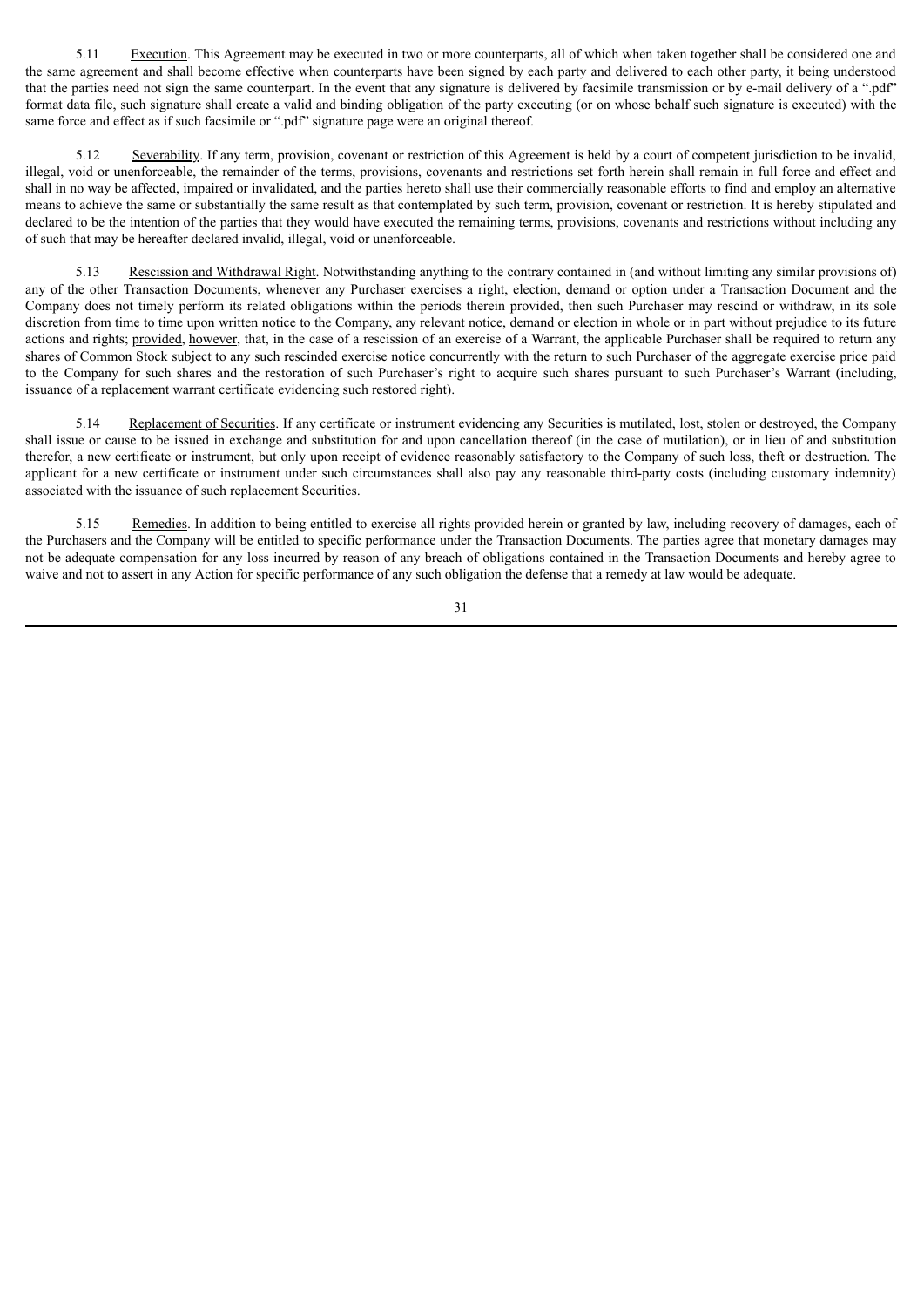5.11 Execution. This Agreement may be executed in two or more counterparts, all of which when taken together shall be considered one and the same agreement and shall become effective when counterparts have been signed by each party and delivered to each other party, it being understood that the parties need not sign the same counterpart. In the event that any signature is delivered by facsimile transmission or by e-mail delivery of a ".pdf" format data file, such signature shall create a valid and binding obligation of the party executing (or on whose behalf such signature is executed) with the same force and effect as if such facsimile or ".pdf" signature page were an original thereof.

5.12 Severability. If any term, provision, covenant or restriction of this Agreement is held by a court of competent jurisdiction to be invalid, illegal, void or unenforceable, the remainder of the terms, provisions, covenants and restrictions set forth herein shall remain in full force and effect and shall in no way be affected, impaired or invalidated, and the parties hereto shall use their commercially reasonable efforts to find and employ an alternative means to achieve the same or substantially the same result as that contemplated by such term, provision, covenant or restriction. It is hereby stipulated and declared to be the intention of the parties that they would have executed the remaining terms, provisions, covenants and restrictions without including any of such that may be hereafter declared invalid, illegal, void or unenforceable.

5.13 Rescission and Withdrawal Right. Notwithstanding anything to the contrary contained in (and without limiting any similar provisions of) any of the other Transaction Documents, whenever any Purchaser exercises a right, election, demand or option under a Transaction Document and the Company does not timely perform its related obligations within the periods therein provided, then such Purchaser may rescind or withdraw, in its sole discretion from time to time upon written notice to the Company, any relevant notice, demand or election in whole or in part without prejudice to its future actions and rights; provided, however, that, in the case of a rescission of an exercise of a Warrant, the applicable Purchaser shall be required to return any shares of Common Stock subject to any such rescinded exercise notice concurrently with the return to such Purchaser of the aggregate exercise price paid to the Company for such shares and the restoration of such Purchaser's right to acquire such shares pursuant to such Purchaser's Warrant (including, issuance of a replacement warrant certificate evidencing such restored right).

5.14 Replacement of Securities. If any certificate or instrument evidencing any Securities is mutilated, lost, stolen or destroyed, the Company shall issue or cause to be issued in exchange and substitution for and upon cancellation thereof (in the case of mutilation), or in lieu of and substitution therefor, a new certificate or instrument, but only upon receipt of evidence reasonably satisfactory to the Company of such loss, theft or destruction. The applicant for a new certificate or instrument under such circumstances shall also pay any reasonable third-party costs (including customary indemnity) associated with the issuance of such replacement Securities.

5.15 Remedies. In addition to being entitled to exercise all rights provided herein or granted by law, including recovery of damages, each of the Purchasers and the Company will be entitled to specific performance under the Transaction Documents. The parties agree that monetary damages may not be adequate compensation for any loss incurred by reason of any breach of obligations contained in the Transaction Documents and hereby agree to waive and not to assert in any Action for specific performance of any such obligation the defense that a remedy at law would be adequate.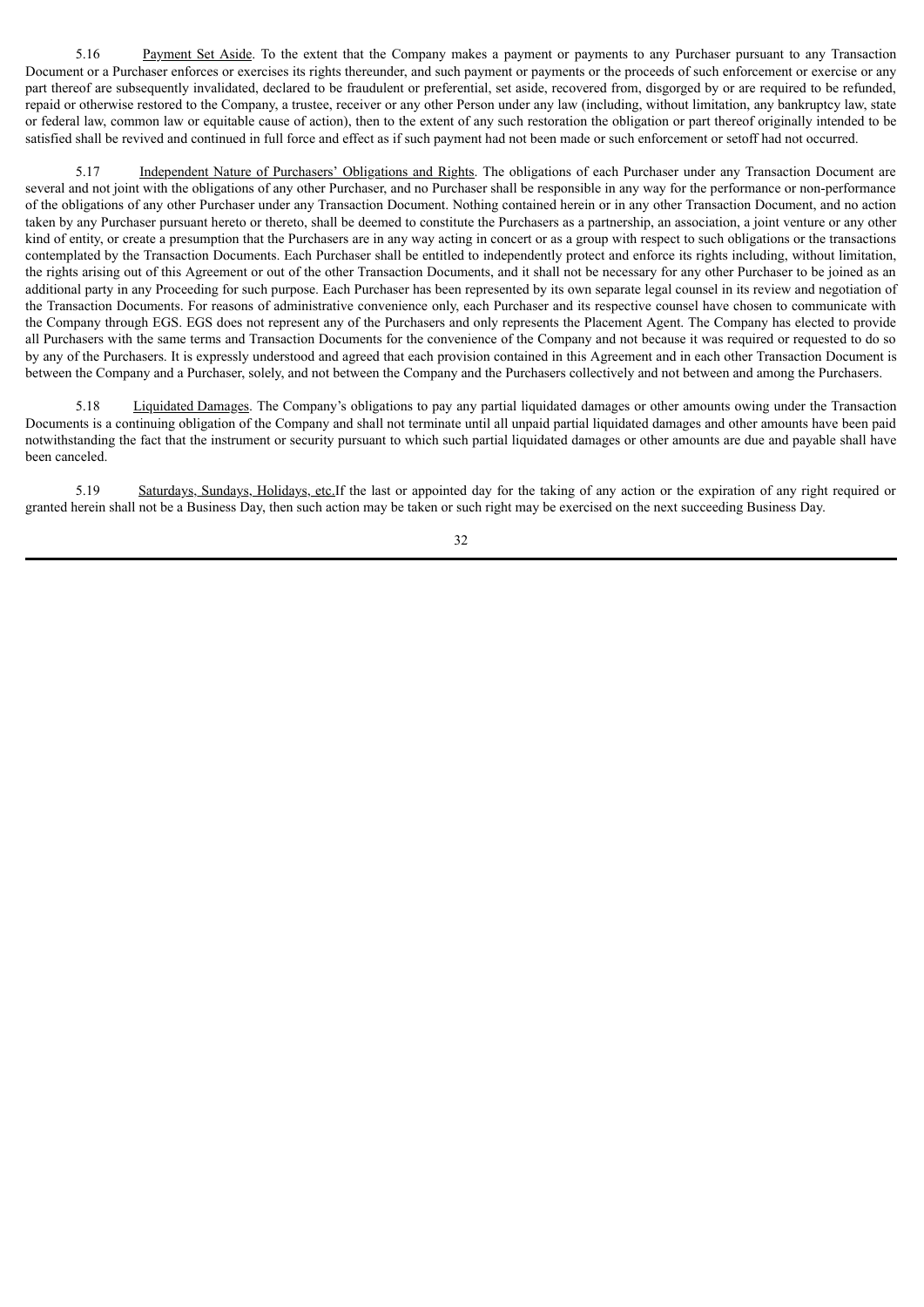5.16 Payment Set Aside. To the extent that the Company makes a payment or payments to any Purchaser pursuant to any Transaction Document or a Purchaser enforces or exercises its rights thereunder, and such payment or payments or the proceeds of such enforcement or exercise or any part thereof are subsequently invalidated, declared to be fraudulent or preferential, set aside, recovered from, disgorged by or are required to be refunded, repaid or otherwise restored to the Company, a trustee, receiver or any other Person under any law (including, without limitation, any bankruptcy law, state or federal law, common law or equitable cause of action), then to the extent of any such restoration the obligation or part thereof originally intended to be satisfied shall be revived and continued in full force and effect as if such payment had not been made or such enforcement or setoff had not occurred.

5.17 Independent Nature of Purchasers' Obligations and Rights. The obligations of each Purchaser under any Transaction Document are several and not joint with the obligations of any other Purchaser, and no Purchaser shall be responsible in any way for the performance or non-performance of the obligations of any other Purchaser under any Transaction Document. Nothing contained herein or in any other Transaction Document, and no action taken by any Purchaser pursuant hereto or thereto, shall be deemed to constitute the Purchasers as a partnership, an association, a joint venture or any other kind of entity, or create a presumption that the Purchasers are in any way acting in concert or as a group with respect to such obligations or the transactions contemplated by the Transaction Documents. Each Purchaser shall be entitled to independently protect and enforce its rights including, without limitation, the rights arising out of this Agreement or out of the other Transaction Documents, and it shall not be necessary for any other Purchaser to be joined as an additional party in any Proceeding for such purpose. Each Purchaser has been represented by its own separate legal counsel in its review and negotiation of the Transaction Documents. For reasons of administrative convenience only, each Purchaser and its respective counsel have chosen to communicate with the Company through EGS. EGS does not represent any of the Purchasers and only represents the Placement Agent. The Company has elected to provide all Purchasers with the same terms and Transaction Documents for the convenience of the Company and not because it was required or requested to do so by any of the Purchasers. It is expressly understood and agreed that each provision contained in this Agreement and in each other Transaction Document is between the Company and a Purchaser, solely, and not between the Company and the Purchasers collectively and not between and among the Purchasers.

5.18 Liquidated Damages. The Company's obligations to pay any partial liquidated damages or other amounts owing under the Transaction Documents is a continuing obligation of the Company and shall not terminate until all unpaid partial liquidated damages and other amounts have been paid notwithstanding the fact that the instrument or security pursuant to which such partial liquidated damages or other amounts are due and payable shall have been canceled.

5.19 Saturdays, Sundays, Holidays, etc.If the last or appointed day for the taking of any action or the expiration of any right required or granted herein shall not be a Business Day, then such action may be taken or such right may be exercised on the next succeeding Business Day.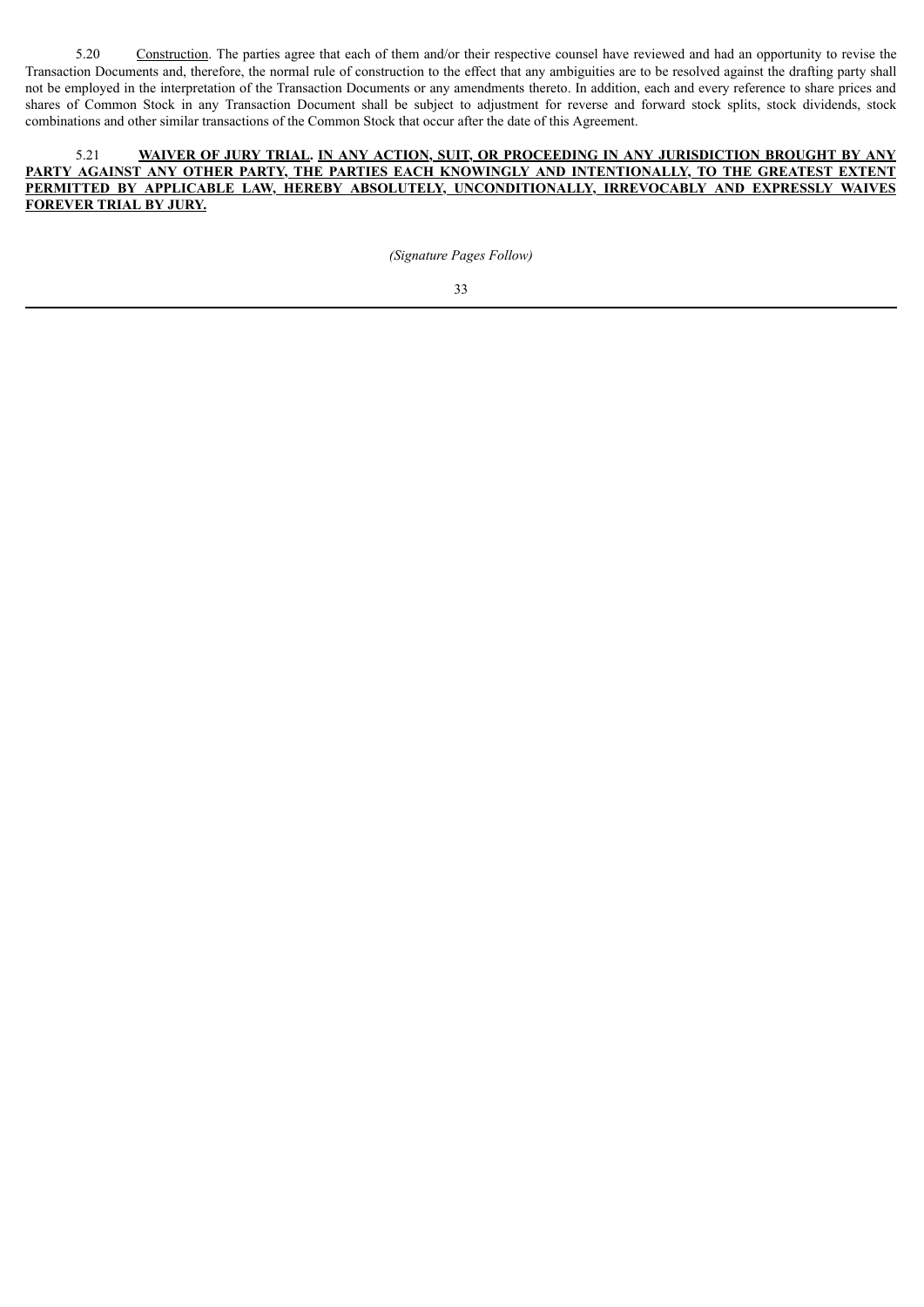5.20 Construction. The parties agree that each of them and/or their respective counsel have reviewed and had an opportunity to revise the Transaction Documents and, therefore, the normal rule of construction to the effect that any ambiguities are to be resolved against the drafting party shall not be employed in the interpretation of the Transaction Documents or any amendments thereto. In addition, each and every reference to share prices and shares of Common Stock in any Transaction Document shall be subject to adjustment for reverse and forward stock splits, stock dividends, stock combinations and other similar transactions of the Common Stock that occur after the date of this Agreement.

# 5.21 **WAIVER OF JURY TRIAL. IN ANY ACTION, SUIT, OR PROCEEDING IN ANY JURISDICTION BROUGHT BY ANY PARTY AGAINST ANY OTHER PARTY, THE PARTIES EACH KNOWINGLY AND INTENTIONALLY, TO THE GREATEST EXTENT PERMITTED BY APPLICABLE LAW, HEREBY ABSOLUTELY, UNCONDITIONALLY, IRREVOCABLY AND EXPRESSLY WAIVES FOREVER TRIAL BY JURY.**

*(Signature Pages Follow)*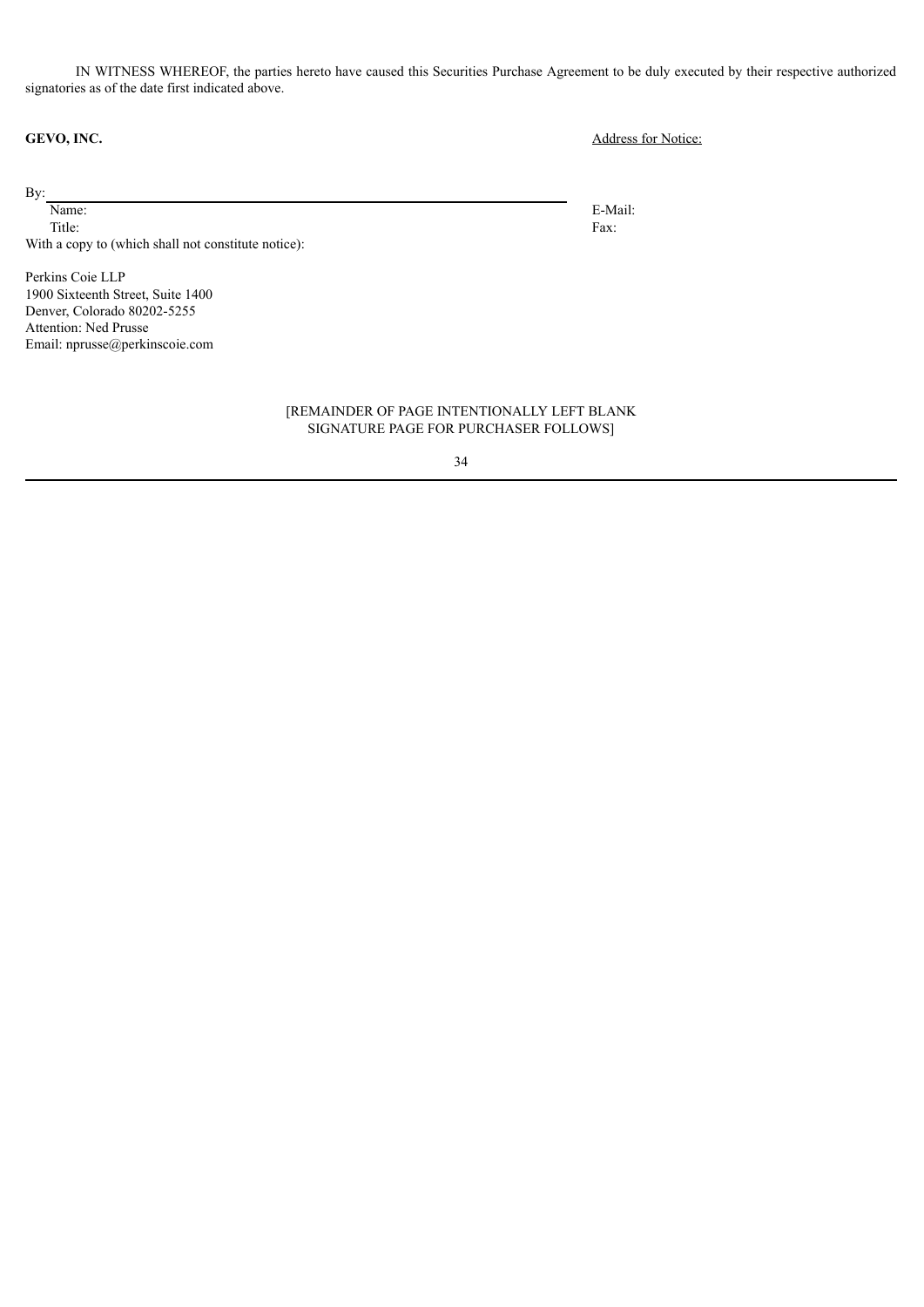IN WITNESS WHEREOF, the parties hereto have caused this Securities Purchase Agreement to be duly executed by their respective authorized signatories as of the date first indicated above.

By:

Name: Title: With a copy to (which shall not constitute notice):

Perkins Coie LLP 1900 Sixteenth Street, Suite 1400 Denver, Colorado 80202-5255 Attention: Ned Prusse Email: nprusse@perkinscoie.com

> [REMAINDER OF PAGE INTENTIONALLY LEFT BLANK SIGNATURE PAGE FOR PURCHASER FOLLOWS]

# 34

**GEVO, INC.** Address for Notice:

E-Mail: Fax: